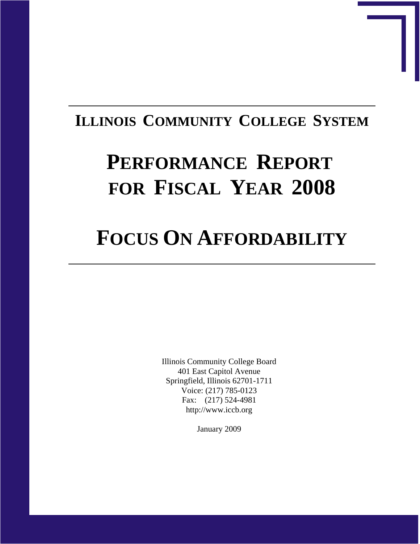## **ILLINOIS COMMUNITY COLLEGE SYSTEM**

# **PERFORMANCE REPORT FOR FISCAL YEAR 2008**

# **FOCUS ON AFFORDABILITY**

Illinois Community College Board 401 East Capitol Avenue Springfield, Illinois 62701-1711 Voice: (217) 785-0123 Fax: (217) 524-4981 http://www.iccb.org

January 2009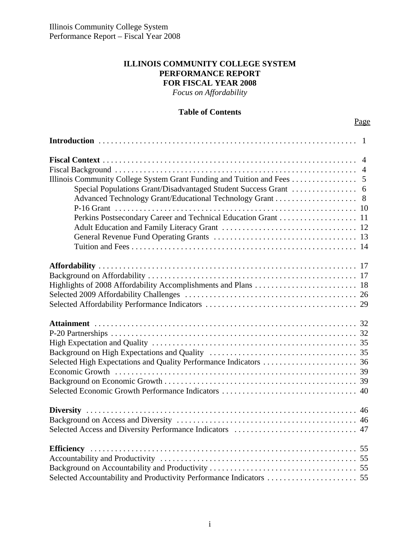#### **ILLINOIS COMMUNITY COLLEGE SYSTEM PERFORMANCE REPORT FOR FISCAL YEAR 2008**

*Focus on Affordability*

#### **Table of Contents**

|  | Page |
|--|------|
|--|------|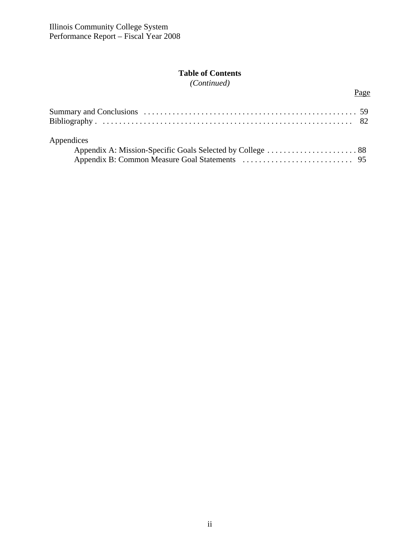#### **Table of Contents**

*(Continued)*

Page

| Appendices |  |
|------------|--|
|            |  |
|            |  |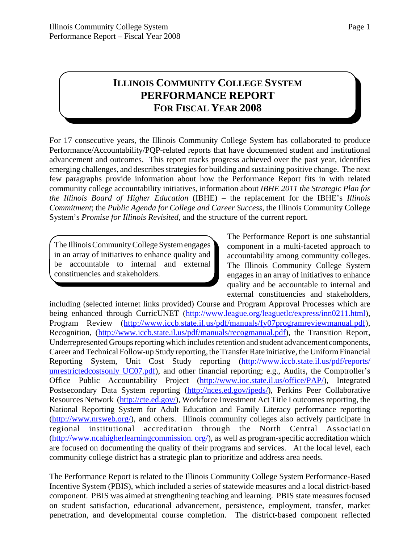### **ILLINOIS COMMUNITY COLLEGE SYSTEM PERFORMANCE REPORT FOR FISCAL YEAR 2008**

For 17 consecutive years, the Illinois Community College System has collaborated to produce Performance/Accountability/PQP-related reports that have documented student and institutional advancement and outcomes. This report tracks progress achieved over the past year, identifies emerging challenges, and describes strategies for building and sustaining positive change. The next few paragraphs provide information about how the Performance Report fits in with related community college accountability initiatives, information about *IBHE 2011 the Strategic Plan for the Illinois Board of Higher Education* (IBHE) – the replacement for the IBHE's *Illinois Commitment*; the *Public Agenda for College and Career Success*, the Illinois Community College System's *Promise for Illinois Revisited*, and the structure of the current report.

The Illinois Community College System engages in an array of initiatives to enhance quality and be accountable to internal and external constituencies and stakeholders.

The Performance Report is one substantial component in a multi-faceted approach to accountability among community colleges. The Illinois Community College System engages in an array of initiatives to enhance quality and be accountable to internal and external constituencies and stakeholders,

including (selected internet links provided) Course and Program Approval Processes which are being enhanced through CurricUNET (http://www.league.org/leaguetlc/express/inn0211.html), Program Review (http://www.iccb.state.il.us/pdf/manuals/fy07programreviewmanual.pdf), Recognition, (http://www.iccb.state.il.us/pdf/manuals/recogmanual.pdf), the Transition Report, Underrepresented Groups reporting which includes retention and student advancement components, Career and Technical Follow-up Study reporting, the Transfer Rate initiative, the Uniform Financial Reporting System, Unit Cost Study reporting (http://www.iccb.state.il.us/pdf/reports/ unrestrictedcostsonly UC07.pdf), and other financial reporting; e.g., Audits, the Comptroller's Office Public Accountability Project (http://www.ioc.state.il.us/office/PAP/), Integrated Postsecondary Data System reporting (http://nces.ed.gov/ipeds/), Perkins Peer Collaborative Resources Network (http://cte.ed.gov/), Workforce Investment Act Title I outcomes reporting, the National Reporting System for Adult Education and Family Literacy performance reporting (http://www.nrsweb.org/), and others. Illinois community colleges also actively participate in regional institutional accreditation through the North Central Association (http://www.ncahigherlearningcommission. org/), as well as program-specific accreditation which are focused on documenting the quality of their programs and services. At the local level, each community college district has a strategic plan to prioritize and address area needs.

The Performance Report is related to the Illinois Community College System Performance-Based Incentive System (PBIS), which included a series of statewide measures and a local district-based component. PBIS was aimed at strengthening teaching and learning. PBIS state measures focused on student satisfaction, educational advancement, persistence, employment, transfer, market penetration, and developmental course completion. The district-based component reflected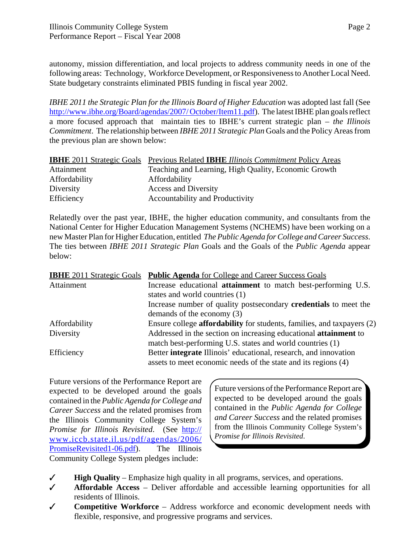autonomy, mission differentiation, and local projects to address community needs in one of the following areas: Technology, Workforce Development, or Responsiveness to Another Local Need. State budgetary constraints eliminated PBIS funding in fiscal year 2002.

*IBHE 2011 the Strategic Plan for the Illinois Board of Higher Education* was adopted last fall (See http://www.ibhe.org/Board/agendas/2007/ October/Item11.pdf). The latest IBHE plan goals reflect a more focused approach that maintain ties to IBHE's current strategic plan – *the Illinois Commitment*. The relationship between *IBHE 2011 Strategic Plan* Goals and the Policy Areas from the previous plan are shown below:

| <b>IBHE</b> 2011 Strategic Goals | Previous Related <b>IBHE</b> Illinois Commitment Policy Areas |
|----------------------------------|---------------------------------------------------------------|
| Attainment                       | Teaching and Learning, High Quality, Economic Growth          |
| Affordability                    | Affordability                                                 |
| Diversity                        | <b>Access and Diversity</b>                                   |
| Efficiency                       | Accountability and Productivity                               |

Relatedly over the past year, IBHE, the higher education community, and consultants from the National Center for Higher Education Management Systems (NCHEMS) have been working on a new Master Plan for Higher Education, entitled *The Public Agenda for College and Career Success*. The ties between *IBHE 2011 Strategic Plan* Goals and the Goals of the *Public Agenda* appear below:

| <b>IBHE</b> 2011 Strategic Goals | <b>Public Agenda</b> for College and Career Success Goals                     |
|----------------------------------|-------------------------------------------------------------------------------|
| Attainment                       | Increase educational <b>attainment</b> to match best-performing U.S.          |
|                                  | states and world countries (1)                                                |
|                                  | Increase number of quality postsecondary <b>credentials</b> to meet the       |
|                                  | demands of the economy (3)                                                    |
| Affordability                    | Ensure college <b>affordability</b> for students, families, and taxpayers (2) |
| Diversity                        | Addressed in the section on increasing educational attainment to              |
|                                  | match best-performing U.S. states and world countries (1)                     |
| Efficiency                       | Better <b>integrate</b> Illinois' educational, research, and innovation       |
|                                  | assets to meet economic needs of the state and its regions (4)                |

Future versions of the Performance Report are expected to be developed around the goals contained in the *Public Agenda for College and Career Success* and the related promises from the Illinois Community College System's *Promise for Illinois Revisited*. (See http:// www.iccb.state.il.us/pdf/agendas/2006/ PromiseRevisited1-06.pdf). The Illinois Community College System pledges include:

Future versions of the Performance Report are expected to be developed around the goals contained in the *Public Agenda for College and Career Success* and the related promises from the Illinois Community College System's *Promise for Illinois Revisited*.

- $\checkmark$  **High Quality** Emphasize high quality in all programs, services, and operations.
- T **Affordable Access** Deliver affordable and accessible learning opportunities for all residents of Illinois.
- T **Competitive Workforce** Address workforce and economic development needs with flexible, responsive, and progressive programs and services.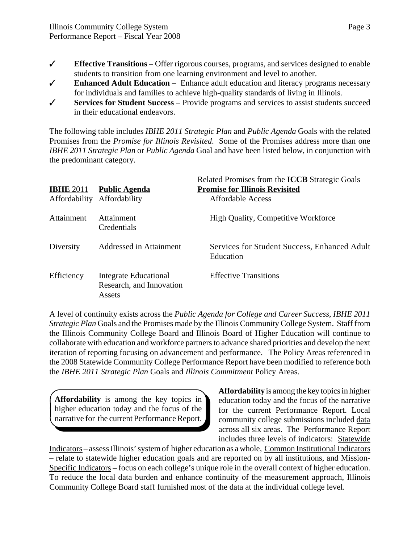- $\checkmark$  **Effective Transitions** Offer rigorous courses, programs, and services designed to enable students to transition from one learning environment and level to another.
- $\checkmark$  **Enhanced Adult Education** Enhance adult education and literacy programs necessary for individuals and families to achieve high-quality standards of living in Illinois.
- T **Services for Student Success** Provide programs and services to assist students succeed in their educational endeavors.

The following table includes *IBHE 2011 Strategic Plan* and *Public Agenda* Goals with the related Promises from the *Promise for Illinois Revisited*. Some of the Promises address more than one *IBHE 2011 Strategic Plan* or *Public Agenda* Goal and have been listed below, in conjunction with the predominant category.

| <b>IBHE 2011</b><br>Affordability | <b>Public Agenda</b><br>Affordability                       | Related Promises from the <b>ICCB</b> Strategic Goals<br><b>Promise for Illinois Revisited</b><br>Affordable Access |
|-----------------------------------|-------------------------------------------------------------|---------------------------------------------------------------------------------------------------------------------|
| Attainment                        | Attainment<br>Credentials                                   | <b>High Quality, Competitive Workforce</b>                                                                          |
| Diversity                         | Addressed in Attainment                                     | Services for Student Success, Enhanced Adult<br>Education                                                           |
| Efficiency                        | Integrate Educational<br>Research, and Innovation<br>Assets | <b>Effective Transitions</b>                                                                                        |

A level of continuity exists across the *Public Agenda for College and Career Success*, *IBHE 2011 Strategic Plan* Goals and the Promises made by the Illinois Community College System. Staff from the Illinois Community College Board and Illinois Board of Higher Education will continue to collaborate with education and workforce partners to advance shared priorities and develop the next iteration of reporting focusing on advancement and performance. The Policy Areas referenced in the 2008 Statewide Community College Performance Report have been modified to reference both the *IBHE 2011 Strategic Plan* Goals and *Illinois Commitment* Policy Areas.

**Affordability** is among the key topics in higher education today and the focus of the narrative for the current Performance Report. **Affordability** is among the key topics in higher education today and the focus of the narrative for the current Performance Report. Local community college submissions included data across all six areas. The Performance Report includes three levels of indicators: Statewide

Indicators – assess Illinois' system of higher education as a whole, Common Institutional Indicators – relate to statewide higher education goals and are reported on by all institutions, and Mission-Specific Indicators – focus on each college's unique role in the overall context of higher education. To reduce the local data burden and enhance continuity of the measurement approach, Illinois Community College Board staff furnished most of the data at the individual college level.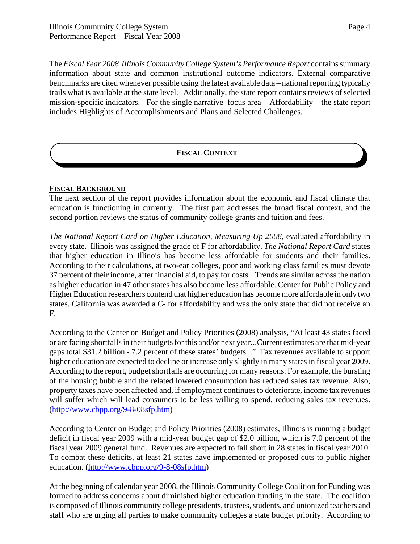The *Fiscal Year 2008 Illinois Community College System's Performance Report* contains summary information about state and common institutional outcome indicators. External comparative benchmarks are cited whenever possible using the latest available data – national reporting typically trails what is available at the state level. Additionally, the state report contains reviews of selected mission-specific indicators. For the single narrative focus area – Affordability – the state report includes Highlights of Accomplishments and Plans and Selected Challenges.

#### **FISCAL CONTEXT**

#### **FISCAL BACKGROUND**

The next section of the report provides information about the economic and fiscal climate that education is functioning in currently. The first part addresses the broad fiscal context, and the second portion reviews the status of community college grants and tuition and fees.

*The National Report Card on Higher Education, Measuring Up 2008*, evaluated affordability in every state. Illinois was assigned the grade of F for affordability. *The National Report Card* states that higher education in Illinois has become less affordable for students and their families. According to their calculations, at two-ear colleges, poor and working class families must devote 37 percent of their income, after financial aid, to pay for costs. Trends are similar across the nation as higher education in 47 other states has also become less affordable. Center for Public Policy and Higher Education researchers contend that higher education has become more affordable in only two states. California was awarded a C- for affordability and was the only state that did not receive an F.

According to the Center on Budget and Policy Priorities (2008) analysis, "At least 43 states faced or are facing shortfalls in their budgets for this and/or next year...Current estimates are that mid-year gaps total \$31.2 billion - 7.2 percent of these states' budgets..." Tax revenues available to support higher education are expected to decline or increase only slightly in many states in fiscal year 2009. According to the report, budget shortfalls are occurring for many reasons. For example, the bursting of the housing bubble and the related lowered consumption has reduced sales tax revenue. Also, property taxes have been affected and, if employment continues to deteriorate, income tax revenues will suffer which will lead consumers to be less willing to spend, reducing sales tax revenues. (http://www.cbpp.org/9-8-08sfp.htm)

According to Center on Budget and Policy Priorities (2008) estimates, Illinois is running a budget deficit in fiscal year 2009 with a mid-year budget gap of \$2.0 billion, which is 7.0 percent of the fiscal year 2009 general fund. Revenues are expected to fall short in 28 states in fiscal year 2010. To combat these deficits, at least 21 states have implemented or proposed cuts to public higher education. (http://www.cbpp.org/9-8-08sfp.htm)

At the beginning of calendar year 2008, the Illinois Community College Coalition for Funding was formed to address concerns about diminished higher education funding in the state. The coalition is composed of Illinois community college presidents, trustees, students, and unionized teachers and staff who are urging all parties to make community colleges a state budget priority. According to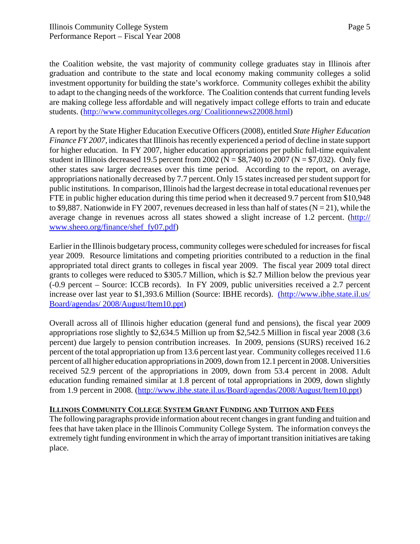the Coalition website, the vast majority of community college graduates stay in Illinois after graduation and contribute to the state and local economy making community colleges a solid investment opportunity for building the state's workforce. Community colleges exhibit the ability to adapt to the changing needs of the workforce. The Coalition contends that current funding levels are making college less affordable and will negatively impact college efforts to train and educate students. (http://www.communitycolleges.org/ Coalitionnews22008.html)

A report by the State Higher Education Executive Officers (2008), entitled *State Higher Education Finance FY 2007,* indicates that Illinois has recently experienced a period of decline in state support for higher education. In FY 2007, higher education appropriations per public full-time equivalent student in Illinois decreased 19.5 percent from 2002 ( $N = $8,740$ ) to 2007 ( $N = $7,032$ ). Only five other states saw larger decreases over this time period. According to the report, on average, appropriations nationally decreased by 7.7 percent. Only 15 states increased per student support for public institutions. In comparison, Illinois had the largest decrease in total educational revenues per FTE in public higher education during this time period when it decreased 9.7 percent from \$10,948 to \$9,887. Nationwide in FY 2007, revenues decreased in less than half of states ( $N = 21$ ), while the average change in revenues across all states showed a slight increase of 1.2 percent. (http:// www.sheeo.org/finance/shef\_fy07.pdf)

Earlier in the Illinois budgetary process, community colleges were scheduled for increases for fiscal year 2009. Resource limitations and competing priorities contributed to a reduction in the final appropriated total direct grants to colleges in fiscal year 2009. The fiscal year 2009 total direct grants to colleges were reduced to \$305.7 Million, which is \$2.7 Million below the previous year (-0.9 percent – Source: ICCB records). In FY 2009, public universities received a 2.7 percent increase over last year to \$1,393.6 Million (Source: IBHE records). (http://www.ibhe.state.il.us/ Board/agendas/ 2008/August/Item10.ppt)

Overall across all of Illinois higher education (general fund and pensions), the fiscal year 2009 appropriations rose slightly to \$2,634.5 Million up from \$2,542.5 Million in fiscal year 2008 (3.6 percent) due largely to pension contribution increases. In 2009, pensions (SURS) received 16.2 percent of the total appropriation up from 13.6 percent last year. Community colleges received 11.6 percent of all higher education appropriations in 2009, down from 12.1 percent in 2008. Universities received 52.9 percent of the appropriations in 2009, down from 53.4 percent in 2008. Adult education funding remained similar at 1.8 percent of total appropriations in 2009, down slightly from 1.9 percent in 2008. (http://www.ibhe.state.il.us/Board/agendas/2008/August/Item10.ppt)

#### **ILLINOIS COMMUNITY COLLEGE SYSTEM GRANT FUNDING AND TUITION AND FEES**

The following paragraphs provide information about recent changes in grant funding and tuition and fees that have taken place in the Illinois Community College System. The information conveys the extremely tight funding environment in which the array of important transition initiatives are taking place.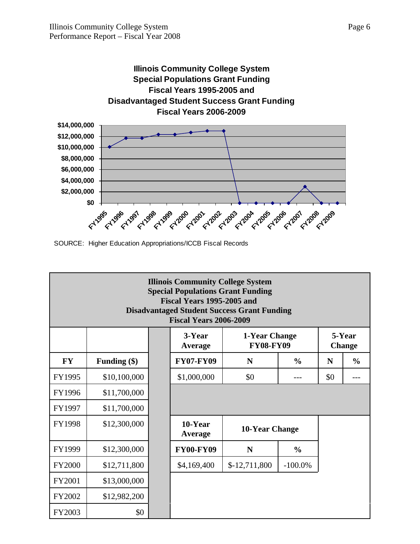

SOURCE: Higher Education Appropriations/ICCB Fiscal Records

| <b>Illinois Community College System</b><br><b>Special Populations Grant Funding</b><br>Fiscal Years 1995-2005 and<br><b>Disadvantaged Student Success Grant Funding</b><br><b>Fiscal Years 2006-2009</b> |                |  |                    |                |               |     |               |  |  |
|-----------------------------------------------------------------------------------------------------------------------------------------------------------------------------------------------------------|----------------|--|--------------------|----------------|---------------|-----|---------------|--|--|
| 3-Year<br>5-Year<br>1-Year Change<br><b>FY08-FY09</b><br><b>Change</b><br>Average                                                                                                                         |                |  |                    |                |               |     |               |  |  |
| <b>FY</b>                                                                                                                                                                                                 | Funding $(\$)$ |  | <b>FY07-FY09</b>   | N              | $\frac{0}{0}$ | N   | $\frac{0}{0}$ |  |  |
| FY1995                                                                                                                                                                                                    | \$10,100,000   |  | \$1,000,000        | \$0            |               | \$0 |               |  |  |
| FY1996                                                                                                                                                                                                    | \$11,700,000   |  |                    |                |               |     |               |  |  |
| FY1997                                                                                                                                                                                                    | \$11,700,000   |  |                    |                |               |     |               |  |  |
| <b>FY1998</b>                                                                                                                                                                                             | \$12,300,000   |  | 10-Year<br>Average | 10-Year Change |               |     |               |  |  |
| FY1999                                                                                                                                                                                                    | \$12,300,000   |  | <b>FY00-FY09</b>   | N              | $\frac{0}{0}$ |     |               |  |  |
| <b>FY2000</b>                                                                                                                                                                                             | \$12,711,800   |  | \$4,169,400        | $$-12,711,800$ | $-100.0\%$    |     |               |  |  |
| <b>FY2001</b>                                                                                                                                                                                             | \$13,000,000   |  |                    |                |               |     |               |  |  |
| FY2002                                                                                                                                                                                                    | \$12,982,200   |  |                    |                |               |     |               |  |  |
| FY2003                                                                                                                                                                                                    | \$0            |  |                    |                |               |     |               |  |  |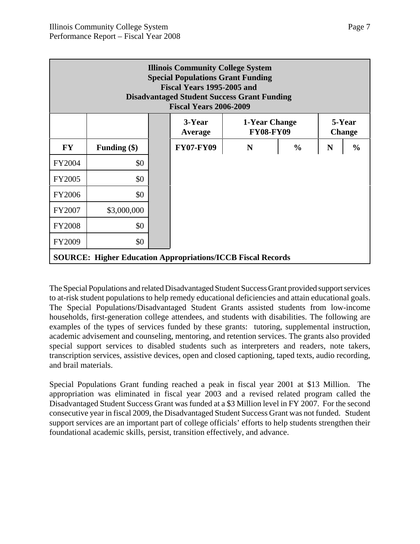| <b>Illinois Community College System</b><br><b>Special Populations Grant Funding</b><br>Fiscal Years 1995-2005 and<br><b>Disadvantaged Student Success Grant Funding</b><br><b>Fiscal Years 2006-2009</b> |                                                                                   |  |                  |   |               |   |               |  |  |  |
|-----------------------------------------------------------------------------------------------------------------------------------------------------------------------------------------------------------|-----------------------------------------------------------------------------------|--|------------------|---|---------------|---|---------------|--|--|--|
|                                                                                                                                                                                                           | 3-Year<br>5-Year<br>1-Year Change<br><b>FY08-FY09</b><br><b>Change</b><br>Average |  |                  |   |               |   |               |  |  |  |
| <b>FY</b>                                                                                                                                                                                                 | Funding $(\$)$                                                                    |  | <b>FY07-FY09</b> | N | $\frac{0}{0}$ | N | $\frac{0}{0}$ |  |  |  |
| <b>FY2004</b>                                                                                                                                                                                             | \$0                                                                               |  |                  |   |               |   |               |  |  |  |
| <b>FY2005</b>                                                                                                                                                                                             | \$0                                                                               |  |                  |   |               |   |               |  |  |  |
| <b>FY2006</b>                                                                                                                                                                                             | \$0                                                                               |  |                  |   |               |   |               |  |  |  |
| FY2007                                                                                                                                                                                                    | \$3,000,000                                                                       |  |                  |   |               |   |               |  |  |  |
| <b>FY2008</b>                                                                                                                                                                                             | \$0                                                                               |  |                  |   |               |   |               |  |  |  |
| FY2009                                                                                                                                                                                                    | \$0                                                                               |  |                  |   |               |   |               |  |  |  |
|                                                                                                                                                                                                           | <b>SOURCE: Higher Education Appropriations/ICCB Fiscal Records</b>                |  |                  |   |               |   |               |  |  |  |

The Special Populations and related Disadvantaged Student Success Grant provided support services to at-risk student populations to help remedy educational deficiencies and attain educational goals. The Special Populations/Disadvantaged Student Grants assisted students from low-income households, first-generation college attendees, and students with disabilities. The following are examples of the types of services funded by these grants: tutoring, supplemental instruction, academic advisement and counseling, mentoring, and retention services. The grants also provided special support services to disabled students such as interpreters and readers, note takers, transcription services, assistive devices, open and closed captioning, taped texts, audio recording, and brail materials.

Special Populations Grant funding reached a peak in fiscal year 2001 at \$13 Million. The appropriation was eliminated in fiscal year 2003 and a revised related program called the Disadvantaged Student Success Grant was funded at a \$3 Million level in FY 2007. For the second consecutive year in fiscal 2009, the Disadvantaged Student Success Grant was not funded. Student support services are an important part of college officials' efforts to help students strengthen their foundational academic skills, persist, transition effectively, and advance.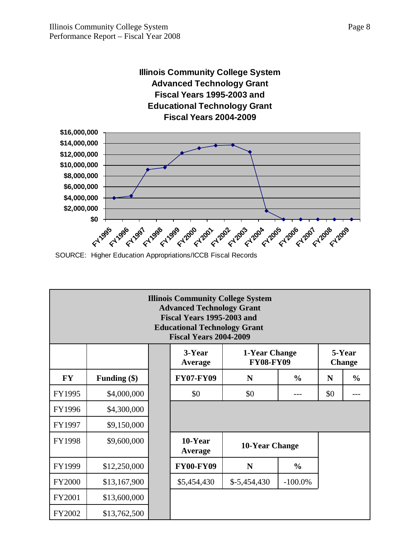#### **Illinois Community College System Advanced Technology Grant Fiscal Years 1995-2003 and Educational Technology Grant Fiscal Years 2004-2009**



SOURCE: Higher Education Appropriations/ICCB Fiscal Records

| <b>Illinois Community College System</b><br><b>Advanced Technology Grant</b><br>Fiscal Years 1995-2003 and<br><b>Educational Technology Grant</b><br><b>Fiscal Years 2004-2009</b> |                |  |                    |                                   |               |     |                         |  |  |
|------------------------------------------------------------------------------------------------------------------------------------------------------------------------------------|----------------|--|--------------------|-----------------------------------|---------------|-----|-------------------------|--|--|
|                                                                                                                                                                                    |                |  | 3-Year<br>Average  | 1-Year Change<br><b>FY08-FY09</b> |               |     | 5-Year<br><b>Change</b> |  |  |
| <b>FY</b>                                                                                                                                                                          | Funding $(\$)$ |  | <b>FY07-FY09</b>   | N<br>$\frac{0}{0}$                |               |     |                         |  |  |
| FY1995                                                                                                                                                                             | \$4,000,000    |  | \$0                | \$0                               |               | \$0 |                         |  |  |
| FY1996                                                                                                                                                                             | \$4,300,000    |  |                    |                                   |               |     |                         |  |  |
| FY1997                                                                                                                                                                             | \$9,150,000    |  |                    |                                   |               |     |                         |  |  |
| FY1998                                                                                                                                                                             | \$9,600,000    |  | 10-Year<br>Average | 10-Year Change                    |               |     |                         |  |  |
| FY1999                                                                                                                                                                             | \$12,250,000   |  | <b>FY00-FY09</b>   | N                                 | $\frac{0}{0}$ |     |                         |  |  |
| <b>FY2000</b>                                                                                                                                                                      | \$13,167,900   |  | \$5,454,430        | $$-5,454,430$                     | $-100.0\%$    |     |                         |  |  |
| FY2001                                                                                                                                                                             | \$13,600,000   |  |                    |                                   |               |     |                         |  |  |
| FY2002                                                                                                                                                                             | \$13,762,500   |  |                    |                                   |               |     |                         |  |  |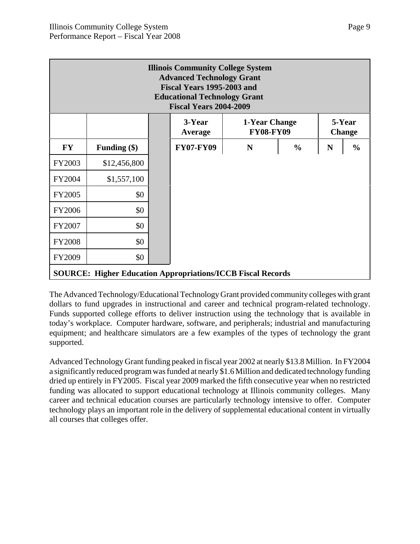| <b>Illinois Community College System</b><br><b>Advanced Technology Grant</b><br>Fiscal Years 1995-2003 and<br><b>Educational Technology Grant</b><br><b>Fiscal Years 2004-2009</b> |                                                                    |  |                  |   |               |   |               |  |  |
|------------------------------------------------------------------------------------------------------------------------------------------------------------------------------------|--------------------------------------------------------------------|--|------------------|---|---------------|---|---------------|--|--|
| 3-Year<br>5-Year<br>1-Year Change<br><b>FY08-FY09</b><br><b>Change</b><br>Average                                                                                                  |                                                                    |  |                  |   |               |   |               |  |  |
| <b>FY</b>                                                                                                                                                                          | Funding $(\$)$                                                     |  | <b>FY07-FY09</b> | N | $\frac{0}{0}$ | N | $\frac{6}{6}$ |  |  |
| FY2003                                                                                                                                                                             | \$12,456,800                                                       |  |                  |   |               |   |               |  |  |
| FY2004                                                                                                                                                                             | \$1,557,100                                                        |  |                  |   |               |   |               |  |  |
| <b>FY2005</b>                                                                                                                                                                      | \$0                                                                |  |                  |   |               |   |               |  |  |
| <b>FY2006</b>                                                                                                                                                                      | \$0                                                                |  |                  |   |               |   |               |  |  |
| FY2007                                                                                                                                                                             | \$0                                                                |  |                  |   |               |   |               |  |  |
| <b>FY2008</b>                                                                                                                                                                      | \$0                                                                |  |                  |   |               |   |               |  |  |
| <b>FY2009</b>                                                                                                                                                                      | \$0                                                                |  |                  |   |               |   |               |  |  |
|                                                                                                                                                                                    | <b>SOURCE: Higher Education Appropriations/ICCB Fiscal Records</b> |  |                  |   |               |   |               |  |  |

The Advanced Technology/Educational Technology Grant provided community colleges with grant dollars to fund upgrades in instructional and career and technical program-related technology. Funds supported college efforts to deliver instruction using the technology that is available in today's workplace. Computer hardware, software, and peripherals; industrial and manufacturing equipment; and healthcare simulators are a few examples of the types of technology the grant supported.

Advanced Technology Grant funding peaked in fiscal year 2002 at nearly \$13.8 Million. In FY2004 a significantly reduced program was funded at nearly \$1.6 Million and dedicated technology funding dried up entirely in FY2005. Fiscal year 2009 marked the fifth consecutive year when no restricted funding was allocated to support educational technology at Illinois community colleges. Many career and technical education courses are particularly technology intensive to offer. Computer technology plays an important role in the delivery of supplemental educational content in virtually all courses that colleges offer.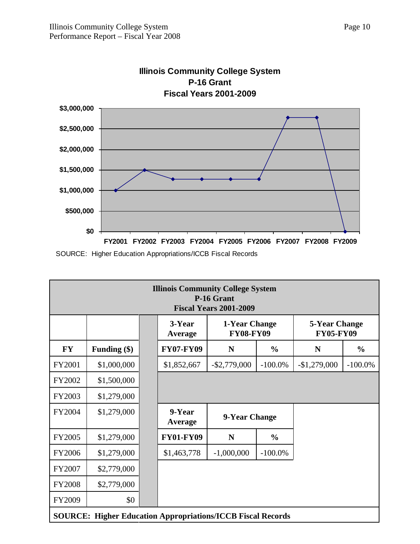

### **Illinois Community College System P-16 Grant**

SOURCE: Higher Education Appropriations/ICCB Fiscal Records

| <b>Illinois Community College System</b><br>P-16 Grant<br><b>Fiscal Years 2001-2009</b> |                                                                    |  |                                                                                                    |                 |               |               |               |  |  |
|-----------------------------------------------------------------------------------------|--------------------------------------------------------------------|--|----------------------------------------------------------------------------------------------------|-----------------|---------------|---------------|---------------|--|--|
|                                                                                         |                                                                    |  | 3-Year<br>1-Year Change<br><b>5-Year Change</b><br><b>FY08-FY09</b><br><b>FY05-FY09</b><br>Average |                 |               |               |               |  |  |
| <b>FY</b>                                                                               | Funding (\$)                                                       |  | <b>FY07-FY09</b>                                                                                   | N               | $\frac{6}{9}$ | N             | $\frac{0}{0}$ |  |  |
| FY2001                                                                                  | \$1,000,000                                                        |  | \$1,852,667                                                                                        | $-$ \$2,779,000 | $-100.0\%$    | $-$1,279,000$ | $-100.0\%$    |  |  |
| FY2002                                                                                  | \$1,500,000                                                        |  |                                                                                                    |                 |               |               |               |  |  |
| FY2003                                                                                  | \$1,279,000                                                        |  |                                                                                                    |                 |               |               |               |  |  |
| FY2004                                                                                  | \$1,279,000                                                        |  | 9-Year<br><b>Average</b>                                                                           | 9-Year Change   |               |               |               |  |  |
| FY2005                                                                                  | \$1,279,000                                                        |  | <b>FY01-FY09</b>                                                                                   | N               | $\frac{6}{9}$ |               |               |  |  |
| FY2006                                                                                  | \$1,279,000                                                        |  | \$1,463,778                                                                                        | $-1,000,000$    | $-100.0\%$    |               |               |  |  |
| FY2007                                                                                  | \$2,779,000                                                        |  |                                                                                                    |                 |               |               |               |  |  |
| <b>FY2008</b>                                                                           | \$2,779,000                                                        |  |                                                                                                    |                 |               |               |               |  |  |
| FY2009                                                                                  | \$0                                                                |  |                                                                                                    |                 |               |               |               |  |  |
|                                                                                         | <b>SOURCE: Higher Education Appropriations/ICCB Fiscal Records</b> |  |                                                                                                    |                 |               |               |               |  |  |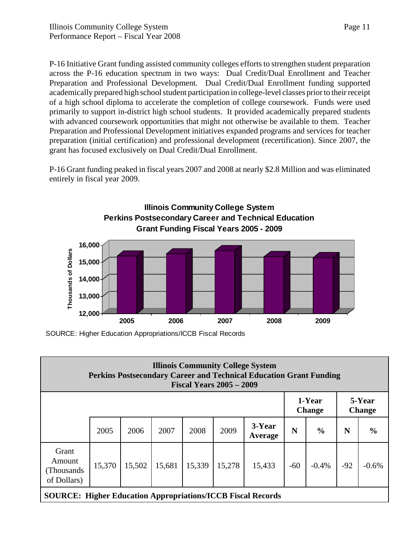P-16 Initiative Grant funding assisted community colleges efforts to strengthen student preparation across the P-16 education spectrum in two ways: Dual Credit/Dual Enrollment and Teacher Preparation and Professional Development. Dual Credit/Dual Enrollment funding supported academically prepared high school student participation in college-level classes prior to their receipt of a high school diploma to accelerate the completion of college coursework. Funds were used primarily to support in-district high school students. It provided academically prepared students with advanced coursework opportunities that might not otherwise be available to them. Teacher Preparation and Professional Development initiatives expanded programs and services for teacher preparation (initial certification) and professional development (recertification). Since 2007, the grant has focused exclusively on Dual Credit/Dual Enrollment.

P-16 Grant funding peaked in fiscal years 2007 and 2008 at nearly \$2.8 Million and was eliminated entirely in fiscal year 2009.



SOURCE: Higher Education Appropriations/ICCB Fiscal Records

| <b>Illinois Community College System</b><br><b>Perkins Postsecondary Career and Technical Education Grant Funding</b><br><b>Fiscal Years 2005 – 2009</b> |                                                                    |        |        |        |        |                   |                         |               |                         |               |  |
|----------------------------------------------------------------------------------------------------------------------------------------------------------|--------------------------------------------------------------------|--------|--------|--------|--------|-------------------|-------------------------|---------------|-------------------------|---------------|--|
|                                                                                                                                                          |                                                                    |        |        |        |        |                   | 1-Year<br><b>Change</b> |               | 5-Year<br><b>Change</b> |               |  |
|                                                                                                                                                          | 2005                                                               | 2006   | 2007   | 2008   | 2009   | 3-Year<br>Average | N                       | $\frac{0}{0}$ | N                       | $\frac{6}{6}$ |  |
| Grant<br>Amount<br>(Thousands)<br>of Dollars)                                                                                                            | 15,370                                                             | 15,502 | 15,681 | 15,339 | 15,278 | 15,433            | $-60$                   | $-0.4%$       | $-92$                   | $-0.6%$       |  |
|                                                                                                                                                          | <b>SOURCE: Higher Education Appropriations/ICCB Fiscal Records</b> |        |        |        |        |                   |                         |               |                         |               |  |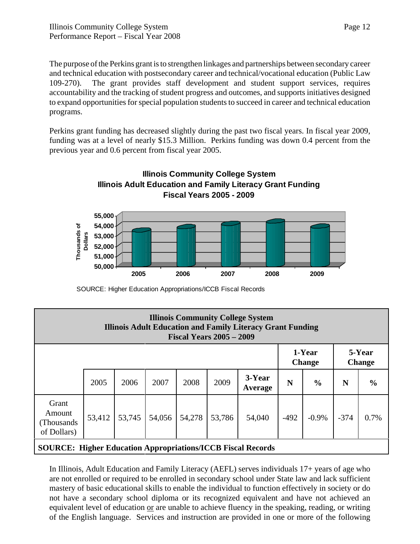The purpose of the Perkins grant is to strengthen linkages and partnerships between secondary career and technical education with postsecondary career and technical/vocational education (Public Law 109-270). The grant provides staff development and student support services, requires accountability and the tracking of student progress and outcomes, and supports initiatives designed to expand opportunities for special population students to succeed in career and technical education programs.

Perkins grant funding has decreased slightly during the past two fiscal years. In fiscal year 2009, funding was at a level of nearly \$15.3 Million. Perkins funding was down 0.4 percent from the previous year and 0.6 percent from fiscal year 2005.



SOURCE: Higher Education Appropriations/ICCB Fiscal Records

| <b>Illinois Community College System</b><br><b>Illinois Adult Education and Family Literacy Grant Funding</b><br><b>Fiscal Years 2005 - 2009</b> |        |        |        |        |        |                         |        |                         |        |               |
|--------------------------------------------------------------------------------------------------------------------------------------------------|--------|--------|--------|--------|--------|-------------------------|--------|-------------------------|--------|---------------|
|                                                                                                                                                  |        |        |        |        |        | 1-Year<br><b>Change</b> |        | 5-Year<br><b>Change</b> |        |               |
|                                                                                                                                                  | 2005   | 2006   | 2007   | 2008   | 2009   | 3-Year<br>Average       | N      | $\frac{0}{0}$           | N      | $\frac{6}{6}$ |
| Grant<br>Amount<br>(Thousands)<br>of Dollars)                                                                                                    | 53,412 | 53,745 | 54,056 | 54,278 | 53,786 | 54,040                  | $-492$ | $-0.9\%$                | $-374$ | 0.7%          |

**SOURCE: Higher Education Appropriations/ICCB Fiscal Records**

In Illinois, Adult Education and Family Literacy (AEFL) serves individuals 17+ years of age who are not enrolled or required to be enrolled in secondary school under State law and lack sufficient mastery of basic educational skills to enable the individual to function effectively in society or do not have a secondary school diploma or its recognized equivalent and have not achieved an equivalent level of education or are unable to achieve fluency in the speaking, reading, or writing of the English language. Services and instruction are provided in one or more of the following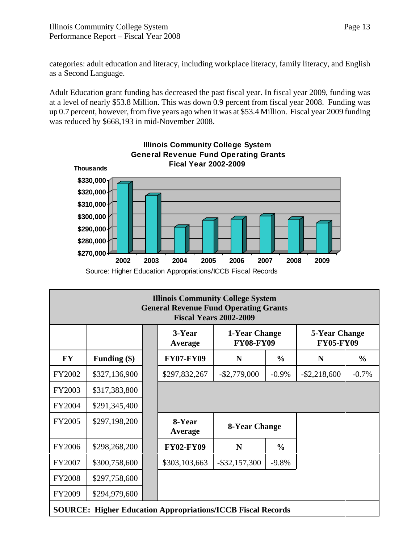categories: adult education and literacy, including workplace literacy, family literacy, and English as a Second Language.

Adult Education grant funding has decreased the past fiscal year. In fiscal year 2009, funding was at a level of nearly \$53.8 Million. This was down 0.9 percent from fiscal year 2008. Funding was up 0.7 percent, however, from five years ago when it was at \$53.4 Million. Fiscal year 2009 funding was reduced by \$668,193 in mid-November 2008.



| <b>Illinois Community College System</b><br><b>General Revenue Fund Operating Grants</b><br><b>Fiscal Years 2002-2009</b> |                |  |                   |                                   |               |                                   |               |  |
|---------------------------------------------------------------------------------------------------------------------------|----------------|--|-------------------|-----------------------------------|---------------|-----------------------------------|---------------|--|
|                                                                                                                           |                |  | 3-Year<br>Average | 1-Year Change<br><b>FY08-FY09</b> |               | 5-Year Change<br><b>FY05-FY09</b> |               |  |
| <b>FY</b>                                                                                                                 | Funding $(\$)$ |  | <b>FY07-FY09</b>  | N                                 | $\frac{6}{6}$ | N                                 | $\frac{0}{0}$ |  |
| FY2002                                                                                                                    | \$327,136,900  |  | \$297,832,267     | $-$ \$2,779,000                   | $-0.9\%$      | $-$ \$2,218,600                   | $-0.7%$       |  |
| FY2003                                                                                                                    | \$317,383,800  |  |                   |                                   |               |                                   |               |  |
| FY2004                                                                                                                    | \$291,345,400  |  |                   |                                   |               |                                   |               |  |
| <b>FY2005</b>                                                                                                             | \$297,198,200  |  | 8-Year<br>Average | 8-Year Change                     |               |                                   |               |  |
| <b>FY2006</b>                                                                                                             | \$298,268,200  |  | <b>FY02-FY09</b>  | N                                 | $\frac{0}{0}$ |                                   |               |  |
| FY2007                                                                                                                    | \$300,758,600  |  | \$303,103,663     | $-$ \$32,157,300                  | $-9.8%$       |                                   |               |  |
| <b>FY2008</b>                                                                                                             | \$297,758,600  |  |                   |                                   |               |                                   |               |  |
| FY2009                                                                                                                    | \$294,979,600  |  |                   |                                   |               |                                   |               |  |
| <b>SOURCE: Higher Education Appropriations/ICCB Fiscal Records</b>                                                        |                |  |                   |                                   |               |                                   |               |  |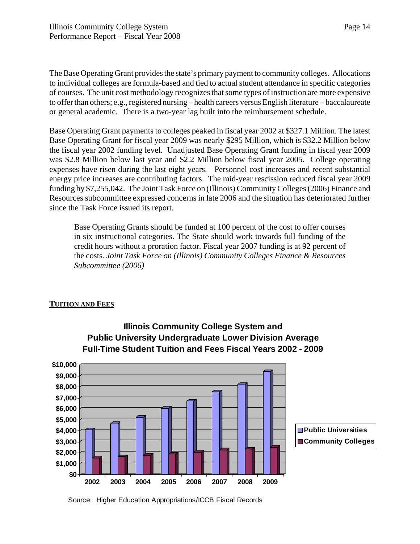The Base Operating Grant provides the state's primary payment to community colleges. Allocations to individual colleges are formula-based and tied to actual student attendance in specific categories of courses. The unit cost methodology recognizes that some types of instruction are more expensive to offer than others; e.g., registered nursing – health careers versus English literature – baccalaureate or general academic. There is a two-year lag built into the reimbursement schedule.

Base Operating Grant payments to colleges peaked in fiscal year 2002 at \$327.1 Million. The latest Base Operating Grant for fiscal year 2009 was nearly \$295 Million, which is \$32.2 Million below the fiscal year 2002 funding level. Unadjusted Base Operating Grant funding in fiscal year 2009 was \$2.8 Million below last year and \$2.2 Million below fiscal year 2005. College operating expenses have risen during the last eight years. Personnel cost increases and recent substantial energy price increases are contributing factors. The mid-year rescission reduced fiscal year 2009 funding by \$7,255,042. The Joint Task Force on (Illinois) Community Colleges (2006) Finance and Resources subcommittee expressed concerns in late 2006 and the situation has deteriorated further since the Task Force issued its report.

Base Operating Grants should be funded at 100 percent of the cost to offer courses in six instructional categories. The State should work towards full funding of the credit hours without a proration factor. Fiscal year 2007 funding is at 92 percent of the costs. *Joint Task Force on (Illinois) Community Colleges Finance & Resources Subcommittee (2006)*

#### **TUITION AND FEES**



**Illinois Community College System and Public University Undergraduate Lower Division Average Full-Time Student Tuition and Fees Fiscal Years 2002 - 2009**

Source: Higher Education Appropriations/ICCB Fiscal Records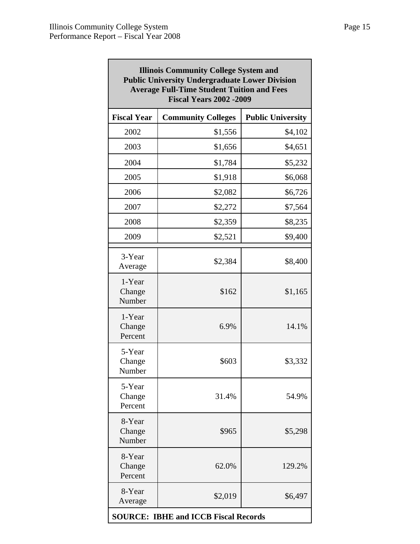| <b>Illinois Community College System and</b><br><b>Public University Undergraduate Lower Division</b><br><b>Average Full-Time Student Tuition and Fees</b><br><b>Fiscal Years 2002 -2009</b> |                                             |                          |  |  |  |  |
|----------------------------------------------------------------------------------------------------------------------------------------------------------------------------------------------|---------------------------------------------|--------------------------|--|--|--|--|
| <b>Fiscal Year</b>                                                                                                                                                                           | <b>Community Colleges</b>                   | <b>Public University</b> |  |  |  |  |
| 2002                                                                                                                                                                                         | \$1,556                                     | \$4,102                  |  |  |  |  |
| 2003                                                                                                                                                                                         | \$1,656                                     | \$4,651                  |  |  |  |  |
| 2004                                                                                                                                                                                         | \$1,784                                     | \$5,232                  |  |  |  |  |
| 2005                                                                                                                                                                                         | \$1,918                                     | \$6,068                  |  |  |  |  |
| 2006                                                                                                                                                                                         | \$2,082                                     | \$6,726                  |  |  |  |  |
| 2007                                                                                                                                                                                         | \$2,272                                     | \$7,564                  |  |  |  |  |
| 2008                                                                                                                                                                                         | \$2,359                                     | \$8,235                  |  |  |  |  |
| 2009                                                                                                                                                                                         | \$2,521                                     | \$9,400                  |  |  |  |  |
| 3-Year<br>Average                                                                                                                                                                            | \$2,384                                     | \$8,400                  |  |  |  |  |
| 1-Year<br>Change<br>Number                                                                                                                                                                   | \$162                                       | \$1,165                  |  |  |  |  |
| 1-Year<br>Change<br>Percent                                                                                                                                                                  | 6.9%                                        | 14.1%                    |  |  |  |  |
| 5-Year<br>Change<br>Number                                                                                                                                                                   | \$603                                       | \$3,332                  |  |  |  |  |
| 5-Year<br>Change<br>Percent                                                                                                                                                                  | 31.4%                                       | 54.9%                    |  |  |  |  |
| 8-Year<br>Change<br>Number                                                                                                                                                                   | \$965                                       | \$5,298                  |  |  |  |  |
| 8-Year<br>Change<br>Percent                                                                                                                                                                  | 62.0%                                       | 129.2%                   |  |  |  |  |
| 8-Year<br>Average                                                                                                                                                                            | \$2,019                                     | \$6,497                  |  |  |  |  |
|                                                                                                                                                                                              | <b>SOURCE: IBHE and ICCB Fiscal Records</b> |                          |  |  |  |  |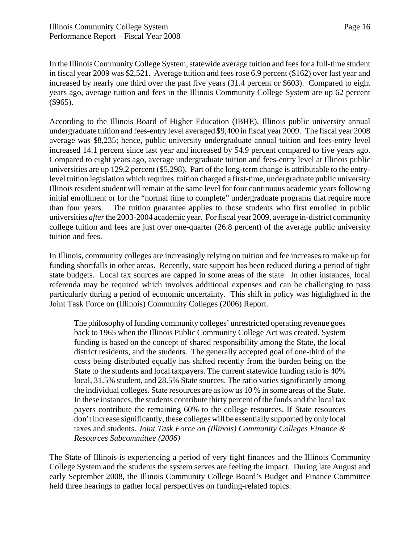In the Illinois Community College System, statewide average tuition and fees for a full-time student in fiscal year 2009 was \$2,521. Average tuition and fees rose 6.9 percent (\$162) over last year and increased by nearly one third over the past five years (31.4 percent or \$603). Compared to eight years ago, average tuition and fees in the Illinois Community College System are up 62 percent (\$965).

According to the Illinois Board of Higher Education (IBHE), Illinois public university annual undergraduate tuition and fees-entry level averaged \$9,400 in fiscal year 2009. The fiscal year 2008 average was \$8,235; hence, public university undergraduate annual tuition and fees-entry level increased 14.1 percent since last year and increased by 54.9 percent compared to five years ago. Compared to eight years ago, average undergraduate tuition and fees-entry level at Illinois public universities are up 129.2 percent (\$5,298). Part of the long-term change is attributable to the entrylevel tuition legislation which requires tuition charged a first-time, undergraduate public university Illinois resident student will remain at the same level for four continuous academic years following initial enrollment or for the "normal time to complete" undergraduate programs that require more than four years. The tuition guarantee applies to those students who first enrolled in public universities *after* the 2003-2004 academic year. For fiscal year 2009, average in-district community college tuition and fees are just over one-quarter (26.8 percent) of the average public university tuition and fees.

In Illinois, community colleges are increasingly relying on tuition and fee increases to make up for funding shortfalls in other areas. Recently, state support has been reduced during a period of tight state budgets. Local tax sources are capped in some areas of the state. In other instances, local referenda may be required which involves additional expenses and can be challenging to pass particularly during a period of economic uncertainty. This shift in policy was highlighted in the Joint Task Force on (Illinois) Community Colleges (2006) Report.

The philosophy of funding community colleges' unrestricted operating revenue goes back to 1965 when the Illinois Public Community College Act was created. System funding is based on the concept of shared responsibility among the State, the local district residents, and the students. The generally accepted goal of one-third of the costs being distributed equally has shifted recently from the burden being on the State to the students and local taxpayers. The current statewide funding ratio is 40% local, 31.5% student, and 28.5% State sources. The ratio varies significantly among the individual colleges. State resources are as low as 10 % in some areas of the State. In these instances, the students contribute thirty percent of the funds and the local tax payers contribute the remaining 60% to the college resources. If State resources don't increase significantly, these colleges will be essentially supported by only local taxes and students. *Joint Task Force on (Illinois) Community Colleges Finance & Resources Subcommittee (2006)*

The State of Illinois is experiencing a period of very tight finances and the Illinois Community College System and the students the system serves are feeling the impact. During late August and early September 2008, the Illinois Community College Board's Budget and Finance Committee held three hearings to gather local perspectives on funding-related topics.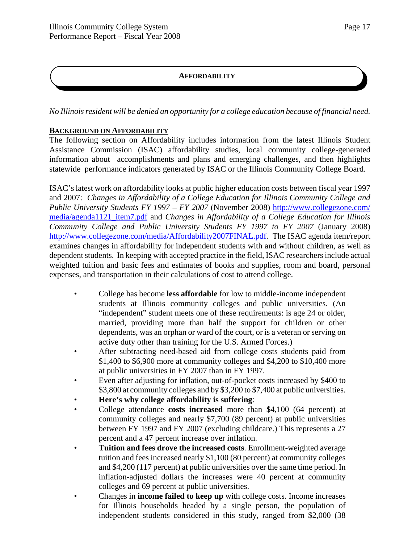#### **AFFORDABILITY**

*No Illinois resident will be denied an opportunity for a college education because of financial need.*

#### **BACKGROUND ON AFFORDABILITY**

The following section on Affordability includes information from the latest Illinois Student Assistance Commission (ISAC) affordability studies, local community college-generated information about accomplishments and plans and emerging challenges, and then highlights statewide performance indicators generated by ISAC or the Illinois Community College Board.

ISAC's latest work on affordability looks at public higher education costs between fiscal year 1997 and 2007: *Changes in Affordability of a College Education for Illinois Community College and Public University Students FY 1997 – FY 2007* (November 2008) http://www.collegezone.com/ media/agenda1121\_item7.pdf and *Changes in Affordability of a College Education for Illinois Community College and Public University Students FY 1997 to FY 2007* (January 2008) http://www.collegezone.com/media/Affordability2007FINAL.pdf. The ISAC agenda item/report examines changes in affordability for independent students with and without children, as well as dependent students. In keeping with accepted practice in the field, ISAC researchers include actual weighted tuition and basic fees and estimates of books and supplies, room and board, personal expenses, and transportation in their calculations of cost to attend college.

- College has become **less affordable** for low to middle-income independent students at Illinois community colleges and public universities. (An "independent" student meets one of these requirements: is age 24 or older, married, providing more than half the support for children or other dependents, was an orphan or ward of the court, or is a veteran or serving on active duty other than training for the U.S. Armed Forces.)
- After subtracting need-based aid from college costs students paid from \$1,400 to \$6,900 more at community colleges and \$4,200 to \$10,400 more at public universities in FY 2007 than in FY 1997.
- Even after adjusting for inflation, out-of-pocket costs increased by \$400 to \$3,800 at community colleges and by \$3,200 to \$7,400 at public universities.
- **Here's why college affordability is suffering**:
- College attendance **costs increased** more than \$4,100 (64 percent) at community colleges and nearly \$7,700 (89 percent) at public universities between FY 1997 and FY 2007 (excluding childcare.) This represents a 27 percent and a 47 percent increase over inflation.
- **Tuition and fees drove the increased costs**. Enrollment-weighted average tuition and fees increased nearly \$1,100 (80 percent) at community colleges and \$4,200 (117 percent) at public universities over the same time period. In inflation-adjusted dollars the increases were 40 percent at community colleges and 69 percent at public universities.
- Changes in **income failed to keep up** with college costs. Income increases for Illinois households headed by a single person, the population of independent students considered in this study, ranged from \$2,000 (38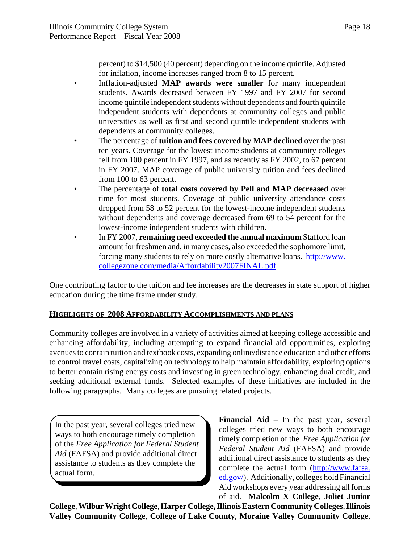percent) to \$14,500 (40 percent) depending on the income quintile. Adjusted for inflation, income increases ranged from 8 to 15 percent.

- Inflation-adjusted **MAP awards were smaller** for many independent students. Awards decreased between FY 1997 and FY 2007 for second income quintile independent students without dependents and fourth quintile independent students with dependents at community colleges and public universities as well as first and second quintile independent students with dependents at community colleges.
- The percentage of **tuition and fees covered by MAP declined** over the past ten years. Coverage for the lowest income students at community colleges fell from 100 percent in FY 1997, and as recently as FY 2002, to 67 percent in FY 2007. MAP coverage of public university tuition and fees declined from 100 to 63 percent.
- The percentage of **total costs covered by Pell and MAP decreased** over time for most students. Coverage of public university attendance costs dropped from 58 to 52 percent for the lowest-income independent students without dependents and coverage decreased from 69 to 54 percent for the lowest-income independent students with children.
- In FY 2007, **remaining need exceeded the annual maximum** Stafford loan amount for freshmen and, in many cases, also exceeded the sophomore limit, forcing many students to rely on more costly alternative loans. http://www. collegezone.com/media/Affordability2007FINAL.pdf

One contributing factor to the tuition and fee increases are the decreases in state support of higher education during the time frame under study.

#### **HIGHLIGHTS OF 2008 AFFORDABILITY ACCOMPLISHMENTS AND PLANS**

Community colleges are involved in a variety of activities aimed at keeping college accessible and enhancing affordability, including attempting to expand financial aid opportunities, exploring avenues to contain tuition and textbook costs, expanding online/distance education and other efforts to control travel costs, capitalizing on technology to help maintain affordability, exploring options to better contain rising energy costs and investing in green technology, enhancing dual credit, and seeking additional external funds. Selected examples of these initiatives are included in the following paragraphs. Many colleges are pursuing related projects.

In the past year, several colleges tried new ways to both encourage timely completion of the *Free Application for Federal Student Aid* (FAFSA) and provide additional direct assistance to students as they complete the actual form.

**Financial Aid** – In the past year, several colleges tried new ways to both encourage timely completion of the *Free Application for Federal Student Aid* (FAFSA) and provide additional direct assistance to students as they complete the actual form (http://www.fafsa. ed.gov/). Additionally, colleges hold Financial Aid workshops every year addressing all forms of aid. **Malcolm X College**, **Joliet Junior**

**College**, **Wilbur Wright College**, **Harper College,Illinois Eastern Community Colleges**, **Illinois Valley Community College**, **College of Lake County**, **Moraine Valley Community College**,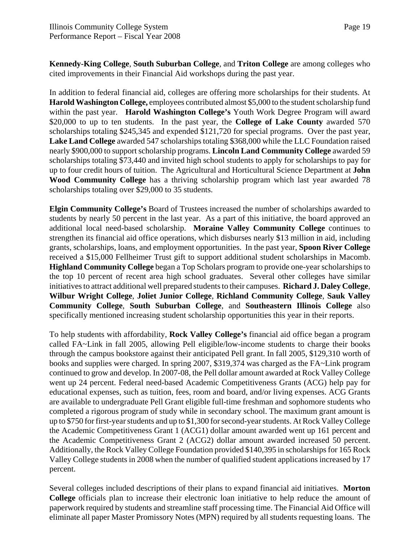**Kennedy-King College**, **South Suburban College**, and **Triton College** are among colleges who cited improvements in their Financial Aid workshops during the past year.

In addition to federal financial aid, colleges are offering more scholarships for their students. At **Harold Washington College,** employees contributed almost \$5,000 to the student scholarship fund within the past year. **Harold Washington College's** Youth Work Degree Program will award \$20,000 to up to ten students. In the past year, the **College of Lake County** awarded 570 scholarships totaling \$245,345 and expended \$121,720 for special programs. Over the past year, **Lake Land College** awarded 547 scholarships totaling \$368,000 while the LLC Foundation raised nearly \$900,000 to support scholarship programs. **Lincoln Land Community College** awarded 59 scholarships totaling \$73,440 and invited high school students to apply for scholarships to pay for up to four credit hours of tuition. The Agricultural and Horticultural Science Department at **John Wood Community College** has a thriving scholarship program which last year awarded 78 scholarships totaling over \$29,000 to 35 students.

**Elgin Community College's** Board of Trustees increased the number of scholarships awarded to students by nearly 50 percent in the last year. As a part of this initiative, the board approved an additional local need-based scholarship. **Moraine Valley Community College** continues to strengthen its financial aid office operations, which disburses nearly \$13 million in aid, including grants, scholarships, loans, and employment opportunities. In the past year, **Spoon River College** received a \$15,000 Fellheimer Trust gift to support additional student scholarships in Macomb. **Highland Community College** began a Top Scholars program to provide one-year scholarships to the top 10 percent of recent area high school graduates. Several other colleges have similar initiatives to attract additional well prepared students to their campuses. **Richard J. Daley College**, **Wilbur Wright College**, **Joliet Junior College**, **Richland Community College**, **Sauk Valley Community College**, **South Suburban College**, and **Southeastern Illinois College** also specifically mentioned increasing student scholarship opportunities this year in their reports.

To help students with affordability, **Rock Valley College's** financial aid office began a program called FA~Link in fall 2005, allowing Pell eligible/low-income students to charge their books through the campus bookstore against their anticipated Pell grant. In fall 2005, \$129,310 worth of books and supplies were charged. In spring 2007, \$319,374 was charged as the FA~Link program continued to grow and develop. In 2007-08, the Pell dollar amount awarded at Rock Valley College went up 24 percent. Federal need-based Academic Competitiveness Grants (ACG) help pay for educational expenses, such as tuition, fees, room and board, and/or living expenses. ACG Grants are available to undergraduate Pell Grant eligible full-time freshman and sophomore students who completed a rigorous program of study while in secondary school. The maximum grant amount is up to \$750 for first-year students and up to \$1,300 for second-year students. At Rock Valley College the Academic Competitiveness Grant 1 (ACG1) dollar amount awarded went up 161 percent and the Academic Competitiveness Grant 2 (ACG2) dollar amount awarded increased 50 percent. Additionally, the Rock Valley College Foundation provided \$140,395 in scholarships for 165 Rock Valley College students in 2008 when the number of qualified student applications increased by 17 percent.

Several colleges included descriptions of their plans to expand financial aid initiatives. **Morton College** officials plan to increase their electronic loan initiative to help reduce the amount of paperwork required by students and streamline staff processing time. The Financial Aid Office will eliminate all paper Master Promissory Notes (MPN) required by all students requesting loans. The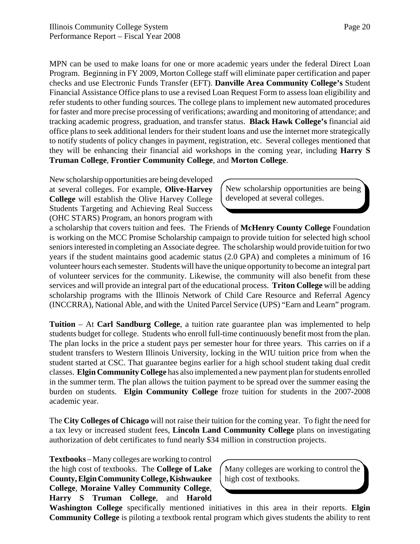MPN can be used to make loans for one or more academic years under the federal Direct Loan Program. Beginning in FY 2009, Morton College staff will eliminate paper certification and paper checks and use Electronic Funds Transfer (EFT). **Danville Area Community College's** Student Financial Assistance Office plans to use a revised Loan Request Form to assess loan eligibility and refer students to other funding sources. The college plans to implement new automated procedures for faster and more precise processing of verifications; awarding and monitoring of attendance; and tracking academic progress, graduation, and transfer status. **Black Hawk College's** financial aid office plans to seek additional lenders for their student loans and use the internet more strategically to notify students of policy changes in payment, registration, etc. Several colleges mentioned that they will be enhancing their financial aid workshops in the coming year, including **Harry S Truman College**, **Frontier Community College**, and **Morton College**.

New scholarship opportunities are being developed at several colleges. For example, **Olive-Harvey College** will establish the Olive Harvey College Students Targeting and Achieving Real Success (OHC STARS) Program, an honors program with

New scholarship opportunities are being developed at several colleges.

a scholarship that covers tuition and fees. The Friends of **McHenry County College** Foundation is working on the MCC Promise Scholarship campaign to provide tuition for selected high school seniors interested in completing an Associate degree. The scholarship would provide tuition for two years if the student maintains good academic status (2.0 GPA) and completes a minimum of 16 volunteer hours each semester. Students will have the unique opportunity to become an integral part of volunteer services for the community. Likewise, the community will also benefit from these services and will provide an integral part of the educational process. **Triton College** will be adding scholarship programs with the Illinois Network of Child Care Resource and Referral Agency (INCCRRA), National Able, and with the United Parcel Service (UPS) "Earn and Learn" program.

**Tuition** – At **Carl Sandburg College**, a tuition rate guarantee plan was implemented to help students budget for college. Students who enroll full-time continuously benefit most from the plan. The plan locks in the price a student pays per semester hour for three years. This carries on if a student transfers to Western Illinois University, locking in the WIU tuition price from when the student started at CSC. That guarantee begins earlier for a high school student taking dual credit classes. **Elgin Community College** has also implemented a new payment plan for students enrolled in the summer term. The plan allows the tuition payment to be spread over the summer easing the burden on students. **Elgin Community College** froze tuition for students in the 2007-2008 academic year.

The **City Colleges of Chicago** will not raise their tuition for the coming year. To fight the need for a tax levy or increased student fees, **Lincoln Land Community College** plans on investigating authorization of debt certificates to fund nearly \$34 million in construction projects.

**Textbooks** – Many colleges are working to control the high cost of textbooks. The **College of Lake County, Elgin Community College, Kishwaukee College**, **Moraine Valley Community College**, **Harry S Truman College**, and **Harold**

Many colleges are working to control the high cost of textbooks.

**Washington College** specifically mentioned initiatives in this area in their reports. **Elgin Community College** is piloting a textbook rental program which gives students the ability to rent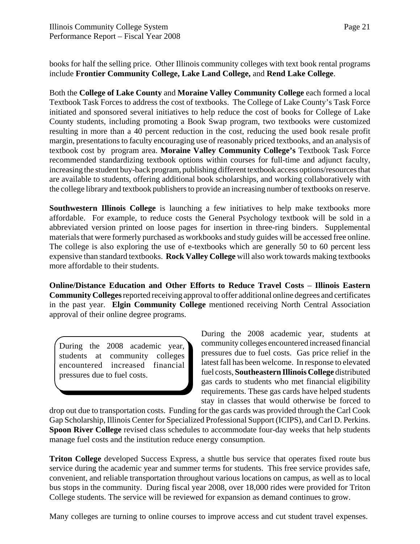books for half the selling price. Other Illinois community colleges with text book rental programs include **Frontier Community College, Lake Land College,** and **Rend Lake College**.

Both the **College of Lake County** and **Moraine Valley Community College** each formed a local Textbook Task Forces to address the cost of textbooks. The College of Lake County's Task Force initiated and sponsored several initiatives to help reduce the cost of books for College of Lake County students, including promoting a Book Swap program, two textbooks were customized resulting in more than a 40 percent reduction in the cost, reducing the used book resale profit margin, presentations to faculty encouraging use of reasonably priced textbooks, and an analysis of textbook cost by program area. **Moraine Valley Community College's** Textbook Task Force recommended standardizing textbook options within courses for full-time and adjunct faculty, increasing the student buy-back program, publishing different textbook access options/resources that are available to students, offering additional book scholarships, and working collaboratively with the college library and textbook publishers to provide an increasing number of textbooks on reserve.

**Southwestern Illinois College** is launching a few initiatives to help make textbooks more affordable. For example, to reduce costs the General Psychology textbook will be sold in a abbreviated version printed on loose pages for insertion in three-ring binders. Supplemental materials that were formerly purchased as workbooks and study guides will be accessed free online. The college is also exploring the use of e-textbooks which are generally 50 to 60 percent less expensive than standard textbooks. **Rock Valley College** will also work towards making textbooks more affordable to their students.

**Online/Distance Education and Other Efforts to Reduce Travel Costs** – **Illinois Eastern Community Colleges** reported receiving approval to offer additional online degrees and certificates in the past year. **Elgin Community College** mentioned receiving North Central Association approval of their online degree programs.

During the 2008 academic year, students at community colleges encountered increased financial pressures due to fuel costs.

During the 2008 academic year, students at community colleges encountered increased financial pressures due to fuel costs. Gas price relief in the latest fall has been welcome. In response to elevated fuel costs, **Southeastern Illinois College** distributed gas cards to students who met financial eligibility requirements. These gas cards have helped students stay in classes that would otherwise be forced to

drop out due to transportation costs. Funding for the gas cards was provided through the Carl Cook Gap Scholarship, Illinois Center for Specialized Professional Support (ICIPS), and Carl D. Perkins. **Spoon River College** revised class schedules to accommodate four-day weeks that help students manage fuel costs and the institution reduce energy consumption.

**Triton College** developed Success Express, a shuttle bus service that operates fixed route bus service during the academic year and summer terms for students. This free service provides safe, convenient, and reliable transportation throughout various locations on campus, as well as to local bus stops in the community. During fiscal year 2008, over 18,000 rides were provided for Triton College students. The service will be reviewed for expansion as demand continues to grow.

Many colleges are turning to online courses to improve access and cut student travel expenses.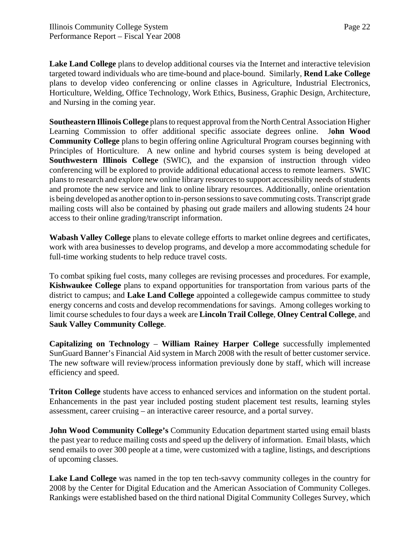**Lake Land College** plans to develop additional courses via the Internet and interactive television targeted toward individuals who are time-bound and place-bound. Similarly, **Rend Lake College** plans to develop video conferencing or online classes in Agriculture, Industrial Electronics, Horticulture, Welding, Office Technology, Work Ethics, Business, Graphic Design, Architecture, and Nursing in the coming year.

**Southeastern Illinois College** plans to request approval from the North Central Association Higher Learning Commission to offer additional specific associate degrees online. J**ohn Wood Community College** plans to begin offering online Agricultural Program courses beginning with Principles of Horticulture. A new online and hybrid courses system is being developed at **Southwestern Illinois College** (SWIC), and the expansion of instruction through video conferencing will be explored to provide additional educational access to remote learners. SWIC plans to research and explore new online library resources to support accessibility needs of students and promote the new service and link to online library resources. Additionally, online orientation is being developed as another option to in-person sessions to save commuting costs. Transcript grade mailing costs will also be contained by phasing out grade mailers and allowing students 24 hour access to their online grading/transcript information.

**Wabash Valley College** plans to elevate college efforts to market online degrees and certificates, work with area businesses to develop programs, and develop a more accommodating schedule for full-time working students to help reduce travel costs.

To combat spiking fuel costs, many colleges are revising processes and procedures. For example, **Kishwaukee College** plans to expand opportunities for transportation from various parts of the district to campus; and **Lake Land College** appointed a collegewide campus committee to study energy concerns and costs and develop recommendations for savings. Among colleges working to limit course schedules to four days a week are **Lincoln Trail College**, **Olney Central College**, and **Sauk Valley Community College**.

**Capitalizing on Technology** – **William Rainey Harper College** successfully implemented SunGuard Banner's Financial Aid system in March 2008 with the result of better customer service. The new software will review/process information previously done by staff, which will increase efficiency and speed.

**Triton College** students have access to enhanced services and information on the student portal. Enhancements in the past year included posting student placement test results, learning styles assessment, career cruising – an interactive career resource, and a portal survey.

**John Wood Community College's** Community Education department started using email blasts the past year to reduce mailing costs and speed up the delivery of information. Email blasts, which send emails to over 300 people at a time, were customized with a tagline, listings, and descriptions of upcoming classes.

**Lake Land College** was named in the top ten tech-savvy community colleges in the country for 2008 by the Center for Digital Education and the American Association of Community Colleges. Rankings were established based on the third national Digital Community Colleges Survey, which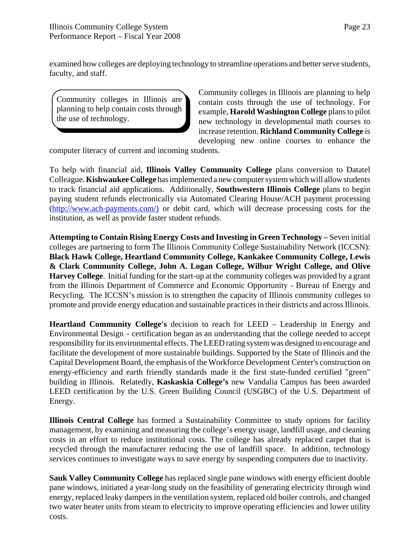examined how colleges are deploying technology to streamline operations and better serve students, faculty, and staff.

Community colleges in Illinois are planning to help contain costs through the use of technology.

Community colleges in Illinois are planning to help contain costs through the use of technology. For example, **Harold Washington College** plans to pilot new technology in developmental math courses to increase retention. **Richland Community College** is developing new online courses to enhance the

computer literacy of current and incoming students.

To help with financial aid, **Illinois Valley Community College** plans conversion to Datatel Colleague. **Kishwaukee College** has implemented a new computer system which will allow students to track financial aid applications. Additionally, **Southwestern Illinois College** plans to begin paying student refunds electronically via Automated Clearing House/ACH payment processing (http://www.ach-payments.com/) or debit card, which will decrease processing costs for the institution, as well as provide faster student refunds.

**Attempting to Contain Rising Energy Costs and Investing in Green Technology** *–* Seven initial colleges are partnering to form The Illinois Community College Sustainability Network (ICCSN): **Black Hawk College, Heartland Community College, Kankakee Community College, Lewis & Clark Community College, John A. Logan College, Wilbur Wright College, and Olive Harvey College**. Initial funding for the start-up at the community colleges was provided by a grant from the Illinois Department of Commerce and Economic Opportunity - Bureau of Energy and Recycling. The ICCSN's mission is to strengthen the capacity of Illinois community colleges to promote and provide energy education and sustainable practices in their districts and across Illinois.

**Heartland Community College's** decision to reach for LEED – Leadership in Energy and Environmental Design – certification began as an understanding that the college needed to accept responsibility for its environmental effects. The LEED rating system was designed to encourage and facilitate the development of more sustainable buildings. Supported by the State of Illinois and the Capital Development Board, the emphasis of the Workforce Development Center's construction on energy-efficiency and earth friendly standards made it the first state-funded certified "green" building in Illinois. Relatedly, **Kaskaskia College's** new Vandalia Campus has been awarded LEED certification by the U.S. Green Building Council (USGBC) of the U.S. Department of Energy.

**Illinois Central College** has formed a Sustainability Committee to study options for facility management, by examining and measuring the college's energy usage, landfill usage, and cleaning costs in an effort to reduce institutional costs. The college has already replaced carpet that is recycled through the manufacturer reducing the use of landfill space. In addition, technology services continues to investigate ways to save energy by suspending computers due to inactivity.

**Sauk Valley Community College** has replaced single pane windows with energy efficient double pane windows, initiated a year-long study on the feasibility of generating electricity through wind energy, replaced leaky dampers in the ventilation system, replaced old boiler controls, and changed two water heater units from steam to electricity to improve operating efficiencies and lower utility costs.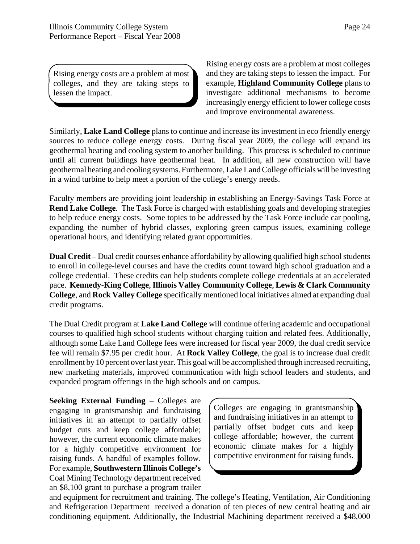Rising energy costs are a problem at most colleges, and they are taking steps to lessen the impact.

Rising energy costs are a problem at most colleges and they are taking steps to lessen the impact. For example, **Highland Community College** plans to investigate additional mechanisms to become increasingly energy efficient to lower college costs and improve environmental awareness.

Similarly, **Lake Land College** plans to continue and increase its investment in eco friendly energy sources to reduce college energy costs. During fiscal year 2009, the college will expand its geothermal heating and cooling system to another building. This process is scheduled to continue until all current buildings have geothermal heat. In addition, all new construction will have geothermal heating and cooling systems. Furthermore, Lake Land College officials will be investing in a wind turbine to help meet a portion of the college's energy needs.

Faculty members are providing joint leadership in establishing an Energy-Savings Task Force at **Rend Lake College**. The Task Force is charged with establishing goals and developing strategies to help reduce energy costs. Some topics to be addressed by the Task Force include car pooling, expanding the number of hybrid classes, exploring green campus issues, examining college operational hours, and identifying related grant opportunities.

**Dual Credit** – Dual credit courses enhance affordability by allowing qualified high school students to enroll in college-level courses and have the credits count toward high school graduation and a college credential. These credits can help students complete college credentials at an accelerated pace. **Kennedy-King College**, **Illinois Valley Community College**, **Lewis & Clark Community College**, and **Rock Valley College** specifically mentioned local initiatives aimed at expanding dual credit programs.

The Dual Credit program at **Lake Land College** will continue offering academic and occupational courses to qualified high school students without charging tuition and related fees. Additionally, although some Lake Land College fees were increased for fiscal year 2009, the dual credit service fee will remain \$7.95 per credit hour. At **Rock Valley College**, the goal is to increase dual credit enrollment by 10 percent over last year. This goal will be accomplished through increased recruiting, new marketing materials, improved communication with high school leaders and students, and expanded program offerings in the high schools and on campus.

**Seeking External Funding** – Colleges are engaging in grantsmanship and fundraising initiatives in an attempt to partially offset budget cuts and keep college affordable; however, the current economic climate makes for a highly competitive environment for raising funds. A handful of examples follow. For example, **Southwestern Illinois College's** Coal Mining Technology department received an \$8,100 grant to purchase a program trailer

Colleges are engaging in grantsmanship and fundraising initiatives in an attempt to partially offset budget cuts and keep college affordable; however, the current economic climate makes for a highly competitive environment for raising funds.

and equipment for recruitment and training. The college's Heating, Ventilation, Air Conditioning and Refrigeration Department received a donation of ten pieces of new central heating and air conditioning equipment. Additionally, the Industrial Machining department received a \$48,000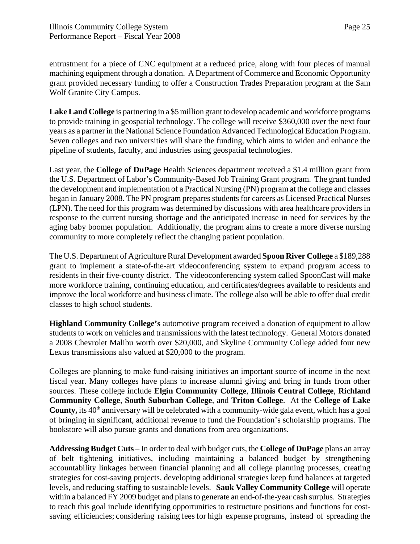entrustment for a piece of CNC equipment at a reduced price, along with four pieces of manual machining equipment through a donation. A Department of Commerce and Economic Opportunity grant provided necessary funding to offer a Construction Trades Preparation program at the Sam Wolf Granite City Campus.

**Lake Land College** is partnering in a \$5 million grant to develop academic and workforce programs to provide training in geospatial technology. The college will receive \$360,000 over the next four years as a partner in the National Science Foundation Advanced Technological Education Program. Seven colleges and two universities will share the funding, which aims to widen and enhance the pipeline of students, faculty, and industries using geospatial technologies.

Last year, the **College of DuPage** Health Sciences department received a \$1.4 million grant from the U.S. Department of Labor's Community-Based Job Training Grant program. The grant funded the development and implementation of a Practical Nursing (PN) program at the college and classes began in January 2008. The PN program prepares students for careers as Licensed Practical Nurses (LPN). The need for this program was determined by discussions with area healthcare providers in response to the current nursing shortage and the anticipated increase in need for services by the aging baby boomer population. Additionally, the program aims to create a more diverse nursing community to more completely reflect the changing patient population.

The U.S. Department of Agriculture Rural Development awarded **Spoon River College** a \$189,288 grant to implement a state-of-the-art videoconferencing system to expand program access to residents in their five-county district. The videoconferencing system called SpoonCast will make more workforce training, continuing education, and certificates/degrees available to residents and improve the local workforce and business climate. The college also will be able to offer dual credit classes to high school students.

**Highland Community College's** automotive program received a donation of equipment to allow students to work on vehicles and transmissions with the latest technology. General Motors donated a 2008 Chevrolet Malibu worth over \$20,000, and Skyline Community College added four new Lexus transmissions also valued at \$20,000 to the program.

Colleges are planning to make fund-raising initiatives an important source of income in the next fiscal year. Many colleges have plans to increase alumni giving and bring in funds from other sources. These college include **Elgin Community College**, **Illinois Central College**, **Richland Community College**, **South Suburban College**, and **Triton College**. At the **College of Lake County,** its 40<sup>th</sup> anniversary will be celebrated with a community-wide gala event, which has a goal of bringing in significant, additional revenue to fund the Foundation's scholarship programs. The bookstore will also pursue grants and donations from area organizations.

**Addressing Budget Cuts** – In order to deal with budget cuts, the **College of DuPage** plans an array of belt tightening initiatives, including maintaining a balanced budget by strengthening accountability linkages between financial planning and all college planning processes, creating strategies for cost-saving projects, developing additional strategies keep fund balances at targeted levels, and reducing staffing to sustainable levels. **Sauk Valley Community College** will operate within a balanced FY 2009 budget and plans to generate an end-of-the-year cash surplus. Strategies to reach this goal include identifying opportunities to restructure positions and functions for costsaving efficiencies; considering raising fees for high expense programs, instead of spreading the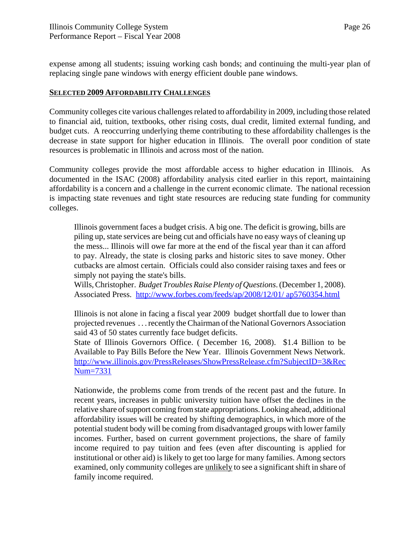expense among all students; issuing working cash bonds; and continuing the multi-year plan of replacing single pane windows with energy efficient double pane windows.

#### **SELECTED 2009 AFFORDABILITY CHALLENGES**

Community colleges cite various challenges related to affordability in 2009, including those related to financial aid, tuition, textbooks, other rising costs, dual credit, limited external funding, and budget cuts. A reoccurring underlying theme contributing to these affordability challenges is the decrease in state support for higher education in Illinois. The overall poor condition of state resources is problematic in Illinois and across most of the nation.

Community colleges provide the most affordable access to higher education in Illinois. As documented in the ISAC (2008) affordability analysis cited earlier in this report, maintaining affordability is a concern and a challenge in the current economic climate. The national recession is impacting state revenues and tight state resources are reducing state funding for community colleges.

Illinois government faces a budget crisis. A big one. The deficit is growing, bills are piling up, state services are being cut and officials have no easy ways of cleaning up the mess... Illinois will owe far more at the end of the fiscal year than it can afford to pay. Already, the state is closing parks and historic sites to save money. Other cutbacks are almost certain. Officials could also consider raising taxes and fees or simply not paying the state's bills.

Wills, Christopher. *Budget Troubles Raise Plenty of Questions*. (December 1, 2008). Associated Press. http://www.forbes.com/feeds/ap/2008/12/01/ ap5760354.html

Illinois is not alone in facing a fiscal year 2009 budget shortfall due to lower than projected revenues . . . recently the Chairman of the National Governors Association said 43 of 50 states currently face budget deficits.

State of Illinois Governors Office. ( December 16, 2008). \$1.4 Billion to be Available to Pay Bills Before the New Year. Illinois Government News Network. http://www.illinois.gov/PressReleases/ShowPressRelease.cfm?SubjectID=3&Rec Num=7331

Nationwide, the problems come from trends of the recent past and the future. In recent years, increases in public university tuition have offset the declines in the relative share of support coming from state appropriations. Looking ahead, additional affordability issues will be created by shifting demographics, in which more of the potential student body will be coming from disadvantaged groups with lower family incomes. Further, based on current government projections, the share of family income required to pay tuition and fees (even after discounting is applied for institutional or other aid) is likely to get too large for many families. Among sectors examined, only community colleges are *unlikely* to see a significant shift in share of family income required.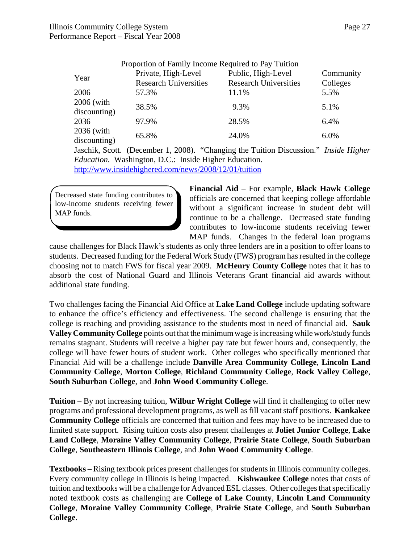|                            | Proportion of Family Income Required to Pay Tuition |                                                    |                       |
|----------------------------|-----------------------------------------------------|----------------------------------------------------|-----------------------|
| Year                       | Private, High-Level<br><b>Research Universities</b> | Public, High-Level<br><b>Research Universities</b> | Community<br>Colleges |
| 2006                       | 57.3%                                               | 11.1%                                              | 5.5%                  |
| 2006 (with<br>discounting) | 38.5%                                               | 9.3%                                               | 5.1%                  |
| 2036                       | 97.9%                                               | 28.5%                                              | 6.4%                  |
| 2036 (with<br>discounting) | 65.8%                                               | 24.0%                                              | 6.0%                  |

Jaschik, Scott. (December 1, 2008). "Changing the Tuition Discussion." *Inside Higher Education.* Washington, D.C.: Inside Higher Education.

http://www.insidehighered.com/news/2008/12/01/tuition

Decreased state funding contributes to low-income students receiving fewer MAP funds.

**Financial Aid** – For example, **Black Hawk College** officials are concerned that keeping college affordable without a significant increase in student debt will continue to be a challenge. Decreased state funding contributes to low-income students receiving fewer MAP funds. Changes in the federal loan programs

cause challenges for Black Hawk's students as only three lenders are in a position to offer loans to students. Decreased funding for the Federal Work Study (FWS) program has resulted in the college choosing not to match FWS for fiscal year 2009. **McHenry County College** notes that it has to absorb the cost of National Guard and Illinois Veterans Grant financial aid awards without additional state funding.

Two challenges facing the Financial Aid Office at **Lake Land College** include updating software to enhance the office's efficiency and effectiveness. The second challenge is ensuring that the college is reaching and providing assistance to the students most in need of financial aid. **Sauk Valley Community College** points out that the minimum wage is increasing while work/study funds remains stagnant. Students will receive a higher pay rate but fewer hours and, consequently, the college will have fewer hours of student work. Other colleges who specifically mentioned that Financial Aid will be a challenge include **Danville Area Community College**, **Lincoln Land Community College**, **Morton College**, **Richland Community College**, **Rock Valley College**, **South Suburban College**, and **John Wood Community College**.

**Tuition** – By not increasing tuition, **Wilbur Wright College** will find it challenging to offer new programs and professional development programs, as well as fill vacant staff positions. **Kankakee Community College** officials are concerned that tuition and fees may have to be increased due to limited state support. Rising tuition costs also present challenges at **Joliet Junior College**, **Lake Land College**, **Moraine Valley Community College**, **Prairie State College**, **South Suburban College**, **Southeastern Illinois College**, and **John Wood Community College**.

**Textbooks** – Rising textbook prices present challenges for students in Illinois community colleges. Every community college in Illinois is being impacted. **Kishwaukee College** notes that costs of tuition and textbooks will be a challenge for Advanced ESL classes. Other colleges that specifically noted textbook costs as challenging are **College of Lake County**, **Lincoln Land Community College**, **Moraine Valley Community College**, **Prairie State College**, and **South Suburban College**.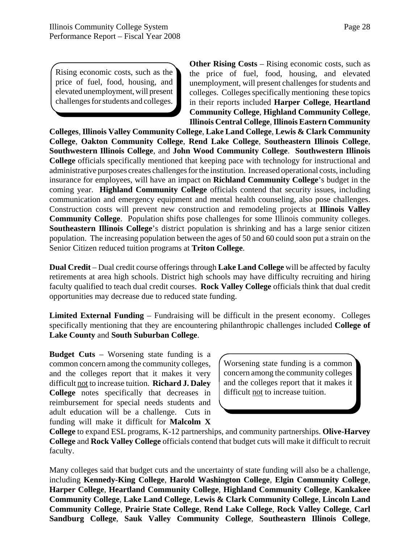Rising economic costs, such as the price of fuel, food, housing, and elevated unemployment, will present challenges for students and colleges.

**Other Rising Costs** – Rising economic costs, such as the price of fuel, food, housing, and elevated unemployment, will present challenges for students and colleges. Colleges specifically mentioning these topics in their reports included **Harper College**, **Heartland Community College**, **Highland Community College**, **Illinois Central College**, **Illinois Eastern Community**

**Colleges**, **Illinois Valley Community College**, **Lake Land College**, **Lewis & Clark Community College**, **Oakton Community College**, **Rend Lake College**, **Southeastern Illinois College**, **Southwestern Illinois College**, and **John Wood Community College**. **Southwestern Illinois College** officials specifically mentioned that keeping pace with technology for instructional and administrative purposes creates challenges for the institution. Increased operational costs, including insurance for employees, will have an impact on **Richland Community College**'s budget in the coming year. **Highland Community College** officials contend that security issues, including communication and emergency equipment and mental health counseling, also pose challenges. Construction costs will prevent new construction and remodeling projects at **Illinois Valley Community College**. Population shifts pose challenges for some Illinois community colleges. **Southeastern Illinois College**'s district population is shrinking and has a large senior citizen population. The increasing population between the ages of 50 and 60 could soon put a strain on the Senior Citizen reduced tuition programs at **Triton College**.

**Dual Credit** – Dual credit course offerings through **Lake Land College** will be affected by faculty retirements at area high schools. District high schools may have difficulty recruiting and hiring faculty qualified to teach dual credit courses. **Rock Valley College** officials think that dual credit opportunities may decrease due to reduced state funding.

**Limited External Funding** – Fundraising will be difficult in the present economy. Colleges specifically mentioning that they are encountering philanthropic challenges included **College of Lake County** and **South Suburban College**.

**Budget Cuts** – Worsening state funding is a common concern among the community colleges, and the colleges report that it makes it very difficult not to increase tuition. **Richard J. Daley College** notes specifically that decreases in reimbursement for special needs students and adult education will be a challenge. Cuts in funding will make it difficult for **Malcolm X**

Worsening state funding is a common concern among the community colleges and the colleges report that it makes it difficult not to increase tuition.

**College** to expand ESL programs, K-12 partnerships, and community partnerships. **Olive-Harvey College** and **Rock Valley College** officials contend that budget cuts will make it difficult to recruit faculty.

Many colleges said that budget cuts and the uncertainty of state funding will also be a challenge, including **Kennedy-King College**, **Harold Washington College**, **Elgin Community College**, **Harper College**, **Heartland Community College**, **Highland Community College**, **Kankakee Community College**, **Lake Land College**, **Lewis & Clark Community College**, **Lincoln Land Community College**, **Prairie State College**, **Rend Lake College**, **Rock Valley College**, **Carl Sandburg College**, **Sauk Valley Community College**, **Southeastern Illinois College**,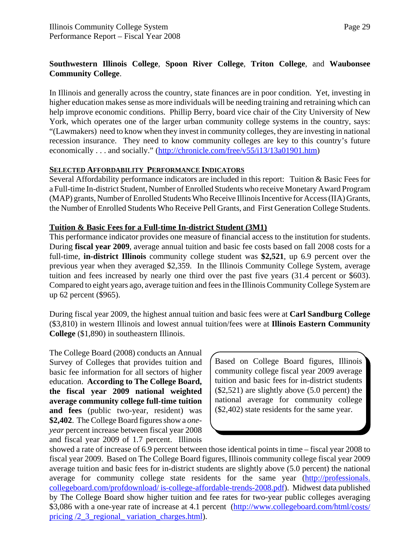#### **Southwestern Illinois College**, **Spoon River College**, **Triton College**, and **Waubonsee Community College**.

In Illinois and generally across the country, state finances are in poor condition. Yet, investing in higher education makes sense as more individuals will be needing training and retraining which can help improve economic conditions. Phillip Berry, board vice chair of the City University of New York, which operates one of the larger urban community college systems in the country, says: "(Lawmakers) need to know when they invest in community colleges, they are investing in national recession insurance. They need to know community colleges are key to this country's future economically . . . and socially." (http://chronicle.com/free/v55/i13/13a01901.htm)

#### **SELECTED AFFORDABILITY PERFORMANCE INDICATORS**

Several Affordability performance indicators are included in this report: Tuition & Basic Fees for a Full-time In-district Student, Number of Enrolled Students who receive Monetary Award Program (MAP) grants, Number of Enrolled Students Who Receive Illinois Incentive for Access (IIA) Grants, the Number of Enrolled Students Who Receive Pell Grants, and First Generation College Students.

#### **Tuition & Basic Fees for a Full-time In-district Student (3M1)**

This performance indicator provides one measure of financial access to the institution for students. During **fiscal year 2009**, average annual tuition and basic fee costs based on fall 2008 costs for a full-time, **in-district Illinois** community college student was **\$2,521**, up 6.9 percent over the previous year when they averaged \$2,359. In the Illinois Community College System, average tuition and fees increased by nearly one third over the past five years (31.4 percent or \$603). Compared to eight years ago, average tuition and fees in the Illinois Community College System are up 62 percent (\$965).

During fiscal year 2009, the highest annual tuition and basic fees were at **Carl Sandburg College** (\$3,810) in western Illinois and lowest annual tuition/fees were at **Illinois Eastern Community College** (\$1,890) in southeastern Illinois.

The College Board (2008) conducts an Annual Survey of Colleges that provides tuition and basic fee information for all sectors of higher education. **According to The College Board, the fiscal year 2009 national weighted average community college full-time tuition and fees** (public two-year, resident) was **\$2,402**. The College Board figures show a *oneyear* percent increase between fiscal year 2008 and fiscal year 2009 of 1.7 percent. Illinois

Based on College Board figures, Illinois community college fiscal year 2009 average tuition and basic fees for in-district students (\$2,521) are slightly above (5.0 percent) the national average for community college (\$2,402) state residents for the same year.

showed a rate of increase of 6.9 percent between those identical points in time – fiscal year 2008 to fiscal year 2009. Based on The College Board figures, Illinois community college fiscal year 2009 average tuition and basic fees for in-district students are slightly above (5.0 percent) the national average for community college state residents for the same year (http://professionals. collegeboard.com/profdownload/ is-college-affordable-trends-2008.pdf). Midwest data published by The College Board show higher tuition and fee rates for two-year public colleges averaging \$3,086 with a one-year rate of increase at 4.1 percent (http://www.collegeboard.com/html/costs/ pricing /2\_3\_regional\_ variation\_charges.html).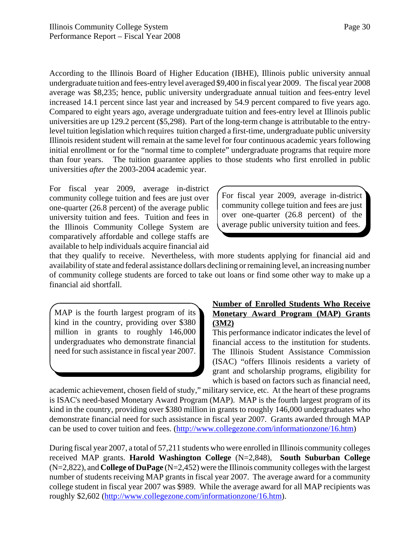According to the Illinois Board of Higher Education (IBHE), Illinois public university annual undergraduate tuition and fees-entry level averaged \$9,400 in fiscal year 2009. The fiscal year 2008 average was \$8,235; hence, public university undergraduate annual tuition and fees-entry level increased 14.1 percent since last year and increased by 54.9 percent compared to five years ago. Compared to eight years ago, average undergraduate tuition and fees-entry level at Illinois public universities are up 129.2 percent (\$5,298). Part of the long-term change is attributable to the entrylevel tuition legislation which requires tuition charged a first-time, undergraduate public university Illinois resident student will remain at the same level for four continuous academic years following initial enrollment or for the "normal time to complete" undergraduate programs that require more than four years. The tuition guarantee applies to those students who first enrolled in public universities *after* the 2003-2004 academic year.

For fiscal year 2009, average in-district community college tuition and fees are just over one-quarter (26.8 percent) of the average public university tuition and fees. Tuition and fees in the Illinois Community College System are comparatively affordable and college staffs are available to help individuals acquire financial aid

For fiscal year 2009, average in-district community college tuition and fees are just over one-quarter (26.8 percent) of the average public university tuition and fees.

that they qualify to receive. Nevertheless, with more students applying for financial aid and availability of state and federal assistance dollars declining or remaining level, an increasing number of community college students are forced to take out loans or find some other way to make up a financial aid shortfall.

MAP is the fourth largest program of its kind in the country, providing over \$380 million in grants to roughly 146,000 undergraduates who demonstrate financial need for such assistance in fiscal year 2007.

#### **Number of Enrolled Students Who Receive Monetary Award Program (MAP) Grants (3M2)**

This performance indicator indicates the level of financial access to the institution for students. The Illinois Student Assistance Commission (ISAC) "offers Illinois residents a variety of grant and scholarship programs, eligibility for which is based on factors such as financial need,

academic achievement, chosen field of study," military service, etc. At the heart of these programs is ISAC's need-based Monetary Award Program (MAP). MAP is the fourth largest program of its kind in the country, providing over \$380 million in grants to roughly 146,000 undergraduates who demonstrate financial need for such assistance in fiscal year 2007. Grants awarded through MAP can be used to cover tuition and fees. (http://www.collegezone.com/informationzone/16.htm)

During fiscal year 2007, a total of 57,211 students who were enrolled in Illinois community colleges received MAP grants. **Harold Washington College** (N=2,848), **South Suburban College** (N=2,822), and **College of DuPage** (N=2,452) were the Illinois community colleges with the largest number of students receiving MAP grants in fiscal year 2007. The average award for a community college student in fiscal year 2007 was \$989. While the average award for all MAP recipients was roughly \$2,602 (http://www.collegezone.com/informationzone/16.htm).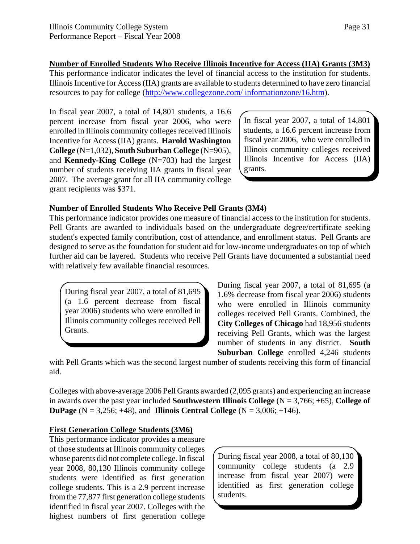**Number of Enrolled Students Who Receive Illinois Incentive for Access (IIA) Grants (3M3)**

This performance indicator indicates the level of financial access to the institution for students. Illinois Incentive for Access (IIA) grants are available to students determined to have zero financial resources to pay for college (http://www.collegezone.com/ informationzone/16.htm).

In fiscal year 2007, a total of 14,801 students, a 16.6 percent increase from fiscal year 2006, who were enrolled in Illinois community colleges received Illinois Incentive for Access (IIA) grants. **Harold Washington College** (N=1,032), **South Suburban College** (N=905), and **Kennedy-King College** (N=703) had the largest number of students receiving IIA grants in fiscal year 2007. The average grant for all IIA community college grant recipients was \$371.

In fiscal year 2007, a total of 14,801 students, a 16.6 percent increase from fiscal year 2006, who were enrolled in Illinois community colleges received Illinois Incentive for Access (IIA) grants.

#### **Number of Enrolled Students Who Receive Pell Grants (3M4)**

This performance indicator provides one measure of financial access to the institution for students. Pell Grants are awarded to individuals based on the undergraduate degree/certificate seeking student's expected family contribution, cost of attendance, and enrollment status. Pell Grants are designed to serve as the foundation for student aid for low-income undergraduates on top of which further aid can be layered. Students who receive Pell Grants have documented a substantial need with relatively few available financial resources.

During fiscal year 2007, a total of 81,695 (a 1.6 percent decrease from fiscal year 2006) students who were enrolled in Illinois community colleges received Pell Grants.

During fiscal year 2007, a total of 81,695 (a 1.6% decrease from fiscal year 2006) students who were enrolled in Illinois community colleges received Pell Grants. Combined, the **City Colleges of Chicago** had 18,956 students receiving Pell Grants, which was the largest number of students in any district. **South Suburban College** enrolled 4,246 students

with Pell Grants which was the second largest number of students receiving this form of financial aid.

Colleges with above-average 2006 Pell Grants awarded (2,095 grants) and experiencing an increase in awards over the past year included **Southwestern Illinois College** (N = 3,766; +65), **College of DuPage**  $(N = 3,256; +48)$ , and **Illinois Central College**  $(N = 3,006; +146)$ .

#### **First Generation College Students (3M6)**

This performance indicator provides a measure of those students at Illinois community colleges whose parents did not complete college. In fiscal year 2008, 80,130 Illinois community college students were identified as first generation college students. This is a 2.9 percent increase from the 77,877 first generation college students identified in fiscal year 2007. Colleges with the highest numbers of first generation college

During fiscal year 2008, a total of 80,130 community college students (a 2.9 increase from fiscal year 2007) were identified as first generation college students.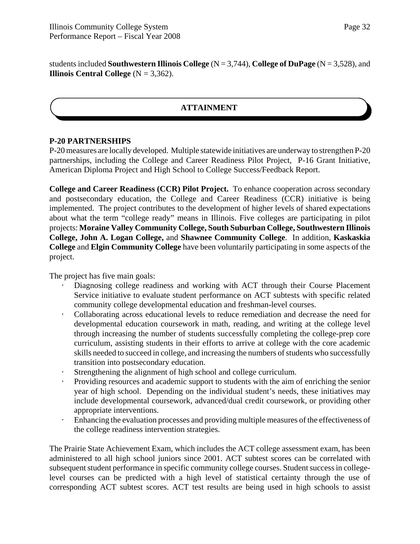students included **Southwestern Illinois College** (N = 3,744), **College of DuPage** (N = 3,528), and **Illinois Central College** ( $N = 3,362$ ).

#### **ATTAINMENT**

#### **P-20 PARTNERSHIPS**

P-20 measures are locally developed. Multiple statewide initiatives are underway to strengthen P-20 partnerships, including the College and Career Readiness Pilot Project, P-16 Grant Initiative, American Diploma Project and High School to College Success/Feedback Report.

**College and Career Readiness (CCR) Pilot Project.** To enhance cooperation across secondary and postsecondary education, the College and Career Readiness (CCR) initiative is being implemented. The project contributes to the development of higher levels of shared expectations about what the term "college ready" means in Illinois. Five colleges are participating in pilot projects: **Moraine Valley Community College, South Suburban College, Southwestern Illinois College, John A. Logan College,** and **Shawnee Community College**. In addition, **Kaskaskia College** and **Elgin Community College** have been voluntarily participating in some aspects of the project.

The project has five main goals:

- Diagnosing college readiness and working with ACT through their Course Placement Service initiative to evaluate student performance on ACT subtests with specific related community college developmental education and freshman-level courses.
- " Collaborating across educational levels to reduce remediation and decrease the need for developmental education coursework in math, reading, and writing at the college level through increasing the number of students successfully completing the college-prep core curriculum, assisting students in their efforts to arrive at college with the core academic skills needed to succeed in college, and increasing the numbers of students who successfully transition into postsecondary education.
- Strengthening the alignment of high school and college curriculum.
- Providing resources and academic support to students with the aim of enriching the senior year of high school. Depending on the individual student's needs, these initiatives may include developmental coursework, advanced/dual credit coursework, or providing other appropriate interventions.
- Enhancing the evaluation processes and providing multiple measures of the effectiveness of the college readiness intervention strategies.

The Prairie State Achievement Exam, which includes the ACT college assessment exam, has been administered to all high school juniors since 2001. ACT subtest scores can be correlated with subsequent student performance in specific community college courses. Student success in collegelevel courses can be predicted with a high level of statistical certainty through the use of corresponding ACT subtest scores. ACT test results are being used in high schools to assist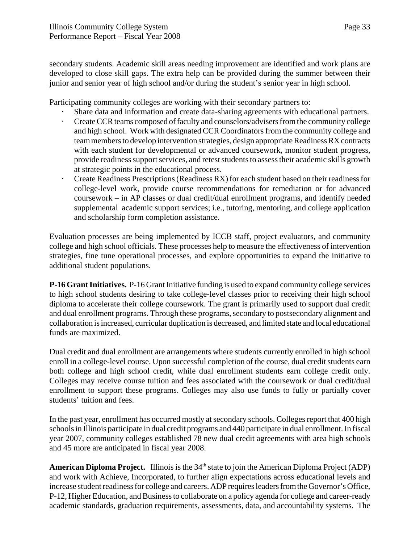secondary students. Academic skill areas needing improvement are identified and work plans are developed to close skill gaps. The extra help can be provided during the summer between their junior and senior year of high school and/or during the student's senior year in high school.

Participating community colleges are working with their secondary partners to:

- Share data and information and create data-sharing agreements with educational partners.
- " Create CCR teams composed of faculty and counselors/advisers from the community college and high school. Work with designated CCR Coordinators from the community college and team members to develop intervention strategies, design appropriate Readiness RX contracts with each student for developmental or advanced coursework, monitor student progress, provide readiness support services, and retest students to assess their academic skills growth at strategic points in the educational process.
- " Create Readiness Prescriptions (Readiness RX) for each student based on their readiness for college-level work, provide course recommendations for remediation or for advanced coursework – in AP classes or dual credit/dual enrollment programs, and identify needed supplemental academic support services; i.e., tutoring, mentoring, and college application and scholarship form completion assistance.

Evaluation processes are being implemented by ICCB staff, project evaluators, and community college and high school officials. These processes help to measure the effectiveness of intervention strategies, fine tune operational processes, and explore opportunities to expand the initiative to additional student populations.

**P-16 Grant Initiatives.** P-16 Grant Initiative funding is used to expand community college services to high school students desiring to take college-level classes prior to receiving their high school diploma to accelerate their college coursework. The grant is primarily used to support dual credit and dual enrollment programs. Through these programs, secondary to postsecondary alignment and collaboration is increased, curricular duplication is decreased, and limited state and local educational funds are maximized.

Dual credit and dual enrollment are arrangements where students currently enrolled in high school enroll in a college-level course. Upon successful completion of the course, dual credit students earn both college and high school credit, while dual enrollment students earn college credit only. Colleges may receive course tuition and fees associated with the coursework or dual credit/dual enrollment to support these programs. Colleges may also use funds to fully or partially cover students' tuition and fees.

In the past year, enrollment has occurred mostly at secondary schools. Colleges report that 400 high schools in Illinois participate in dual credit programs and 440 participate in dual enrollment. In fiscal year 2007, community colleges established 78 new dual credit agreements with area high schools and 45 more are anticipated in fiscal year 2008.

**American Diploma Project.** Illinois is the 34<sup>th</sup> state to join the American Diploma Project (ADP) and work with Achieve, Incorporated, to further align expectations across educational levels and increase student readiness for college and careers. ADP requires leaders from the Governor's Office, P-12, Higher Education, and Business to collaborate on a policy agenda for college and career-ready academic standards, graduation requirements, assessments, data, and accountability systems. The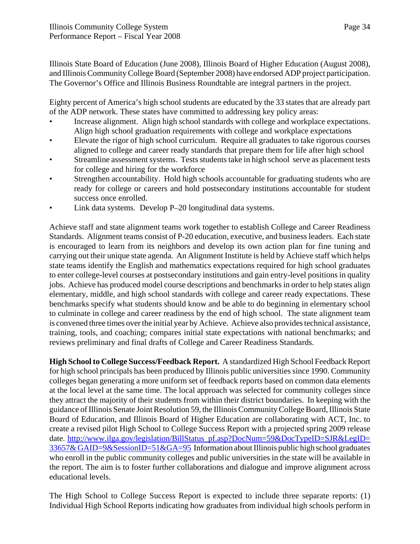Illinois State Board of Education (June 2008), Illinois Board of Higher Education (August 2008), and Illinois Community College Board (September 2008) have endorsed ADP project participation. The Governor's Office and Illinois Business Roundtable are integral partners in the project.

Eighty percent of America's high school students are educated by the 33 states that are already part of the ADP network. These states have committed to addressing key policy areas:

- Increase alignment. Align high school standards with college and workplace expectations. Align high school graduation requirements with college and workplace expectations
- Elevate the rigor of high school curriculum. Require all graduates to take rigorous courses aligned to college and career ready standards that prepare them for life after high school
- Streamline assessment systems. Tests students take in high school serve as placement tests for college and hiring for the workforce
- Strengthen accountability. Hold high schools accountable for graduating students who are ready for college or careers and hold postsecondary institutions accountable for student success once enrolled.
- Link data systems. Develop P–20 longitudinal data systems.

Achieve staff and state alignment teams work together to establish College and Career Readiness Standards. Alignment teams consist of P-20 education, executive, and business leaders. Each state is encouraged to learn from its neighbors and develop its own action plan for fine tuning and carrying out their unique state agenda. An Alignment Institute is held by Achieve staff which helps state teams identify the English and mathematics expectations required for high school graduates to enter college-level courses at postsecondary institutions and gain entry-level positions in quality jobs. Achieve has produced model course descriptions and benchmarks in order to help states align elementary, middle, and high school standards with college and career ready expectations. These benchmarks specify what students should know and be able to do beginning in elementary school to culminate in college and career readiness by the end of high school. The state alignment team is convened three times over the initial year by Achieve. Achieve also provides technical assistance, training, tools, and coaching; compares initial state expectations with national benchmarks; and reviews preliminary and final drafts of College and Career Readiness Standards.

**High School to College Success/Feedback Report.** A standardized High School Feedback Report for high school principals has been produced by Illinois public universities since 1990. Community colleges began generating a more uniform set of feedback reports based on common data elements at the local level at the same time. The local approach was selected for community colleges since they attract the majority of their students from within their district boundaries. In keeping with the guidance of Illinois Senate Joint Resolution 59, the Illinois Community College Board, Illinois State Board of Education, and Illinois Board of Higher Education are collaborating with ACT, Inc. to create a revised pilot High School to College Success Report with a projected spring 2009 release date. http://www.ilga.gov/legislation/BillStatus\_pf.asp?DocNum=59&DocTypeID=SJR&LegID= 33657& GAID=9&SessionID=51&GA=95 Information about Illinois public high school graduates who enroll in the public community colleges and public universities in the state will be available in the report. The aim is to foster further collaborations and dialogue and improve alignment across educational levels.

The High School to College Success Report is expected to include three separate reports: (1) Individual High School Reports indicating how graduates from individual high schools perform in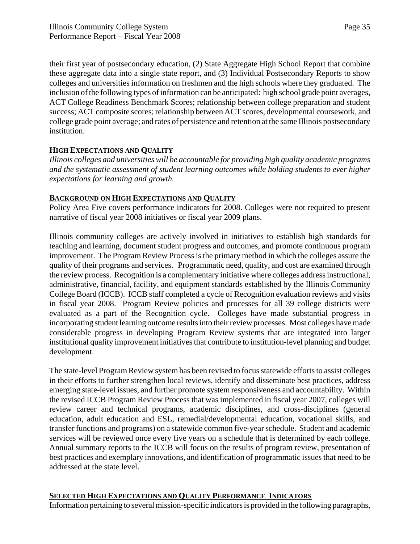their first year of postsecondary education, (2) State Aggregate High School Report that combine these aggregate data into a single state report, and (3) Individual Postsecondary Reports to show colleges and universities information on freshmen and the high schools where they graduated. The inclusion of the following types of information can be anticipated: high school grade point averages, ACT College Readiness Benchmark Scores; relationship between college preparation and student success; ACT composite scores; relationship between ACT scores, developmental coursework, and college grade point average; and rates of persistence and retention at the same Illinois postsecondary institution.

### **HIGH EXPECTATIONS AND QUALITY**

*Illinois colleges and universities will be accountable for providing high quality academic programs and the systematic assessment of student learning outcomes while holding students to ever higher expectations for learning and growth.*

### **BACKGROUND ON HIGH EXPECTATIONS AND QUALITY**

Policy Area Five covers performance indicators for 2008. Colleges were not required to present narrative of fiscal year 2008 initiatives or fiscal year 2009 plans.

Illinois community colleges are actively involved in initiatives to establish high standards for teaching and learning, document student progress and outcomes, and promote continuous program improvement. The Program Review Process is the primary method in which the colleges assure the quality of their programs and services. Programmatic need, quality, and cost are examined through the review process. Recognition is a complementary initiative where colleges address instructional, administrative, financial, facility, and equipment standards established by the Illinois Community College Board (ICCB). ICCB staff completed a cycle of Recognition evaluation reviews and visits in fiscal year 2008. Program Review policies and processes for all 39 college districts were evaluated as a part of the Recognition cycle. Colleges have made substantial progress in incorporating student learning outcome results into their review processes. Most colleges have made considerable progress in developing Program Review systems that are integrated into larger institutional quality improvement initiatives that contribute to institution-level planning and budget development.

The state-level Program Review system has been revised to focus statewide efforts to assist colleges in their efforts to further strengthen local reviews, identify and disseminate best practices, address emerging state-level issues, and further promote system responsiveness and accountability. Within the revised ICCB Program Review Process that was implemented in fiscal year 2007, colleges will review career and technical programs, academic disciplines, and cross-disciplines (general education, adult education and ESL, remedial/developmental education, vocational skills, and transfer functions and programs) on a statewide common five-year schedule. Student and academic services will be reviewed once every five years on a schedule that is determined by each college. Annual summary reports to the ICCB will focus on the results of program review, presentation of best practices and exemplary innovations, and identification of programmatic issues that need to be addressed at the state level.

### **SELECTED HIGH EXPECTATIONS AND QUALITY PERFORMANCE INDICATORS**

Information pertaining to several mission-specific indicators is provided in the following paragraphs,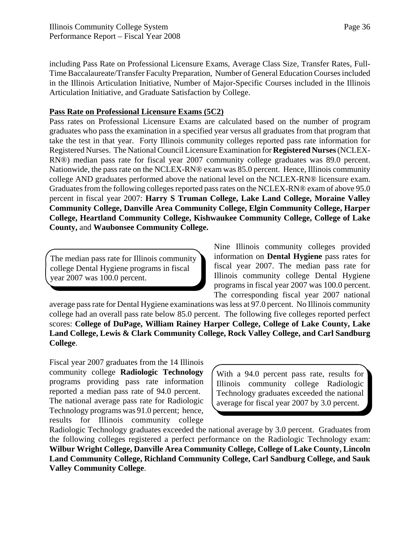including Pass Rate on Professional Licensure Exams, Average Class Size, Transfer Rates, Full-Time Baccalaureate/Transfer Faculty Preparation, Number of General Education Courses included in the Illinois Articulation Initiative, Number of Major-Specific Courses included in the Illinois Articulation Initiative, and Graduate Satisfaction by College.

### **Pass Rate on Professional Licensure Exams (5C2)**

Pass rates on Professional Licensure Exams are calculated based on the number of program graduates who pass the examination in a specified year versus all graduates from that program that take the test in that year. Forty Illinois community colleges reported pass rate information for Registered Nurses. The National Council Licensure Examination for **Registered Nurses** (NCLEX-RN®) median pass rate for fiscal year 2007 community college graduates was 89.0 percent. Nationwide, the pass rate on the NCLEX-RN® exam was 85.0 percent. Hence, Illinois community college AND graduates performed above the national level on the NCLEX-RN® licensure exam. Graduates from the following colleges reported pass rates on the NCLEX-RN® exam of above 95.0 percent in fiscal year 2007: **Harry S Truman College, Lake Land College, Moraine Valley Community College, Danville Area Community College, Elgin Community College, Harper College, Heartland Community College, Kishwaukee Community College, College of Lake County,** and **Waubonsee Community College.**

The median pass rate for Illinois community college Dental Hygiene programs in fiscal year 2007 was 100.0 percent.

Nine Illinois community colleges provided information on **Dental Hygiene** pass rates for fiscal year 2007. The median pass rate for Illinois community college Dental Hygiene programs in fiscal year 2007 was 100.0 percent. The corresponding fiscal year 2007 national

average pass rate for Dental Hygiene examinations was less at 97.0 percent. No Illinois community college had an overall pass rate below 85.0 percent. The following five colleges reported perfect scores: **College of DuPage, William Rainey Harper College, College of Lake County, Lake Land College, Lewis & Clark Community College, Rock Valley College, and Carl Sandburg College**.

Fiscal year 2007 graduates from the 14 Illinois community college **Radiologic Technology** programs providing pass rate information reported a median pass rate of 94.0 percent. The national average pass rate for Radiologic Technology programs was 91.0 percent; hence, results for Illinois community college

With a 94.0 percent pass rate, results for Illinois community college Radiologic Technology graduates exceeded the national average for fiscal year 2007 by 3.0 percent.

Radiologic Technology graduates exceeded the national average by 3.0 percent. Graduates from the following colleges registered a perfect performance on the Radiologic Technology exam: **Wilbur Wright College, Danville Area Community College, College of Lake County, Lincoln Land Community College, Richland Community College, Carl Sandburg College, and Sauk Valley Community College**.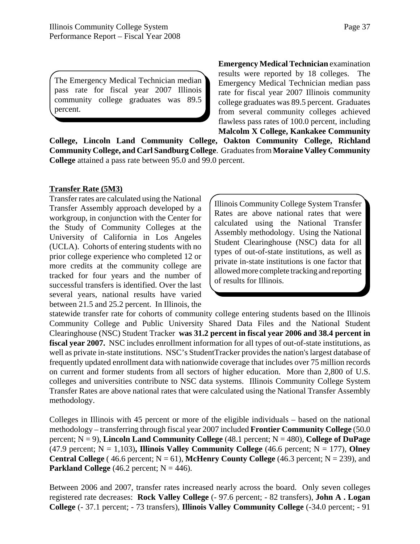The Emergency Medical Technician median pass rate for fiscal year 2007 Illinois community college graduates was 89.5 percent.

**Emergency Medical Technician** examination results were reported by 18 colleges. The Emergency Medical Technician median pass rate for fiscal year 2007 Illinois community college graduates was 89.5 percent. Graduates from several community colleges achieved flawless pass rates of 100.0 percent, including **Malcolm X College, Kankakee Community**

**College, Lincoln Land Community College, Oakton Community College, Richland Community College, and Carl Sandburg College**. Graduates from **Moraine Valley Community College** attained a pass rate between 95.0 and 99.0 percent.

#### **Transfer Rate (5M3)**

Transfer rates are calculated using the National Transfer Assembly approach developed by a workgroup, in conjunction with the Center for the Study of Community Colleges at the University of California in Los Angeles (UCLA). Cohorts of entering students with no prior college experience who completed 12 or more credits at the community college are tracked for four years and the number of successful transfers is identified. Over the last several years, national results have varied between 21.5 and 25.2 percent. In Illinois, the

Illinois Community College System Transfer Rates are above national rates that were calculated using the National Transfer Assembly methodology. Using the National Student Clearinghouse (NSC) data for all types of out-of-state institutions, as well as private in-state institutions is one factor that allowed more complete tracking and reporting of results for Illinois.

statewide transfer rate for cohorts of community college entering students based on the Illinois Community College and Public University Shared Data Files and the National Student Clearinghouse (NSC) Student Tracker **was 31.2 percent in fiscal year 2006 and 38.4 percent in fiscal year 2007.** NSC includes enrollment information for all types of out-of-state institutions, as well as private in-state institutions. NSC's StudentTracker provides the nation's largest database of frequently updated enrollment data with nationwide coverage that includes over 75 million records on current and former students from all sectors of higher education. More than 2,800 of U.S. colleges and universities contribute to NSC data systems. Illinois Community College System Transfer Rates are above national rates that were calculated using the National Transfer Assembly methodology.

Colleges in Illinois with 45 percent or more of the eligible individuals – based on the national methodology – transferring through fiscal year 2007 included **Frontier Community College** (50.0 percent;  $N = 9$ ), **Lincoln Land Community College** (48.1 percent;  $N = 480$ ), **College of DuPage** (47.9 percent;  $N = 1,103$ ), Illinois Valley Community College (46.6 percent;  $N = 177$ ), Olney **Central College** (46.6 percent;  $N = 61$ ), **McHenry County College** (46.3 percent;  $N = 239$ ), and **Parkland College**  $(46.2 \text{ percent}; N = 446)$ .

Between 2006 and 2007, transfer rates increased nearly across the board. Only seven colleges registered rate decreases: **Rock Valley College** (- 97.6 percent; - 82 transfers), **John A . Logan College** (- 37.1 percent; - 73 transfers), **Illinois Valley Community College** (-34.0 percent; - 91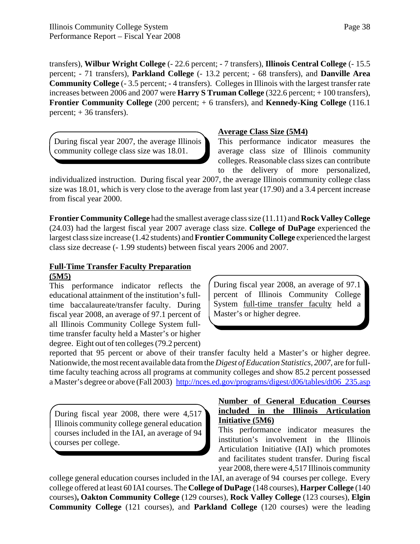transfers), **Wilbur Wright College** (- 22.6 percent; - 7 transfers), **Illinois Central College** (- 15.5 percent; - 71 transfers), **Parkland College** (- 13.2 percent; - 68 transfers), and **Danville Area Community College** (- 3.5 percent; - 4 transfers). Colleges in Illinois with the largest transfer rate increases between 2006 and 2007 were **Harry S Truman College** (322.6 percent; + 100 transfers), **Frontier Community College** (200 percent; + 6 transfers), and **Kennedy-King College** (116.1 percent; + 36 transfers).

During fiscal year 2007, the average Illinois community college class size was 18.01.

### **Average Class Size (5M4)**

This performance indicator measures the average class size of Illinois community colleges. Reasonable class sizes can contribute to the delivery of more personalized,

individualized instruction. During fiscal year 2007, the average Illinois community college class size was 18.01, which is very close to the average from last year (17.90) and a 3.4 percent increase from fiscal year 2000.

**Frontier Community College** had the smallest average class size (11.11) and **Rock Valley College** (24.03) had the largest fiscal year 2007 average class size. **College of DuPage** experienced the largest class size increase (1.42 students) and **Frontier Community College** experienced the largest class size decrease (- 1.99 students) between fiscal years 2006 and 2007.

## **Full-Time Transfer Faculty Preparation (5M5)**

This performance indicator reflects the educational attainment of the institution's fulltime baccalaureate/transfer faculty. During fiscal year 2008, an average of 97.1 percent of all Illinois Community College System fulltime transfer faculty held a Master's or higher degree. Eight out of ten colleges (79.2 percent)

During fiscal year 2008, an average of 97.1 percent of Illinois Community College System full-time transfer faculty held a Master's or higher degree.

reported that 95 percent or above of their transfer faculty held a Master's or higher degree. Nationwide, the most recent available data from the *Digest of Education Statistics, 2007,* are for fulltime faculty teaching across all programs at community colleges and show 85.2 percent possessed a Master's degree or above (Fall 2003) http://nces.ed.gov/programs/digest/d06/tables/dt06\_235.asp

During fiscal year 2008, there were 4,517 Illinois community college general education courses included in the IAI, an average of 94 courses per college.

### **Number of General Education Courses included in the Illinois Articulation Initiative (5M6)**

This performance indicator measures the institution's involvement in the Illinois Articulation Initiative (IAI) which promotes and facilitates student transfer. During fiscal year 2008, there were 4,517 Illinois community

college general education courses included in the IAI, an average of 94 courses per college. Every college offered at least 60 IAI courses. The **College of DuPage** (148 courses), **Harper College** (140 courses)**, Oakton Community College** (129 courses), **Rock Valley College** (123 courses), **Elgin Community College** (121 courses), and **Parkland College** (120 courses) were the leading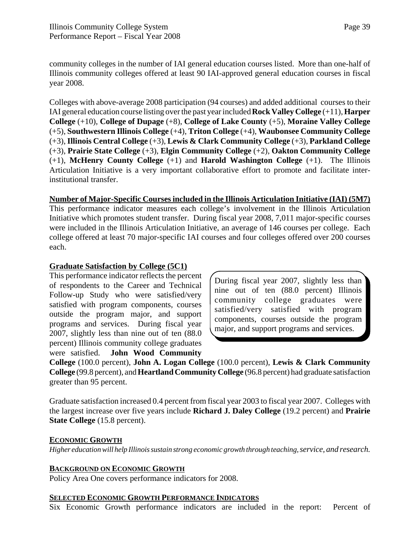community colleges in the number of IAI general education courses listed. More than one-half of Illinois community colleges offered at least 90 IAI-approved general education courses in fiscal year 2008.

Colleges with above-average 2008 participation (94 courses) and added additional courses to their IAI general education course listing over the past year included **Rock Valley College** (+11), **Harper College** (+10), **College of Dupage** (+8), **College of Lake County** (+5), **Moraine Valley College** (+5), **Southwestern Illinois College** (+4), **Triton College** (+4), **Waubonsee Community College** (+3), **Illinois Central College** (+3), **Lewis & Clark Community College** (+3), **Parkland College** (+3), **Prairie State College** (+3), **Elgin Community College** (+2), **Oakton Community College** (+1), **McHenry County College** (+1) and **Harold Washington College** (+1). The Illinois Articulation Initiative is a very important collaborative effort to promote and facilitate interinstitutional transfer.

**Number of Major-Specific Courses included in the Illinois Articulation Initiative (IAI) (5M7)** This performance indicator measures each college's involvement in the Illinois Articulation Initiative which promotes student transfer. During fiscal year 2008, 7,011 major-specific courses were included in the Illinois Articulation Initiative, an average of 146 courses per college. Each college offered at least 70 major-specific IAI courses and four colleges offered over 200 courses each.

### **Graduate Satisfaction by College (5C1)**

This performance indicator reflects the percent of respondents to the Career and Technical Follow-up Study who were satisfied/very satisfied with program components, courses outside the program major, and support programs and services. During fiscal year 2007, slightly less than nine out of ten (88.0 percent) Illinois community college graduates were satisfied. **John Wood Community**

During fiscal year 2007, slightly less than nine out of ten (88.0 percent) Illinois community college graduates were satisfied/very satisfied with program components, courses outside the program major, and support programs and services.

**College** (100.0 percent), **John A. Logan College** (100.0 percent), **Lewis & Clark Community College** (99.8 percent), and **Heartland Community College** (96.8 percent) had graduate satisfaction greater than 95 percent.

Graduate satisfaction increased 0.4 percent from fiscal year 2003 to fiscal year 2007. Colleges with the largest increase over five years include **Richard J. Daley College** (19.2 percent) and **Prairie State College** (15.8 percent).

### **ECONOMIC GROWTH**

*Higher education will help Illinois sustain strong economic growth through teaching, service, and research.*

### **BACKGROUND ON ECONOMIC GROWTH**

Policy Area One covers performance indicators for 2008.

### **SELECTED ECONOMIC GROWTH PERFORMANCE INDICATORS**

Six Economic Growth performance indicators are included in the report: Percent of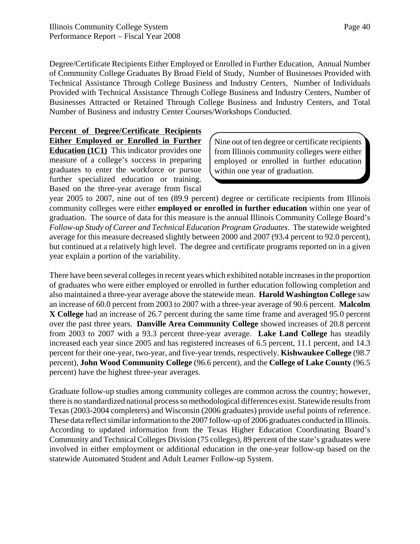Degree/Certificate Recipients Either Employed or Enrolled in Further Education, Annual Number of Community College Graduates By Broad Field of Study, Number of Businesses Provided with Technical Assistance Through College Business and Industry Centers, Number of Individuals Provided with Technical Assistance Through College Business and Industry Centers, Number of Businesses Attracted or Retained Through College Business and Industry Centers, and Total Number of Business and industry Center Courses/Workshops Conducted.

**Percent of Degree/Certificate Recipients Either Employed or Enrolled in Further Education (1C1)** This indicator provides one measure of a college's success in preparing graduates to enter the workforce or pursue further specialized education or training. Based on the three-year average from fiscal

Nine out of ten degree or certificate recipients from Illinois community colleges were either employed or enrolled in further education within one year of graduation.

year 2005 to 2007, nine out of ten (89.9 percent) degree or certificate recipients from Illinois community colleges were either **employed or enrolled in further education** within one year of graduation. The source of data for this measure is the annual Illinois Community College Board's *Follow-up Study of Career and Technical Education Program Graduates*. The statewide weighted average for this measure decreased slightly between 2000 and 2007 (93.4 percent to 92.0 percent), but continued at a relatively high level. The degree and certificate programs reported on in a given year explain a portion of the variability.

There have been several colleges in recent years which exhibited notable increases in the proportion of graduates who were either employed or enrolled in further education following completion and also maintained a three-year average above the statewide mean. **Harold Washington College** saw an increase of 60.0 percent from 2003 to 2007 with a three-year average of 90.6 percent. **Malcolm X College** had an increase of 26.7 percent during the same time frame and averaged 95.0 percent over the past three years. **Danville Area Community College** showed increases of 20.8 percent from 2003 to 2007 with a 93.3 percent three-year average. **Lake Land College** has steadily increased each year since 2005 and has registered increases of 6.5 percent, 11.1 percent, and 14.3 percent for their one-year, two-year, and five-year trends, respectively. **Kishwaukee College** (98.7 percent), **John Wood Community College** (96.6 percent), and the **College of Lake County** (96.5 percent) have the highest three-year averages.

Graduate follow-up studies among community colleges are common across the country; however, there is no standardized national process so methodological differences exist. Statewide results from Texas (2003-2004 completers) and Wisconsin (2006 graduates) provide useful points of reference. These data reflect similar information to the 2007 follow-up of 2006 graduates conducted in Illinois. According to updated information from the Texas Higher Education Coordinating Board's Community and Technical Colleges Division (75 colleges), 89 percent of the state's graduates were involved in either employment or additional education in the one-year follow-up based on the statewide Automated Student and Adult Learner Follow-up System.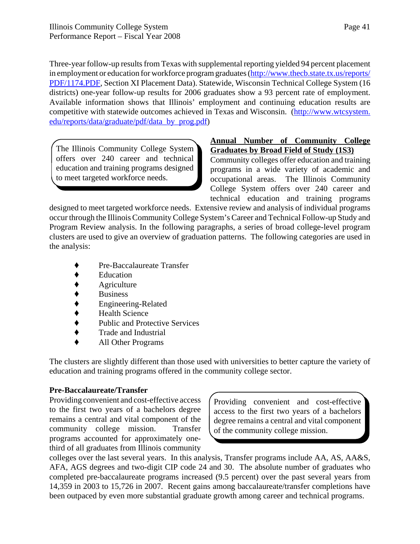Three-year follow-up results from Texas with supplemental reporting yielded 94 percent placement in employment or education for workforce program graduates (http://www.thecb.state.tx.us/reports/ PDF/1174.PDF, Section XI Placement Data). Statewide, Wisconsin Technical College System (16 districts) one-year follow-up results for 2006 graduates show a 93 percent rate of employment. Available information shows that Illinois' employment and continuing education results are competitive with statewide outcomes achieved in Texas and Wisconsin. (http://www.wtcsystem. edu/reports/data/graduate/pdf/data\_by\_prog.pdf)

The Illinois Community College System offers over 240 career and technical education and training programs designed to meet targeted workforce needs.

### **Annual Number of Community College Graduates by Broad Field of Study (1S3)**

Community colleges offer education and training programs in a wide variety of academic and occupational areas. The Illinois Community College System offers over 240 career and technical education and training programs

designed to meet targeted workforce needs. Extensive review and analysis of individual programs occur through the Illinois Community College System's Career and Technical Follow-up Study and Program Review analysis. In the following paragraphs, a series of broad college-level program clusters are used to give an overview of graduation patterns. The following categories are used in the analysis:

- Pre-Baccalaureate Transfer
- Education
- Agriculture
- 
- ◆ Business<br>◆ Engineeri<br>◆ Health Sc ' Engineering-Related
- 
- ◆ Health Science<br>◆ Public and Prote ' Public and Protective Services
- ' Trade and Industrial
- ' All Other Programs

The clusters are slightly different than those used with universities to better capture the variety of education and training programs offered in the community college sector.

### **Pre-Baccalaureate/Transfer**

Providing convenient and cost-effective access to the first two years of a bachelors degree remains a central and vital component of the community college mission. Transfer programs accounted for approximately onethird of all graduates from Illinois community

Providing convenient and cost-effective access to the first two years of a bachelors degree remains a central and vital component of the community college mission.

colleges over the last several years. In this analysis, Transfer programs include AA, AS, AA&S, AFA, AGS degrees and two-digit CIP code 24 and 30. The absolute number of graduates who completed pre-baccalaureate programs increased (9.5 percent) over the past several years from 14,359 in 2003 to 15,726 in 2007. Recent gains among baccalaureate/transfer completions have been outpaced by even more substantial graduate growth among career and technical programs.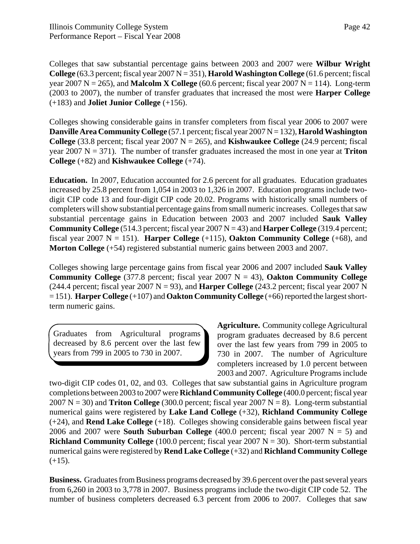Colleges that saw substantial percentage gains between 2003 and 2007 were **Wilbur Wright College**  $(63.3 \text{ percent}; \text{fised} \text{ year } 2007 \text{ N} = 351)$ , **Harold Washington College**  $(61.6 \text{ percent}; \text{fised} \text{ year } 2007 \text{ N} = 351)$ year 2007  $N = 265$ ), and **Malcolm X College** (60.6 percent; fiscal year 2007  $N = 114$ ). Long-term (2003 to 2007), the number of transfer graduates that increased the most were **Harper College** (+183) and **Joliet Junior College** (+156).

Colleges showing considerable gains in transfer completers from fiscal year 2006 to 2007 were **Danville Area Community College** (57.1 percent; fiscal year 2007 N = 132), **Harold Washington College** (33.8 percent; fiscal year 2007  $N = 265$ ), and **Kishwaukee College** (24.9 percent; fiscal year 2007  $N = 371$ ). The number of transfer graduates increased the most in one year at **Triton College** (+82) and **Kishwaukee College** (+74).

**Education.** In 2007, Education accounted for 2.6 percent for all graduates. Education graduates increased by 25.8 percent from 1,054 in 2003 to 1,326 in 2007. Education programs include twodigit CIP code 13 and four-digit CIP code 20.02. Programs with historically small numbers of completers will show substantial percentage gains from small numeric increases. Colleges that saw substantial percentage gains in Education between 2003 and 2007 included **Sauk Valley Community College** (514.3 percent; fiscal year 2007 N = 43) and **Harper College** (319.4 percent; fiscal year 2007  $N = 151$ ). **Harper College** (+115), **Oakton Community College** (+68), and **Morton College** (+54) registered substantial numeric gains between 2003 and 2007.

Colleges showing large percentage gains from fiscal year 2006 and 2007 included **Sauk Valley Community College** (377.8 percent; fiscal year 2007  $N = 43$ ), **Oakton Community College** (244.4 percent; fiscal year 2007  $N = 93$ ), and **Harper College** (243.2 percent; fiscal year 2007 N = 151). **Harper College** (+107) and **Oakton Community College** (+66) reported the largest shortterm numeric gains.

Graduates from Agricultural programs decreased by 8.6 percent over the last few years from 799 in 2005 to 730 in 2007.

**Agriculture.** Community college Agricultural program graduates decreased by 8.6 percent over the last few years from 799 in 2005 to 730 in 2007. The number of Agriculture completers increased by 1.0 percent between 2003 and 2007. Agriculture Programs include

two-digit CIP codes 01, 02, and 03. Colleges that saw substantial gains in Agriculture program completions between 2003 to 2007 were **Richland Community College** (400.0 percent; fiscal year  $2007 \text{ N} = 30$ ) and **Triton College** (300.0 percent; fiscal year  $2007 \text{ N} = 8$ ). Long-term substantial numerical gains were registered by **Lake Land College** (+32), **Richland Community College** (+24), and **Rend Lake College** (+18). Colleges showing considerable gains between fiscal year 2006 and 2007 were **South Suburban College**  $(400.0$  percent; fiscal year 2007 N = 5) and **Richland Community College** (100.0 percent; fiscal year 2007  $N = 30$ ). Short-term substantial numerical gains were registered by **Rend Lake College** (+32) and **Richland Community College**  $(+15)$ .

**Business.** Graduates from Business programs decreased by 39.6 percent over the past several years from 6,260 in 2003 to 3,778 in 2007. Business programs include the two-digit CIP code 52. The number of business completers decreased 6.3 percent from 2006 to 2007. Colleges that saw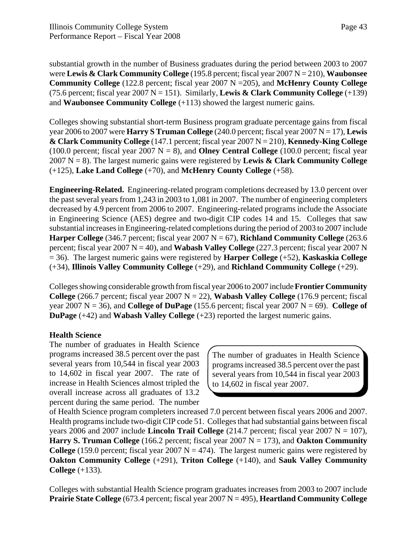substantial growth in the number of Business graduates during the period between 2003 to 2007 were **Lewis & Clark Community College** (195.8 percent; fiscal year 2007 N = 210), **Waubonsee Community College** (122.8 percent; fiscal year 2007 N =205), and **McHenry County College** (75.6 percent; fiscal year 2007  $N = 151$ ). Similarly, **Lewis & Clark Community College**  $(+139)$ and **Waubonsee Community College** (+113) showed the largest numeric gains.

Colleges showing substantial short-term Business program graduate percentage gains from fiscal year 2006 to 2007 were **Harry S Truman College** (240.0 percent; fiscal year 2007 N = 17), **Lewis & Clark Community College** (147.1 percent; fiscal year 2007 N = 210), **Kennedy-King College** (100.0 percent; fiscal year  $2007 \text{ N} = 8$ ), and **Olney Central College** (100.0 percent; fiscal year 2007 N = 8). The largest numeric gains were registered by **Lewis & Clark Community College** (+125), **Lake Land College** (+70), and **McHenry County College** (+58).

**Engineering-Related.** Engineering-related program completions decreased by 13.0 percent over the past several years from 1,243 in 2003 to 1,081 in 2007. The number of engineering completers decreased by 4.9 percent from 2006 to 2007. Engineering-related programs include the Associate in Engineering Science (AES) degree and two-digit CIP codes 14 and 15. Colleges that saw substantial increases in Engineering-related completions during the period of 2003 to 2007 include **Harper College** (346.7 percent; fiscal year 2007  $N = 67$ ), **Richland Community College** (263.6) percent; fiscal year 2007 N = 40), and **Wabash Valley College** (227.3 percent; fiscal year 2007 N = 36). The largest numeric gains were registered by **Harper College** (+52), **Kaskaskia College** (+34), **Illinois Valley Community College** (+29), and **Richland Community College** (+29).

Colleges showing considerable growth from fiscal year 2006 to 2007 include **Frontier Community College** (266.7 percent; fiscal year 2007  $N = 22$ ), **Wabash Valley College** (176.9 percent; fiscal year 2007  $N = 36$ ), and **College of DuPage** (155.6 percent; fiscal year 2007  $N = 69$ ). **College of DuPage** (+42) and **Wabash Valley College** (+23) reported the largest numeric gains.

### **Health Science**

The number of graduates in Health Science programs increased 38.5 percent over the past several years from 10,544 in fiscal year 2003 to 14,602 in fiscal year 2007. The rate of increase in Health Sciences almost tripled the overall increase across all graduates of 13.2 percent during the same period. The number

The number of graduates in Health Science programs increased 38.5 percent over the past several years from 10,544 in fiscal year 2003 to 14,602 in fiscal year 2007.

of Health Science program completers increased 7.0 percent between fiscal years 2006 and 2007. Health programs include two-digit CIP code 51. Colleges that had substantial gains between fiscal years 2006 and 2007 include **Lincoln Trail College**  $(214.7 \text{ percent}; \text{fised year } 2007 \text{ N} = 107)$ , **Harry S. Truman College** (166.2 percent; fiscal year 2007  $N = 173$ ), and **Oakton Community College** (159.0 percent; fiscal year 2007  $N = 474$ ). The largest numeric gains were registered by **Oakton Community College** (+291), **Triton College** (+140), and **Sauk Valley Community College** (+133).

Colleges with substantial Health Science program graduates increases from 2003 to 2007 include **Prairie State College** (673.4 percent; fiscal year 2007 N = 495), **Heartland Community College**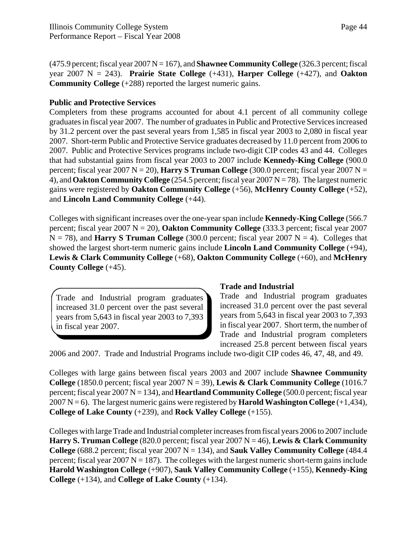(475.9 percent; fiscal year 2007 N = 167), and **Shawnee Community College** (326.3 percent; fiscal year 2007 N = 243). **Prairie State College** (+431), **Harper College** (+427), and **Oakton Community College** (+288) reported the largest numeric gains.

### **Public and Protective Services**

Completers from these programs accounted for about 4.1 percent of all community college graduates in fiscal year 2007. The number of graduates in Public and Protective Services increased by 31.2 percent over the past several years from 1,585 in fiscal year 2003 to 2,080 in fiscal year 2007. Short-term Public and Protective Service graduates decreased by 11.0 percent from 2006 to 2007. Public and Protective Services programs include two-digit CIP codes 43 and 44. Colleges that had substantial gains from fiscal year 2003 to 2007 include **Kennedy-King College** (900.0 percent; fiscal year 2007  $N = 20$ ), **Harry S Truman College** (300.0 percent; fiscal year 2007  $N =$ 4), and **Oakton Community College** (254.5 percent; fiscal year 2007 N = 78). The largest numeric gains were registered by **Oakton Community College** (+56), **McHenry County College** (+52), and **Lincoln Land Community College** (+44).

Colleges with significant increases over the one-year span include **Kennedy-King College** (566.7 percent; fiscal year 2007 N = 20), **Oakton Community College** (333.3 percent; fiscal year 2007  $N = 78$ ), and **Harry S Truman College** (300.0 percent; fiscal year 2007  $N = 4$ ). Colleges that showed the largest short-term numeric gains include **Lincoln Land Community College** (+94), **Lewis & Clark Community College** (+68), **Oakton Community College** (+60), and **McHenry County College** (+45).

Trade and Industrial program graduates increased 31.0 percent over the past several years from 5,643 in fiscal year 2003 to 7,393 in fiscal year 2007.

#### **Trade and Industrial**

Trade and Industrial program graduates increased 31.0 percent over the past several years from 5,643 in fiscal year 2003 to 7,393 in fiscal year 2007. Short term, the number of Trade and Industrial program completers increased 25.8 percent between fiscal years

2006 and 2007. Trade and Industrial Programs include two-digit CIP codes 46, 47, 48, and 49.

Colleges with large gains between fiscal years 2003 and 2007 include **Shawnee Community College** (1850.0 percent; fiscal year 2007  $N = 39$ ), **Lewis & Clark Community College** (1016.7 percent; fiscal year 2007 N = 134), and **Heartland Community College** (500.0 percent; fiscal year 2007 N = 6). The largest numeric gains were registered by **Harold Washington College**  $(+1,434)$ , **College of Lake County** (+239), and **Rock Valley College** (+155).

Colleges with large Trade and Industrial completer increases from fiscal years 2006 to 2007 include **Harry S. Truman College** (820.0 percent; fiscal year 2007 N = 46), **Lewis & Clark Community College** (688.2 percent; fiscal year 2007  $N = 134$ ), and **Sauk Valley Community College** (484.4) percent; fiscal year 2007  $N = 187$ ). The colleges with the largest numeric short-term gains include **Harold Washington College** (+907), **Sauk Valley Community College** (+155), **Kennedy-King College** (+134), and **College of Lake County** (+134).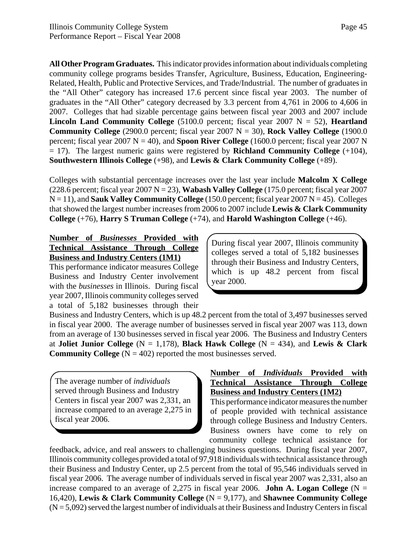**All Other Program Graduates.** This indicator provides information about individuals completing community college programs besides Transfer, Agriculture, Business, Education, Engineering-Related, Health, Public and Protective Services, and Trade/Industrial. The number of graduates in the "All Other" category has increased 17.6 percent since fiscal year 2003. The number of graduates in the "All Other" category decreased by 3.3 percent from 4,761 in 2006 to 4,606 in 2007. Colleges that had sizable percentage gains between fiscal year 2003 and 2007 include **Lincoln Land Community College** (5100.0 percent; fiscal year 2007  $N = 52$ ), **Heartland Community College** (2900.0 percent; fiscal year 2007  $N = 30$ ), **Rock Valley College** (1900.0) percent; fiscal year  $2007 \text{ N} = 40$ ), and **Spoon River College** (1600.0 percent; fiscal year  $2007 \text{ N}$ = 17). The largest numeric gains were registered by **Richland Community College** (+104), **Southwestern Illinois College** (+98), and **Lewis & Clark Community College** (+89).

Colleges with substantial percentage increases over the last year include **Malcolm X College** (228.6 percent; fiscal year  $2007 \text{ N} = 23$ ), **Wabash Valley College** (175.0 percent; fiscal year 2007  $N = 11$ ), and **Sauk Valley Community College** (150.0 percent; fiscal year 2007  $N = 45$ ). Colleges that showed the largest number increases from 2006 to 2007 include **Lewis & Clark Community College** (+76), **Harry S Truman College** (+74), and **Harold Washington College** (+46).

# **Number of** *Businesses* **Provided with Technical Assistance Through College Business and Industry Centers (1M1)**

This performance indicator measures College Business and Industry Center involvement with the *businesses* in Illinois. During fiscal year 2007, Illinois community colleges served a total of 5,182 businesses through their During fiscal year 2007, Illinois community colleges served a total of 5,182 businesses through their Business and Industry Centers, which is up 48.2 percent from fiscal year 2000.

Business and Industry Centers, which is up 48.2 percent from the total of 3,497 businesses served in fiscal year 2000. The average number of businesses served in fiscal year 2007 was 113, down from an average of 130 businesses served in fiscal year 2006. The Business and Industry Centers at **Joliet Junior College**  $(N = 1,178)$ , **Black Hawk College**  $(N = 434)$ , and **Lewis & Clark Community College**  $(N = 402)$  reported the most businesses served.

The average number of *individuals* served through Business and Industry Centers in fiscal year 2007 was 2,331, an increase compared to an average 2,275 in fiscal year 2006.

#### **Number of** *Individuals* **Provided with Technical Assistance Through College Business and Industry Centers (1M2)**

This performance indicator measures the number of people provided with technical assistance through college Business and Industry Centers. Business owners have come to rely on community college technical assistance for

feedback, advice, and real answers to challenging business questions. During fiscal year 2007, Illinois community colleges provided a total of 97,918 individuals with technical assistance through their Business and Industry Center, up 2.5 percent from the total of 95,546 individuals served in fiscal year 2006. The average number of individuals served in fiscal year 2007 was 2,331, also an increase compared to an average of 2,275 in fiscal year 2006. **John A. Logan College**  $(N =$ 16,420), **Lewis & Clark Community College** (N = 9,177), and **Shawnee Community College**  $(N = 5,092)$  served the largest number of individuals at their Business and Industry Centers in fiscal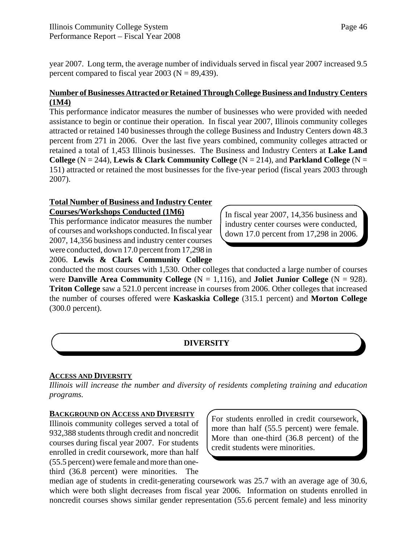year 2007. Long term, the average number of individuals served in fiscal year 2007 increased 9.5 percent compared to fiscal year  $2003$  (N = 89,439).

# **Number of Businesses Attracted or Retained Through College Business and Industry Centers (1M4)**

This performance indicator measures the number of businesses who were provided with needed assistance to begin or continue their operation. In fiscal year 2007, Illinois community colleges attracted or retained 140 businesses through the college Business and Industry Centers down 48.3 percent from 271 in 2006. Over the last five years combined, community colleges attracted or retained a total of 1,453 Illinois businesses. The Business and Industry Centers at **Lake Land College**  $(N = 244)$ , **Lewis & Clark Community College**  $(N = 214)$ , and **Parkland College**  $(N = 214)$ 151) attracted or retained the most businesses for the five-year period (fiscal years 2003 through 2007).

# **Total Number of Business and Industry Center Courses/Workshops Conducted (1M6)**

This performance indicator measures the number of courses and workshops conducted. In fiscal year 2007, 14,356 business and industry center courses were conducted, down 17.0 percent from 17,298 in 2006. **Lewis & Clark Community College** In fiscal year 2007, 14,356 business and industry center courses were conducted, down 17.0 percent from 17,298 in 2006.

conducted the most courses with 1,530. Other colleges that conducted a large number of courses were **Danville Area Community College**  $(N = 1,116)$ , and **Joliet Junior College**  $(N = 928)$ . **Triton College** saw a 521.0 percent increase in courses from 2006. Other colleges that increased the number of courses offered were **Kaskaskia College** (315.1 percent) and **Morton College** (300.0 percent).

# **DIVERSITY**

# **ACCESS AND DIVERSITY**

*Illinois will increase the number and diversity of residents completing training and education programs.*

### **BACKGROUND ON ACCESS AND DIVERSITY**

Illinois community colleges served a total of 932,388 students through credit and noncredit courses during fiscal year 2007. For students enrolled in credit coursework, more than half (55.5 percent) were female and more than onethird (36.8 percent) were minorities. The

For students enrolled in credit coursework, more than half (55.5 percent) were female. More than one-third (36.8 percent) of the credit students were minorities.

median age of students in credit-generating coursework was 25.7 with an average age of 30.6, which were both slight decreases from fiscal year 2006. Information on students enrolled in noncredit courses shows similar gender representation (55.6 percent female) and less minority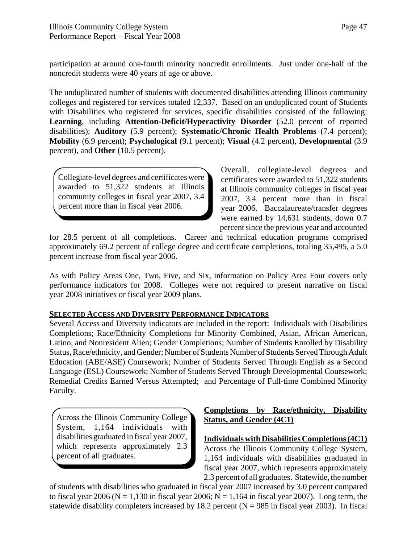participation at around one-fourth minority noncredit enrollments. Just under one-half of the noncredit students were 40 years of age or above.

The unduplicated number of students with documented disabilities attending Illinois community colleges and registered for services totaled 12,337. Based on an unduplicated count of Students with Disabilities who registered for services, specific disabilities consisted of the following: **Learning**, including **Attention-Deficit/Hyperactivity Disorder** (52.0 percent of reported disabilities); **Auditory** (5.9 percent); **Systematic/Chronic Health Problems** (7.4 percent); **Mobility** (6.9 percent); **Psychological** (9.1 percent); **Visual** (4.2 percent), **Developmental** (3.9 percent), and **Other** (10.5 percent).

Collegiate-level degrees and certificates were awarded to 51,322 students at Illinois community colleges in fiscal year 2007, 3.4 percent more than in fiscal year 2006.

Overall, collegiate-level degrees and certificates were awarded to 51,322 students at Illinois community colleges in fiscal year 2007, 3.4 percent more than in fiscal year 2006. Baccalaureate/transfer degrees were earned by 14,631 students, down 0.7 percent since the previous year and accounted

for 28.5 percent of all completions. Career and technical education programs comprised approximately 69.2 percent of college degree and certificate completions, totaling 35,495, a 5.0 percent increase from fiscal year 2006.

As with Policy Areas One, Two, Five, and Six, information on Policy Area Four covers only performance indicators for 2008. Colleges were not required to present narrative on fiscal year 2008 initiatives or fiscal year 2009 plans.

### **SELECTED ACCESS AND DIVERSITY PERFORMANCE INDICATORS**

Several Access and Diversity indicators are included in the report: Individuals with Disabilities Completions; Race/Ethnicity Completions for Minority Combined, Asian, African American, Latino, and Nonresident Alien; Gender Completions; Number of Students Enrolled by Disability Status, Race/ethnicity, and Gender; Number of Students Number of Students Served Through Adult Education (ABE/ASE) Coursework; Number of Students Served Through English as a Second Language (ESL) Coursework; Number of Students Served Through Developmental Coursework; Remedial Credits Earned Versus Attempted; and Percentage of Full-time Combined Minority Faculty.

Across the Illinois Community College System, 1,164 individuals with disabilities graduated in fiscal year 2007, which represents approximately 2.3 percent of all graduates.

# **Completions by Race/ethnicity, Disability Status, and Gender (4C1)**

**Individuals with Disabilities Completions (4C1)**

Across the Illinois Community College System, 1,164 individuals with disabilities graduated in fiscal year 2007, which represents approximately 2.3 percent of all graduates. Statewide, the number

of students with disabilities who graduated in fiscal year 2007 increased by 3.0 percent compared to fiscal year 2006 ( $N = 1,130$  in fiscal year 2006;  $N = 1,164$  in fiscal year 2007). Long term, the statewide disability completers increased by 18.2 percent  $(N = 985$  in fiscal year 2003). In fiscal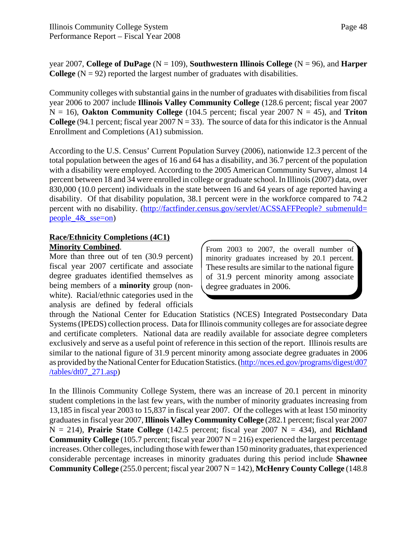year 2007, **College of DuPage** (N = 109), **Southwestern Illinois College** (N = 96), and **Harper College**  $(N = 92)$  reported the largest number of graduates with disabilities.

Community colleges with substantial gains in the number of graduates with disabilities from fiscal year 2006 to 2007 include **Illinois Valley Community College** (128.6 percent; fiscal year 2007  $N = 16$ ), **Oakton Community College** (104.5 percent; fiscal year 2007  $N = 45$ ), and **Triton College** (94.1 percent; fiscal year 2007  $N = 33$ ). The source of data for this indicator is the Annual Enrollment and Completions (A1) submission.

According to the U.S. Census' Current Population Survey (2006), nationwide 12.3 percent of the total population between the ages of 16 and 64 has a disability, and 36.7 percent of the population with a disability were employed. According to the 2005 American Community Survey, almost 14 percent between 18 and 34 were enrolled in college or graduate school. In Illinois (2007) data, over 830,000 (10.0 percent) individuals in the state between 16 and 64 years of age reported having a disability. Of that disability population, 38.1 percent were in the workforce compared to 74.2 percent with no disability. (http://factfinder.census.gov/servlet/ACSSAFFPeople? submenuId= people\_4&\_sse=on)

### **Race/Ethnicity Completions (4C1) Minority Combined**.

More than three out of ten (30.9 percent) fiscal year 2007 certificate and associate degree graduates identified themselves as being members of a **minority** group (nonwhite). Racial/ethnic categories used in the analysis are defined by federal officials From 2003 to 2007, the overall number of minority graduates increased by 20.1 percent. These results are similar to the national figure of 31.9 percent minority among associate degree graduates in 2006.

through the National Center for Education Statistics (NCES) Integrated Postsecondary Data Systems (IPEDS) collection process. Data for Illinois community colleges are for associate degree and certificate completers. National data are readily available for associate degree completers exclusively and serve as a useful point of reference in this section of the report. Illinois results are similar to the national figure of 31.9 percent minority among associate degree graduates in 2006 as provided by the National Center for Education Statistics. (http://nces.ed.gov/programs/digest/d07  $/tables/dt07_271.$ asp)

In the Illinois Community College System, there was an increase of 20.1 percent in minority student completions in the last few years, with the number of minority graduates increasing from 13,185 in fiscal year 2003 to 15,837 in fiscal year 2007. Of the colleges with at least 150 minority graduates in fiscal year 2007, **Illinois Valley Community College** (282.1 percent; fiscal year 2007  $N = 214$ ), **Prairie State College** (142.5 percent; fiscal year 2007  $N = 434$ ), and **Richland Community College** (105.7 percent; fiscal year  $2007 N = 216$ ) experienced the largest percentage increases. Other colleges, including those with fewer than 150 minority graduates, that experienced considerable percentage increases in minority graduates during this period include **Shawnee Community College** (255.0 percent; fiscal year 2007 N = 142), **McHenry County College** (148.8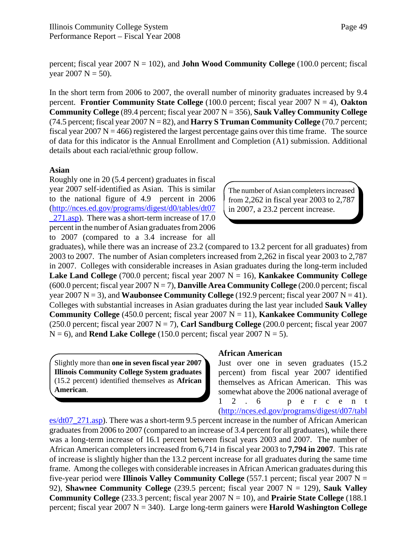percent; fiscal year  $2007 \text{ N} = 102$ ), and **John Wood Community College** (100.0 percent; fiscal year 2007  $N = 50$ ).

In the short term from 2006 to 2007, the overall number of minority graduates increased by 9.4 percent. **Frontier Community State College** (100.0 percent; fiscal year 2007 N = 4), **Oakton Community College** (89.4 percent; fiscal year 2007 N = 356), **Sauk Valley Community College** (74.5 percent; fiscal year  $2007 \text{ N} = 82$ ), and **Harry S Truman Community College** (70.7 percent; fiscal year 2007 N = 466) registered the largest percentage gains over this time frame. The source of data for this indicator is the Annual Enrollment and Completion (A1) submission. Additional details about each racial/ethnic group follow.

#### **Asian**

Roughly one in 20 (5.4 percent) graduates in fiscal year 2007 self-identified as Asian. This is similar to the national figure of 4.9 percent in 2006 (http://nces.ed.gov/programs/digest/d0/tables/dt07 271.asp). There was a short-term increase of 17.0 percent in the number of Asian graduates from 2006 to 2007 (compared to a 3.4 increase for all

The number of Asian completers increased from 2,262 in fiscal year 2003 to 2,787 in 2007, a 23.2 percent increase.

graduates), while there was an increase of 23.2 (compared to 13.2 percent for all graduates) from 2003 to 2007. The number of Asian completers increased from 2,262 in fiscal year 2003 to 2,787 in 2007. Colleges with considerable increases in Asian graduates during the long-term included **Lake Land College** (700.0 percent; fiscal year 2007  $N = 16$ ), **Kankakee Community College** (600.0 percent; fiscal year 2007 N = 7), **Danville Area Community College** (200.0 percent; fiscal year 2007  $N = 3$ ), and **Waubonsee Community College** (192.9 percent; fiscal year 2007  $N = 41$ ). Colleges with substantial increases in Asian graduates during the last year included **Sauk Valley Community College** (450.0 percent; fiscal year 2007  $N = 11$ ), **Kankakee Community College** (250.0 percent; fiscal year 2007 N = 7), **Carl Sandburg College** (200.0 percent; fiscal year 2007  $N = 6$ ), and **Rend Lake College** (150.0 percent; fiscal year 2007  $N = 5$ ).

Slightly more than **one in seven fiscal year 2007 Illinois Community College System graduates** (15.2 percent) identified themselves as **African American**.

#### **African American**

Just over one in seven graduates (15.2 percent) from fiscal year 2007 identified themselves as African American. This was somewhat above the 2006 national average of 12.6 percent

(http://nces.ed.gov/programs/digest/d07/tabl

es/dt07\_271.asp). There was a short-term 9.5 percent increase in the number of African American graduates from 2006 to 2007 (compared to an increase of 3.4 percent for all graduates), while there was a long-term increase of 16.1 percent between fiscal years 2003 and 2007. The number of African American completers increased from 6,714 in fiscal year 2003 to **7,794 in 2007**. This rate of increase is slightly higher than the 13.2 percent increase for all graduates during the same time frame. Among the colleges with considerable increases in African American graduates during this five-year period were **Illinois Valley Community College** (557.1 percent; fiscal year 2007 N = 92), **Shawnee Community College** (239.5 percent; fiscal year 2007 N = 129), **Sauk Valley Community College**  $(233.3$  percent; fiscal year  $2007$  N = 10), and **Prairie State College**  $(188.1)$ percent; fiscal year 2007 N = 340). Large long-term gainers were **Harold Washington College**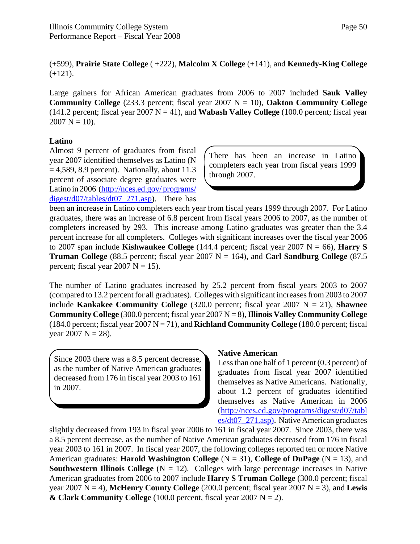(+599), **Prairie State College** ( +222), **Malcolm X College** (+141), and **Kennedy-King College**  $(+121)$ .

Large gainers for African American graduates from 2006 to 2007 included **Sauk Valley Community College** (233.3 percent; fiscal year 2007  $N = 10$ ), **Oakton Community College** (141.2 percent; fiscal year 2007  $N = 41$ ), and **Wabash Valley College** (100.0 percent; fiscal year  $2007 \text{ N} = 10$ ).

### **Latino**

Almost 9 percent of graduates from fiscal year 2007 identified themselves as Latino (N  $= 4,589, 8.9$  percent). Nationally, about 11.3 percent of associate degree graduates were Latino in 2006 (http://nces.ed.gov/ programs/ digest/d07/tables/dt07 271.asp). There has

There has been an increase in Latino completers each year from fiscal years 1999 through 2007.

been an increase in Latino completers each year from fiscal years 1999 through 2007. For Latino graduates, there was an increase of 6.8 percent from fiscal years 2006 to 2007, as the number of completers increased by 293. This increase among Latino graduates was greater than the 3.4 percent increase for all completers. Colleges with significant increases over the fiscal year 2006 to 2007 span include **Kishwaukee College** (144.4 percent; fiscal year 2007  $N = 66$ ), **Harry S Truman College** (88.5 percent; fiscal year 2007  $N = 164$ ), and **Carl Sandburg College** (87.5) percent; fiscal year  $2007 \text{ N} = 15$ ).

The number of Latino graduates increased by 25.2 percent from fiscal years 2003 to 2007 (compared to 13.2 percent for all graduates). Colleges with significant increases from 2003 to 2007 include **Kankakee Community College**  $(320.0 \text{ percent}; \text{fised year } 2007 \text{ N} = 21)$ , **Shawnee Community College** (300.0 percent; fiscal year 2007 N = 8), **Illinois Valley Community College** (184.0 percent; fiscal year  $2007 N = 71$ ), and **Richland Community College** (180.0 percent; fiscal year  $2007 \text{ N} = 28$ ).

Since 2003 there was a 8.5 percent decrease, as the number of Native American graduates decreased from 176 in fiscal year 2003 to 161 in 2007.

#### **Native American**

Less than one half of 1 percent (0.3 percent) of graduates from fiscal year 2007 identified themselves as Native Americans. Nationally, about 1.2 percent of graduates identified themselves as Native American in 2006 (http://nces.ed.gov/programs/digest/d07/tabl es/dt07\_271.asp). Native American graduates

slightly decreased from 193 in fiscal year 2006 to 161 in fiscal year 2007. Since 2003, there was a 8.5 percent decrease, as the number of Native American graduates decreased from 176 in fiscal year 2003 to 161 in 2007. In fiscal year 2007, the following colleges reported ten or more Native American graduates: **Harold Washington College**  $(N = 31)$ , College of DuPage  $(N = 13)$ , and **Southwestern Illinois College**  $(N = 12)$ . Colleges with large percentage increases in Native American graduates from 2006 to 2007 include **Harry S Truman College** (300.0 percent; fiscal year 2007  $N = 4$ ), **McHenry County College** (200.0 percent; fiscal year 2007  $N = 3$ ), and **Lewis**  $\&$  Clark Community College (100.0 percent, fiscal year 2007 N = 2).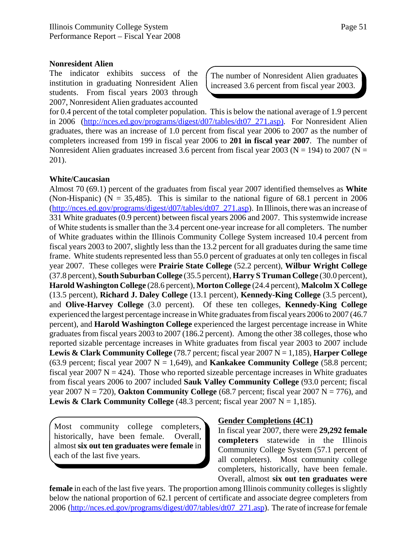#### **Nonresident Alien**

The indicator exhibits success of the institution in graduating Nonresident Alien students. From fiscal years 2003 through 2007, Nonresident Alien graduates accounted

The number of Nonresident Alien graduates increased 3.6 percent from fiscal year 2003.

for 0.4 percent of the total completer population. This is below the national average of 1.9 percent in 2006 (http://nces.ed.gov/programs/digest/d07/tables/dt07 271.asp). For Nonresident Alien graduates, there was an increase of 1.0 percent from fiscal year 2006 to 2007 as the number of completers increased from 199 in fiscal year 2006 to **201 in fiscal year 2007**. The number of Nonresident Alien graduates increased 3.6 percent from fiscal year 2003 ( $N = 194$ ) to 2007 ( $N =$ 201).

#### **White/Caucasian**

Almost 70 (69.1) percent of the graduates from fiscal year 2007 identified themselves as **White** (Non-Hispanic) ( $N = 35,485$ ). This is similar to the national figure of 68.1 percent in 2006 (http://nces.ed.gov/programs/digest/d07/tables/dt07\_271.asp). In Illinois, there was an increase of 331 White graduates (0.9 percent) between fiscal years 2006 and 2007. This systemwide increase of White students is smaller than the 3.4 percent one-year increase for all completers. The number of White graduates within the Illinois Community College System increased 10.4 percent from fiscal years 2003 to 2007, slightly less than the 13.2 percent for all graduates during the same time frame. White students represented less than 55.0 percent of graduates at only ten colleges in fiscal year 2007. These colleges were **Prairie State College** (52.2 percent), **Wilbur Wright College** (37.8 percent), **South Suburban College** (35.5 percent), **Harry S Truman College** (30.0 percent), **Harold Washington College** (28.6 percent), **Morton College** (24.4 percent), **Malcolm X College** (13.5 percent), **Richard J. Daley College** (13.1 percent), **Kennedy-King College** (3.5 percent), and **Olive-Harvey College** (3.0 percent). Of these ten colleges, **Kennedy-King College** experienced the largest percentage increase in White graduates from fiscal years 2006 to 2007 (46.7 percent), and **Harold Washington College** experienced the largest percentage increase in White graduates from fiscal years 2003 to 2007 (186.2 percent). Among the other 38 colleges, those who reported sizable percentage increases in White graduates from fiscal year 2003 to 2007 include **Lewis & Clark Community College** (78.7 percent; fiscal year 2007 N = 1,185), **Harper College** (63.9 percent; fiscal year 2007  $N = 1,649$ ), and **Kankakee Community College** (58.8 percent; fiscal year 2007  $N = 424$ ). Those who reported sizeable percentage increases in White graduates from fiscal years 2006 to 2007 included **Sauk Valley Community College** (93.0 percent; fiscal year 2007  $N = 720$ ), **Oakton Community College** (68.7 percent; fiscal year 2007  $N = 776$ ), and **Lewis & Clark Community College** (48.3 percent; fiscal year  $2007 \text{ N} = 1,185$ ).

Most community college completers, historically, have been female. Overall, almost **six out ten graduates were female** in each of the last five years.

#### **Gender Completions (4C1)**

In fiscal year 2007, there were **29,292 female completers** statewide in the Illinois Community College System (57.1 percent of all completers). Most community college completers, historically, have been female. Overall, almost **six out ten graduates were**

**female** in each of the last five years. The proportion among Illinois community colleges is slightly below the national proportion of 62.1 percent of certificate and associate degree completers from 2006 (http://nces.ed.gov/programs/digest/d07/tables/dt07\_271.asp). The rate of increase for female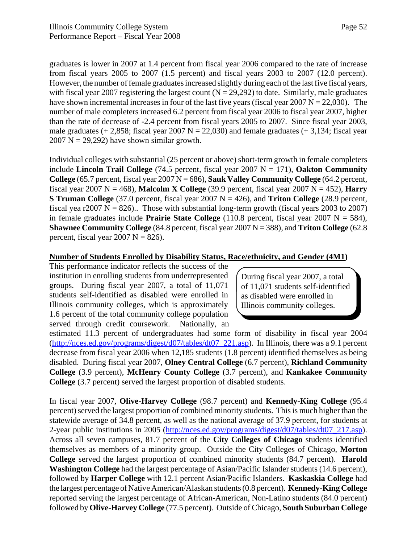graduates is lower in 2007 at 1.4 percent from fiscal year 2006 compared to the rate of increase from fiscal years 2005 to 2007 (1.5 percent) and fiscal years 2003 to 2007 (12.0 percent). However, the number of female graduates increased slightly during each of the last five fiscal years, with fiscal year 2007 registering the largest count  $(N = 29,292)$  to date. Similarly, male graduates have shown incremental increases in four of the last five years (fiscal year  $2007 \text{ N} = 22,030$ ). The number of male completers increased 6.2 percent from fiscal year 2006 to fiscal year 2007, higher than the rate of decrease of -2.4 percent from fiscal years 2005 to 2007. Since fiscal year 2003, male graduates  $(+ 2,858;$  fiscal year 2007 N = 22,030) and female graduates  $(+ 3,134;$  fiscal year  $2007$  N = 29,292) have shown similar growth.

Individual colleges with substantial (25 percent or above) short-term growth in female completers include **Lincoln Trail College** (74.5 percent, fiscal year 2007  $N = 171$ ), **Oakton Community College** (65.7 percent, fiscal year 2007 N = 686), **Sauk Valley Community College** (64.2 percent, fiscal year 2007 N = 468), **Malcolm X College** (39.9 percent, fiscal year 2007 N = 452), **Harry S Truman College** (37.0 percent, fiscal year 2007 N = 426), and **Triton College** (28.9 percent, fiscal yea r2007 N = 826).. Those with substantial long-term growth (fiscal years 2003 to 2007) in female graduates include **Prairie State College** (110.8 percent, fiscal year 2007  $N = 584$ ), **Shawnee Community College** (84.8 percent, fiscal year 2007 N = 388), and **Triton College** (62.8 percent, fiscal year  $2007 \text{ N} = 826$ ).

#### **Number of Students Enrolled by Disability Status, Race/ethnicity, and Gender (4M1)**

This performance indicator reflects the success of the institution in enrolling students from underrepresented groups. During fiscal year 2007, a total of 11,071 students self-identified as disabled were enrolled in Illinois community colleges, which is approximately 1.6 percent of the total community college population served through credit coursework. Nationally, an

During fiscal year 2007, a total of 11,071 students self-identified as disabled were enrolled in Illinois community colleges.

estimated 11.3 percent of undergraduates had some form of disability in fiscal year 2004 (http://nces.ed.gov/programs/digest/d07/tables/dt07\_221.asp). In Illinois, there was a 9.1 percent decrease from fiscal year 2006 when 12,185 students (1.8 percent) identified themselves as being disabled. During fiscal year 2007, **Olney Central College** (6.7 percent), **Richland Community College** (3.9 percent), **McHenry County College** (3.7 percent), and **Kankakee Community College** (3.7 percent) served the largest proportion of disabled students.

In fiscal year 2007, **Olive-Harvey College** (98.7 percent) and **Kennedy-King College** (95.4 percent) served the largest proportion of combined minority students. This is much higher than the statewide average of 34.8 percent, as well as the national average of 37.9 percent, for students at 2-year public institutions in 2005 (http://nces.ed.gov/programs/digest/d07/tables/dt07\_217.asp). Across all seven campuses, 81.7 percent of the **City Colleges of Chicago** students identified themselves as members of a minority group. Outside the City Colleges of Chicago, **Morton College** served the largest proportion of combined minority students (84.7 percent). **Harold Washington College** had the largest percentage of Asian/Pacific Islander students (14.6 percent), followed by **Harper College** with 12.1 percent Asian/Pacific Islanders. **Kaskaskia College** had the largest percentage of Native American/Alaskan students (0.8 percent). **Kennedy-King College** reported serving the largest percentage of African-American, Non-Latino students (84.0 percent) followed by **Olive-Harvey College** (77.5 percent). Outside of Chicago, **South Suburban College**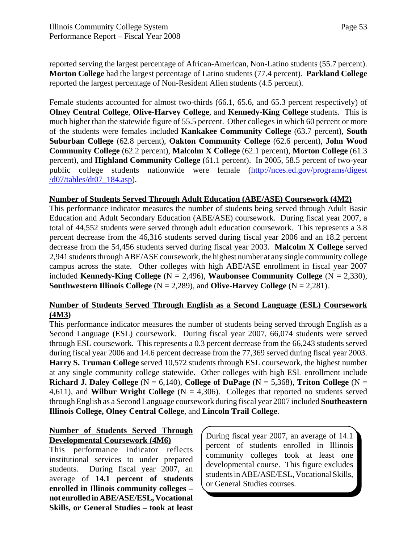reported serving the largest percentage of African-American, Non-Latino students (55.7 percent). **Morton College** had the largest percentage of Latino students (77.4 percent). **Parkland College** reported the largest percentage of Non-Resident Alien students (4.5 percent).

Female students accounted for almost two-thirds (66.1, 65.6, and 65.3 percent respectively) of **Olney Central College**, **Olive-Harvey College**, and **Kennedy-King College** students. This is much higher than the statewide figure of 55.5 percent. Other colleges in which 60 percent or more of the students were females included **Kankakee Community College** (63.7 percent), **South Suburban College** (62.8 percent), **Oakton Community College** (62.6 percent), **John Wood Community College** (62.2 percent), **Malcolm X College** (62.1 percent), **Morton College** (61.3 percent), and **Highland Community College** (61.1 percent). In 2005, 58.5 percent of two-year public college students nationwide were female (http://nces.ed.gov/programs/digest /d07/tables/dt07\_184.asp).

#### **Number of Students Served Through Adult Education (ABE/ASE) Coursework (4M2)**

This performance indicator measures the number of students being served through Adult Basic Education and Adult Secondary Education (ABE/ASE) coursework. During fiscal year 2007, a total of 44,552 students were served through adult education coursework. This represents a 3.8 percent decrease from the 46,316 students served during fiscal year 2006 and an 18.2 percent decrease from the 54,456 students served during fiscal year 2003. **Malcolm X College** served 2,941 students through ABE/ASE coursework, the highest number at any single community college campus across the state. Other colleges with high ABE/ASE enrollment in fiscal year 2007 included **Kennedy-King College**  $(N = 2,496)$ , **Waubonsee Community College**  $(N = 2,330)$ , **Southwestern Illinois College**  $(N = 2,289)$ , and **Olive-Harvey College**  $(N = 2,281)$ .

### **Number of Students Served Through English as a Second Language (ESL) Coursework (4M3)**

This performance indicator measures the number of students being served through English as a Second Language (ESL) coursework. During fiscal year 2007, 66,074 students were served through ESL coursework. This represents a 0.3 percent decrease from the 66,243 students served during fiscal year 2006 and 14.6 percent decrease from the 77,369 served during fiscal year 2003. **Harry S. Truman College** served 10,572 students through ESL coursework, the highest number at any single community college statewide. Other colleges with high ESL enrollment include **Richard J. Daley College**  $(N = 6,140)$ , College of DuPage  $(N = 5,368)$ , Triton College  $(N = 16,140)$ 4,611), and **Wilbur Wright College** (N = 4,306). Colleges that reported no students served through English as a Second Language coursework during fiscal year 2007 included **Southeastern Illinois College, Olney Central College**, and **Lincoln Trail College**.

### **Number of Students Served Through Developmental Coursework (4M6)**

This performance indicator reflects institutional services to under prepared students. During fiscal year 2007, an average of **14.1 percent of students enrolled in Illinois community colleges – not enrolled in ABE/ASE/ESL, Vocational Skills, or General Studies – took at least** During fiscal year 2007, an average of 14.1 percent of students enrolled in Illinois community colleges took at least one developmental course. This figure excludes students in ABE/ASE/ESL, Vocational Skills, or General Studies courses.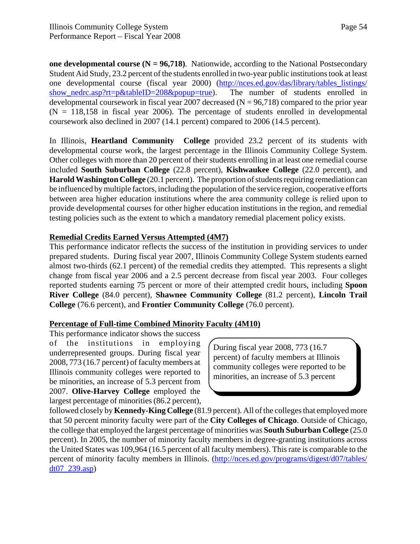Page 54

**one developmental course (N = 96,718)**. Nationwide, according to the National Postsecondary Student Aid Study, 23.2 percent of the students enrolled in two-year public institutions took at least one developmental course (fiscal year 2000) (http://nces.ed.gov/das/library/tables\_listings/ show\_nedrc.asp?rt=p&tableID=208&popup=true). The number of students enrolled in developmental coursework in fiscal year 2007 decreased ( $N = 96,718$ ) compared to the prior year  $(N = 118,158)$  in fiscal year 2006). The percentage of students enrolled in developmental coursework also declined in 2007 (14.1 percent) compared to 2006 (14.5 percent).

In Illinois, **Heartland Community College** provided 23.2 percent of its students with developmental course work, the largest percentage in the Illinois Community College System. Other colleges with more than 20 percent of their students enrolling in at least one remedial course included **South Suburban College** (22.8 percent), **Kishwaukee College** (22.0 percent), and **Harold Washington College** (20.1 percent). The proportion of students requiring remediation can be influenced by multiple factors, including the population of the service region, cooperative efforts between area higher education institutions where the area community college is relied upon to provide developmental courses for other higher education institutions in the region, and remedial testing policies such as the extent to which a mandatory remedial placement policy exists.

#### **Remedial Credits Earned Versus Attempted (4M7)**

This performance indicator reflects the success of the institution in providing services to under prepared students. During fiscal year 2007, Illinois Community College System students earned almost two-thirds (62.1 percent) of the remedial credits they attempted. This represents a slight change from fiscal year 2006 and a 2.5 percent decrease from fiscal year 2003. Four colleges reported students earning 75 percent or more of their attempted credit hours, including **Spoon River College** (84.0 percent), **Shawnee Community College** (81.2 percent), **Lincoln Trail College** (76.6 percent), and **Frontier Community College** (76.0 percent).

#### **Percentage of Full-time Combined Minority Faculty (4M10)**

This performance indicator shows the success of the institutions in employing underrepresented groups. During fiscal year 2008, 773 (16.7 percent) of faculty members at Illinois community colleges were reported to be minorities, an increase of 5.3 percent from 2007. **Olive-Harvey College** employed the largest percentage of minorities (86.2 percent),

During fiscal year 2008, 773 (16.7 percent) of faculty members at Illinois community colleges were reported to be minorities, an increase of 5.3 percent

followed closely by **Kennedy-King College** (81.9 percent). All of the colleges that employed more that 50 percent minority faculty were part of the **City Colleges of Chicago**. Outside of Chicago, the college that employed the largest percentage of minorities was **South Suburban College** (25.0 percent). In 2005, the number of minority faculty members in degree-granting institutions across the United States was 109,964 (16.5 percent of all faculty members). This rate is comparable to the percent of minority faculty members in Illinois. (http://nces.ed.gov/programs/digest/d07/tables/ dt07\_239.asp)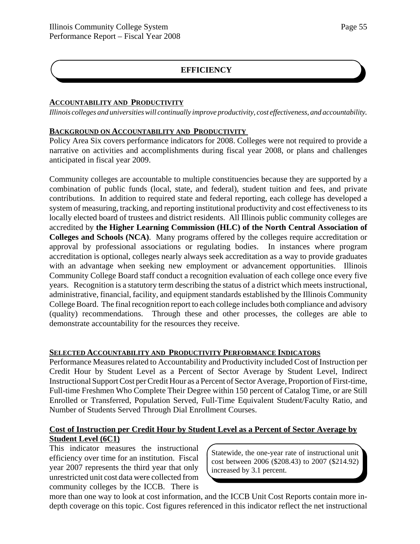# **EFFICIENCY**

#### **ACCOUNTABILITY AND PRODUCTIVITY**

*Illinois colleges and universities will continually improve productivity, cost effectiveness, and accountability.*

### **BACKGROUND ON ACCOUNTABILITY AND PRODUCTIVITY**

Policy Area Six covers performance indicators for 2008. Colleges were not required to provide a narrative on activities and accomplishments during fiscal year 2008, or plans and challenges anticipated in fiscal year 2009.

Community colleges are accountable to multiple constituencies because they are supported by a combination of public funds (local, state, and federal), student tuition and fees, and private contributions. In addition to required state and federal reporting, each college has developed a system of measuring, tracking, and reporting institutional productivity and cost effectiveness to its locally elected board of trustees and district residents. All Illinois public community colleges are accredited by **the Higher Learning Commission (HLC) of the North Central Association of Colleges and Schools (NCA)**. Many programs offered by the colleges require accreditation or approval by professional associations or regulating bodies. In instances where program accreditation is optional, colleges nearly always seek accreditation as a way to provide graduates with an advantage when seeking new employment or advancement opportunities. Illinois Community College Board staff conduct a recognition evaluation of each college once every five years. Recognition is a statutory term describing the status of a district which meets instructional, administrative, financial, facility, and equipment standards established by the Illinois Community College Board. The final recognition report to each college includes both compliance and advisory (quality) recommendations. Through these and other processes, the colleges are able to demonstrate accountability for the resources they receive.

### **SELECTED ACCOUNTABILITY AND PRODUCTIVITY PERFORMANCE INDICATORS**

Performance Measures related to Accountability and Productivity included Cost of Instruction per Credit Hour by Student Level as a Percent of Sector Average by Student Level, Indirect Instructional Support Cost per Credit Hour as a Percent of Sector Average, Proportion of First-time, Full-time Freshmen Who Complete Their Degree within 150 percent of Catalog Time, or are Still Enrolled or Transferred, Population Served, Full-Time Equivalent Student/Faculty Ratio, and Number of Students Served Through Dial Enrollment Courses.

### **Cost of Instruction per Credit Hour by Student Level as a Percent of Sector Average by Student Level (6C1)**

This indicator measures the instructional efficiency over time for an institution. Fiscal year 2007 represents the third year that only unrestricted unit cost data were collected from community colleges by the ICCB. There is

Statewide, the one-year rate of instructional unit cost between 2006 (\$208.43) to 2007 (\$214.92) increased by 3.1 percent.

more than one way to look at cost information, and the ICCB Unit Cost Reports contain more indepth coverage on this topic. Cost figures referenced in this indicator reflect the net instructional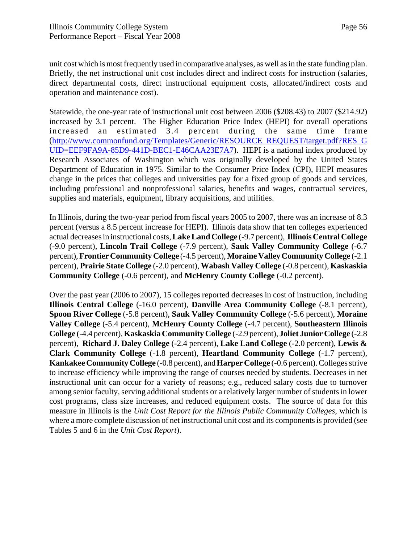unit cost which is most frequently used in comparative analyses, as well as in the state funding plan. Briefly, the net instructional unit cost includes direct and indirect costs for instruction (salaries, direct departmental costs, direct instructional equipment costs, allocated/indirect costs and operation and maintenance cost).

Statewide, the one-year rate of instructional unit cost between 2006 (\$208.43) to 2007 (\$214.92) increased by 3.1 percent. The Higher Education Price Index (HEPI) for overall operations increased an estimated 3.4 percent during the same time frame (http://www.commonfund.org/Templates/Generic/RESOURCE\_REQUEST/target.pdf?RES\_G UID=EEF9FA9A-85D9-441D-BEC1-E46CAA23E7A7). HEPI is a national index produced by Research Associates of Washington which was originally developed by the United States Department of Education in 1975. Similar to the Consumer Price Index (CPI), HEPI measures change in the prices that colleges and universities pay for a fixed group of goods and services, including professional and nonprofessional salaries, benefits and wages, contractual services, supplies and materials, equipment, library acquisitions, and utilities.

In Illinois, during the two-year period from fiscal years 2005 to 2007, there was an increase of 8.3 percent (versus a 8.5 percent increase for HEPI). Illinois data show that ten colleges experienced actual decreases in instructional costs, **Lake Land College** (-9.7 percent), **Illinois Central College** (-9.0 percent), **Lincoln Trail College** (-7.9 percent), **Sauk Valley Community College** (-6.7 percent), **Frontier Community College** (-4.5 percent), **Moraine Valley Community College** (-2.1 percent), **Prairie State College** (-2.0 percent), **Wabash Valley College** (-0.8 percent), **Kaskaskia Community College** (-0.6 percent), and **McHenry County College** (-0.2 percent).

Over the past year (2006 to 2007), 15 colleges reported decreases in cost of instruction, including **Illinois Central College** (-16.0 percent), **Danville Area Community College** (-8.1 percent), **Spoon River College** (-5.8 percent), **Sauk Valley Community College** (-5.6 percent), **Moraine Valley College** (-5.4 percent), **McHenry County College** (-4.7 percent), **Southeastern Illinois College** (-4.4 percent), **Kaskaskia Community College** (-2.9 percent), **Joliet Junior College** (-2.8 percent), **Richard J. Daley College** (-2.4 percent), **Lake Land College** (-2.0 percent), **Lewis & Clark Community College** (-1.8 percent), **Heartland Community College** (-1.7 percent), **Kankakee Community College** (-0.8 percent), and **Harper College** (-0.6 percent). Colleges strive to increase efficiency while improving the range of courses needed by students. Decreases in net instructional unit can occur for a variety of reasons; e.g., reduced salary costs due to turnover among senior faculty, serving additional students or a relatively larger number of students in lower cost programs, class size increases, and reduced equipment costs. The source of data for this measure in Illinois is the *Unit Cost Report for the Illinois Public Community Colleges*, which is where a more complete discussion of net instructional unit cost and its components is provided (see Tables 5 and 6 in the *Unit Cost Report*).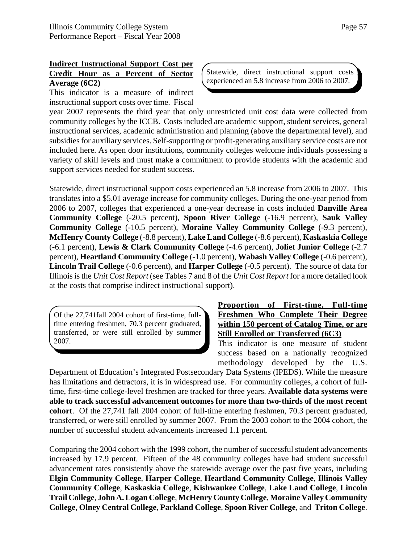# **Indirect Instructional Support Cost per Credit Hour as a Percent of Sector Average (6C2)**

This indicator is a measure of indirect instructional support costs over time. Fiscal Statewide, direct instructional support costs experienced an 5.8 increase from 2006 to 2007.

year 2007 represents the third year that only unrestricted unit cost data were collected from community colleges by the ICCB. Costs included are academic support, student services, general instructional services, academic administration and planning (above the departmental level), and subsidies for auxiliary services. Self-supporting or profit-generating auxiliary service costs are not included here. As open door institutions, community colleges welcome individuals possessing a variety of skill levels and must make a commitment to provide students with the academic and support services needed for student success.

Statewide, direct instructional support costs experienced an 5.8 increase from 2006 to 2007. This translates into a \$5.01 average increase for community colleges. During the one-year period from 2006 to 2007, colleges that experienced a one-year decrease in costs included **Danville Area Community College** (-20.5 percent), **Spoon River College** (-16.9 percent), **Sauk Valley Community College** (-10.5 percent), **Moraine Valley Community College** (-9.3 percent), **McHenry County College** (-8.8 percent), **Lake Land College** (-8.6 percent), **Kaskaskia College** (-6.1 percent), **Lewis & Clark Community College** (-4.6 percent), **Joliet Junior College** (-2.7 percent), **Heartland Community College** (-1.0 percent), **Wabash Valley College** (-0.6 percent), **Lincoln Trail College** (-0.6 percent), and **Harper College** (-0.5 percent). The source of data for Illinois is the *Unit Cost Report* (see Tables 7 and 8 of the *Unit Cost Report* for a more detailed look at the costs that comprise indirect instructional support).

Of the 27,741fall 2004 cohort of first-time, fulltime entering freshmen, 70.3 percent graduated, transferred, or were still enrolled by summer 2007.

### **Proportion of First-time, Full-time Freshmen Who Complete Their Degree within 150 percent of Catalog Time, or are Still Enrolled or Transferred (6C3)**

This indicator is one measure of student success based on a nationally recognized methodology developed by the U.S.

Department of Education's Integrated Postsecondary Data Systems (IPEDS). While the measure has limitations and detractors, it is in widespread use. For community colleges, a cohort of fulltime, first-time college-level freshmen are tracked for three years. **Available data systems were able to track successful advancement outcomes for more than two-thirds of the most recent cohort**. Of the 27,741 fall 2004 cohort of full-time entering freshmen, 70.3 percent graduated, transferred, or were still enrolled by summer 2007. From the 2003 cohort to the 2004 cohort, the number of successful student advancements increased 1.1 percent.

Comparing the 2004 cohort with the 1999 cohort, the number of successful student advancements increased by 17.9 percent. Fifteen of the 48 community colleges have had student successful advancement rates consistently above the statewide average over the past five years, including **Elgin Community College**, **Harper College**, **Heartland Community College**, **Illinois Valley Community College**, **Kaskaskia College**, **Kishwaukee College**, **Lake Land College**, **Lincoln Trail College**, **John A. Logan College**, **McHenry County College**, **Moraine Valley Community College**, **Olney Central College**, **Parkland College**, **Spoon River College**, and **Triton College**.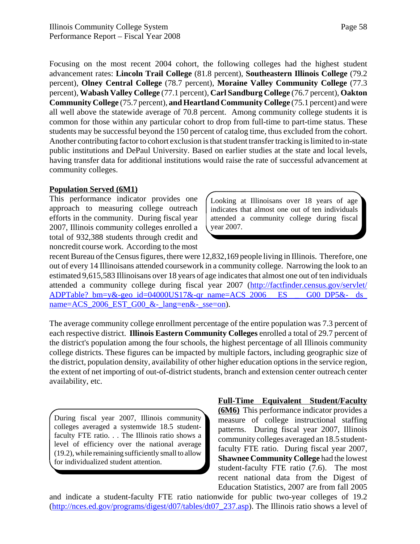Focusing on the most recent 2004 cohort, the following colleges had the highest student advancement rates: **Lincoln Trail College** (81.8 percent), **Southeastern Illinois College** (79.2 percent), **Olney Central College** (78.7 percent), **Moraine Valley Community College** (77.3 percent), **Wabash Valley College** (77.1 percent), **Carl Sandburg College** (76.7 percent), **Oakton Community College** (75.7 percent), **and Heartland Community College** (75.1 percent) and were all well above the statewide average of 70.8 percent. Among community college students it is common for those within any particular cohort to drop from full-time to part-time status. These students may be successful beyond the 150 percent of catalog time, thus excluded from the cohort. Another contributing factor to cohort exclusion is that student transfer tracking is limited to in-state public institutions and DePaul University. Based on earlier studies at the state and local levels, having transfer data for additional institutions would raise the rate of successful advancement at community colleges.

#### **Population Served (6M1)**

This performance indicator provides one approach to measuring college outreach efforts in the community. During fiscal year 2007, Illinois community colleges enrolled a total of 932,388 students through credit and noncredit course work. According to the most

Looking at Illinoisans over 18 years of age indicates that almost one out of ten individuals attended a community college during fiscal year 2007.

recent Bureau of the Census figures, there were 12,832,169 people living in Illinois. Therefore, one out of every 14 Illinoisans attended coursework in a community college. Narrowing the look to an estimated 9,615,583 Illinoisans over 18 years of age indicates that almost one out of ten individuals attended a community college during fiscal year 2007 (http://factfinder.census.gov/servlet/ ADPTable?\_bm=y&-geo\_id=04000US17&-qr\_name=ACS\_2006\_ ES \_ G00\_DP5&- ds\_ name= $ACS_2006_$  EST\_G00 &-\_lang=en&-\_sse=on).

The average community college enrollment percentage of the entire population was 7.3 percent of each respective district. **Illinois Eastern Community Colleges** enrolled a total of 29.7 percent of the district's population among the four schools, the highest percentage of all Illinois community college districts. These figures can be impacted by multiple factors, including geographic size of the district, population density, availability of other higher education options in the service region, the extent of net importing of out-of-district students, branch and extension center outreach center availability, etc.

During fiscal year 2007, Illinois community colleges averaged a systemwide 18.5 studentfaculty FTE ratio. . . The Illinois ratio shows a level of efficiency over the national average (19.2), while remaining sufficiently small to allow for individualized student attention.

**Full-Time Equivalent Student/Faculty (6M6)** This performance indicator provides a measure of college instructional staffing patterns. During fiscal year 2007, Illinois community colleges averaged an 18.5 studentfaculty FTE ratio. During fiscal year 2007, **Shawnee Community College** had the lowest student-faculty FTE ratio (7.6). The most recent national data from the Digest of Education Statistics, 2007 are from fall 2005

and indicate a student-faculty FTE ratio nationwide for public two-year colleges of 19.2 (http://nces.ed.gov/programs/digest/d07/tables/dt07\_237.asp). The Illinois ratio shows a level of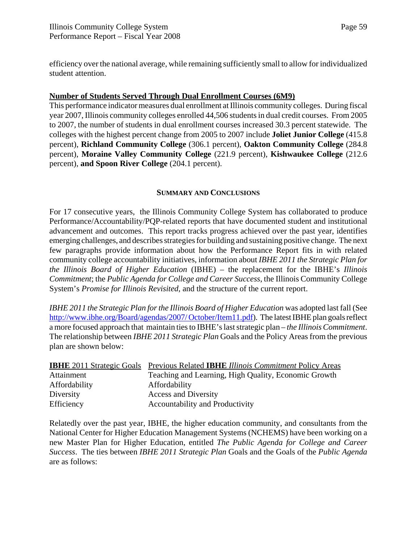efficiency over the national average, while remaining sufficiently small to allow for individualized student attention.

### **Number of Students Served Through Dual Enrollment Courses (6M9)**

This performance indicator measures dual enrollment at Illinois community colleges. During fiscal year 2007, Illinois community colleges enrolled 44,506 students in dual credit courses. From 2005 to 2007, the number of students in dual enrollment courses increased 30.3 percent statewide. The colleges with the highest percent change from 2005 to 2007 include **Joliet Junior College** (415.8 percent), **Richland Community College** (306.1 percent), **Oakton Community College** (284.8 percent), **Moraine Valley Community College** (221.9 percent), **Kishwaukee College** (212.6 percent), **and Spoon River College** (204.1 percent).

### **SUMMARY AND CONCLUSIONS**

For 17 consecutive years, the Illinois Community College System has collaborated to produce Performance/Accountability/PQP-related reports that have documented student and institutional advancement and outcomes. This report tracks progress achieved over the past year, identifies emerging challenges, and describes strategies for building and sustaining positive change. The next few paragraphs provide information about how the Performance Report fits in with related community college accountability initiatives, information about *IBHE 2011 the Strategic Plan for the Illinois Board of Higher Education* (IBHE) – the replacement for the IBHE's *Illinois Commitment*; the *Public Agenda for College and Career Success*, the Illinois Community College System's *Promise for Illinois Revisited*, and the structure of the current report.

*IBHE 2011 the Strategic Plan for the Illinois Board of Higher Education* was adopted last fall (See http://www.ibhe.org/Board/agendas/2007/ October/Item11.pdf). The latest IBHE plan goals reflect a more focused approach that maintain ties to IBHE's last strategic plan – *the Illinois Commitment*. The relationship between *IBHE 2011 Strategic Plan* Goals and the Policy Areas from the previous plan are shown below:

| <b>IBHE</b> 2011 Strategic Goals | <b>Previous Related IBHE Illinois Commitment Policy Areas</b> |
|----------------------------------|---------------------------------------------------------------|
| Attainment                       | Teaching and Learning, High Quality, Economic Growth          |
| Affordability                    | Affordability                                                 |
| Diversity                        | <b>Access and Diversity</b>                                   |
| Efficiency                       | Accountability and Productivity                               |

Relatedly over the past year, IBHE, the higher education community, and consultants from the National Center for Higher Education Management Systems (NCHEMS) have been working on a new Master Plan for Higher Education, entitled *The Public Agenda for College and Career Success*. The ties between *IBHE 2011 Strategic Plan* Goals and the Goals of the *Public Agenda* are as follows: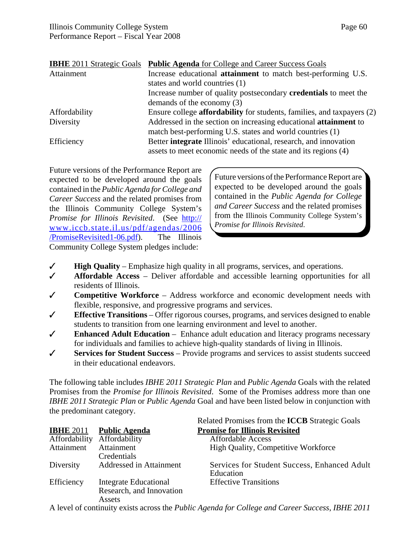|               | <b>IBHE</b> 2011 Strategic Goals <b>Public Agenda</b> for College and Career Success Goals |
|---------------|--------------------------------------------------------------------------------------------|
| Attainment    | Increase educational <b>attainment</b> to match best-performing U.S.                       |
|               | states and world countries (1)                                                             |
|               | Increase number of quality postsecondary <b>credentials</b> to meet the                    |
|               | demands of the economy (3)                                                                 |
| Affordability | Ensure college <b>affordability</b> for students, families, and taxpayers (2)              |
| Diversity     | Addressed in the section on increasing educational <b>attainment</b> to                    |
|               | match best-performing U.S. states and world countries (1)                                  |
| Efficiency    | Better integrate Illinois' educational, research, and innovation                           |
|               | assets to meet economic needs of the state and its regions (4)                             |

Future versions of the Performance Report are expected to be developed around the goals contained in the *Public Agenda for College and Career Success* and the related promises from the Illinois Community College System's *Promise for Illinois Revisited*. (See http:// www.iccb.state.il.us/pdf/agendas/2006 /PromiseRevisited1-06.pdf). The Illinois Community College System pledges include:

Future versions of the Performance Report are expected to be developed around the goals contained in the *Public Agenda for College and Career Success* and the related promises from the Illinois Community College System's *Promise for Illinois Revisited*.

- T **High Quality**  Emphasize high quality in all programs, services, and operations.
- T **Affordable Access** Deliver affordable and accessible learning opportunities for all residents of Illinois.
- T **Competitive Workforce** Address workforce and economic development needs with flexible, responsive, and progressive programs and services.
- $\checkmark$  **Effective Transitions** Offer rigorous courses, programs, and services designed to enable students to transition from one learning environment and level to another.
- $\checkmark$  **Enhanced Adult Education** Enhance adult education and literacy programs necessary for individuals and families to achieve high-quality standards of living in Illinois.
- T **Services for Student Success** Provide programs and services to assist students succeed in their educational endeavors.

The following table includes *IBHE 2011 Strategic Plan* and *Public Agenda* Goals with the related Promises from the *Promise for Illinois Revisited*. Some of the Promises address more than one *IBHE 2011 Strategic Plan* or *Public Agenda* Goal and have been listed below in conjunction with the predominant category.

|                  |                              | Related Promises from the <b>ICCB</b> Strategic Goals                                                                              |
|------------------|------------------------------|------------------------------------------------------------------------------------------------------------------------------------|
| <b>IBHE 2011</b> | <b>Public Agenda</b>         | <b>Promise for Illinois Revisited</b>                                                                                              |
| Affordability    | Affordability                | <b>Affordable Access</b>                                                                                                           |
| Attainment       | Attainment                   | High Quality, Competitive Workforce                                                                                                |
|                  | Credentials                  |                                                                                                                                    |
| Diversity        | Addressed in Attainment      | Services for Student Success, Enhanced Adult                                                                                       |
|                  |                              | Education                                                                                                                          |
| Efficiency       | <b>Integrate Educational</b> | <b>Effective Transitions</b>                                                                                                       |
|                  | Research, and Innovation     |                                                                                                                                    |
|                  | Assets                       |                                                                                                                                    |
|                  |                              | A level of continuity exists concertly $D_1, L_2, A_2, \ldots, L_n, C_n, L_{n-1}, \ldots, L_n, C_1, \ldots, C_n, C_1, \ldots, C_n$ |

A level of continuity exists across the *Public Agenda for College and Career Success*, *IBHE 2011*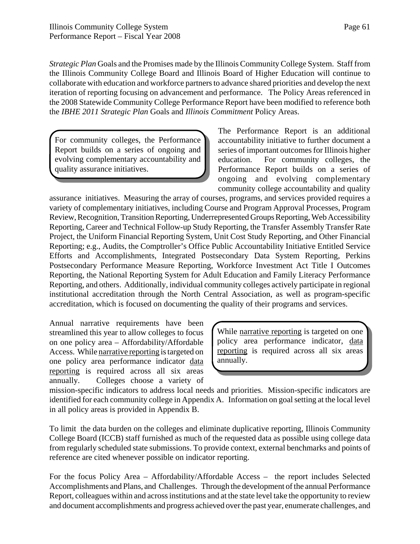*Strategic Plan* Goals and the Promises made by the Illinois Community College System. Staff from the Illinois Community College Board and Illinois Board of Higher Education will continue to collaborate with education and workforce partners to advance shared priorities and develop the next iteration of reporting focusing on advancement and performance. The Policy Areas referenced in the 2008 Statewide Community College Performance Report have been modified to reference both the *IBHE 2011 Strategic Plan* Goals and *Illinois Commitment* Policy Areas.

For community colleges, the Performance Report builds on a series of ongoing and evolving complementary accountability and quality assurance initiatives.

The Performance Report is an additional accountability initiative to further document a series of important outcomes for Illinois higher education. For community colleges, the Performance Report builds on a series of ongoing and evolving complementary community college accountability and quality

assurance initiatives. Measuring the array of courses, programs, and services provided requires a variety of complementary initiatives, including Course and Program Approval Processes, Program Review, Recognition, Transition Reporting, Underrepresented Groups Reporting, Web Accessibility Reporting, Career and Technical Follow-up Study Reporting, the Transfer Assembly Transfer Rate Project, the Uniform Financial Reporting System, Unit Cost Study Reporting, and Other Financial Reporting; e.g., Audits, the Comptroller's Office Public Accountability Initiative Entitled Service Efforts and Accomplishments, Integrated Postsecondary Data System Reporting, Perkins Postsecondary Performance Measure Reporting, Workforce Investment Act Title I Outcomes Reporting, the National Reporting System for Adult Education and Family Literacy Performance Reporting, and others. Additionally, individual community colleges actively participate in regional institutional accreditation through the North Central Association, as well as program-specific accreditation, which is focused on documenting the quality of their programs and services.

Annual narrative requirements have been streamlined this year to allow colleges to focus on one policy area – Affordability/Affordable Access. While narrative reporting is targeted on one policy area performance indicator data reporting is required across all six areas annually. Colleges choose a variety of

While narrative reporting is targeted on one policy area performance indicator, data reporting is required across all six areas annually.

mission-specific indicators to address local needs and priorities. Mission-specific indicators are identified for each community college in Appendix A. Information on goal setting at the local level in all policy areas is provided in Appendix B.

To limit the data burden on the colleges and eliminate duplicative reporting, Illinois Community College Board (ICCB) staff furnished as much of the requested data as possible using college data from regularly scheduled state submissions. To provide context, external benchmarks and points of reference are cited whenever possible on indicator reporting.

For the focus Policy Area – Affordability/Affordable Access – the report includes Selected Accomplishments and Plans, and Challenges. Through the development of the annual Performance Report, colleagues within and across institutions and at the state level take the opportunity to review and document accomplishments and progress achieved over the past year, enumerate challenges, and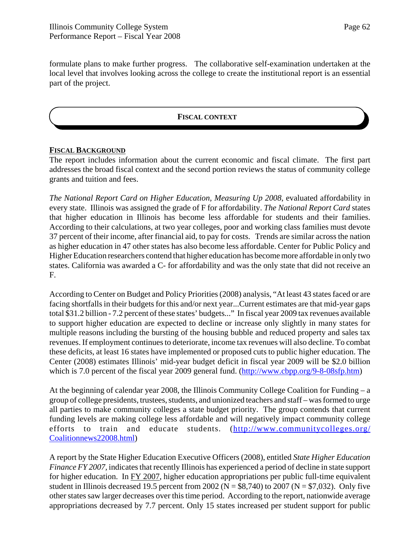formulate plans to make further progress. The collaborative self-examination undertaken at the local level that involves looking across the college to create the institutional report is an essential part of the project.

### **FISCAL CONTEXT**

#### **FISCAL BACKGROUND**

The report includes information about the current economic and fiscal climate. The first part addresses the broad fiscal context and the second portion reviews the status of community college grants and tuition and fees.

*The National Report Card on Higher Education, Measuring Up 2008*, evaluated affordability in every state. Illinois was assigned the grade of F for affordability. *The National Report Card* states that higher education in Illinois has become less affordable for students and their families. According to their calculations, at two year colleges, poor and working class families must devote 37 percent of their income, after financial aid, to pay for costs. Trends are similar across the nation as higher education in 47 other states has also become less affordable. Center for Public Policy and Higher Education researchers contend that higher education has become more affordable in only two states. California was awarded a C- for affordability and was the only state that did not receive an F.

According to Center on Budget and Policy Priorities (2008) analysis, "At least 43 states faced or are facing shortfalls in their budgets for this and/or next year...Current estimates are that mid-year gaps total \$31.2 billion - 7.2 percent of these states' budgets..." In fiscal year 2009 tax revenues available to support higher education are expected to decline or increase only slightly in many states for multiple reasons including the bursting of the housing bubble and reduced property and sales tax revenues. If employment continues to deteriorate, income tax revenues will also decline. To combat these deficits, at least 16 states have implemented or proposed cuts to public higher education. The Center (2008) estimates Illinois' mid-year budget deficit in fiscal year 2009 will be \$2.0 billion which is 7.0 percent of the fiscal year 2009 general fund. (http://www.cbpp.org/9-8-08sfp.htm)

At the beginning of calendar year 2008, the Illinois Community College Coalition for Funding – a group of college presidents, trustees, students, and unionized teachers and staff – was formed to urge all parties to make community colleges a state budget priority. The group contends that current funding levels are making college less affordable and will negatively impact community college efforts to train and educate students. (http://www.communitycolleges.org/ Coalitionnews22008.html)

A report by the State Higher Education Executive Officers (2008), entitled *State Higher Education Finance FY 2007,* indicates that recently Illinois has experienced a period of decline in state support for higher education. In FY 2007, higher education appropriations per public full-time equivalent student in Illinois decreased 19.5 percent from 2002 ( $N = $8,740$ ) to 2007 ( $N = $7,032$ ). Only five other states saw larger decreases over this time period. According to the report, nationwide average appropriations decreased by 7.7 percent. Only 15 states increased per student support for public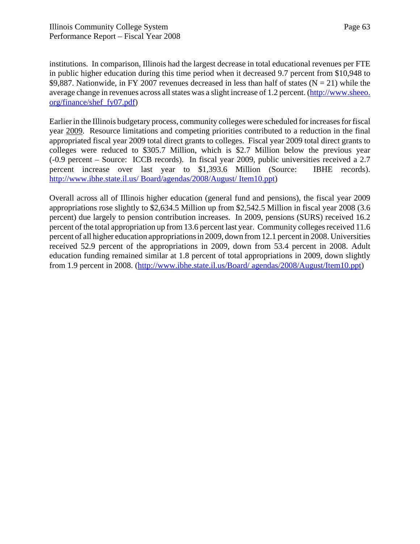institutions. In comparison, Illinois had the largest decrease in total educational revenues per FTE in public higher education during this time period when it decreased 9.7 percent from \$10,948 to \$9,887. Nationwide, in FY 2007 revenues decreased in less than half of states ( $N = 21$ ) while the average change in revenues across all states was a slight increase of 1.2 percent. (http://www.sheeo. org/finance/shef\_fy07.pdf)

Earlier in the Illinois budgetary process, community colleges were scheduled for increases for fiscal year 2009. Resource limitations and competing priorities contributed to a reduction in the final appropriated fiscal year 2009 total direct grants to colleges. Fiscal year 2009 total direct grants to colleges were reduced to \$305.7 Million, which is \$2.7 Million below the previous year (-0.9 percent – Source: ICCB records). In fiscal year 2009, public universities received a 2.7 percent increase over last year to \$1,393.6 Million (Source: IBHE records). http://www.ibhe.state.il.us/ Board/agendas/2008/August/ Item10.ppt)

Overall across all of Illinois higher education (general fund and pensions), the fiscal year 2009 appropriations rose slightly to \$2,634.5 Million up from \$2,542.5 Million in fiscal year 2008 (3.6 percent) due largely to pension contribution increases. In 2009, pensions (SURS) received 16.2 percent of the total appropriation up from 13.6 percent last year. Community colleges received 11.6 percent of all higher education appropriations in 2009, down from 12.1 percent in 2008. Universities received 52.9 percent of the appropriations in 2009, down from 53.4 percent in 2008. Adult education funding remained similar at 1.8 percent of total appropriations in 2009, down slightly from 1.9 percent in 2008. (http://www.ibhe.state.il.us/Board/ agendas/2008/August/Item10.ppt)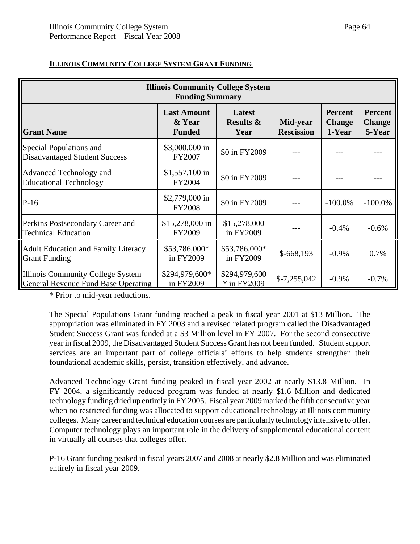| <b>Illinois Community College System</b><br><b>Funding Summary</b>              |                                               |                                        |                               |                                           |                                           |  |  |  |
|---------------------------------------------------------------------------------|-----------------------------------------------|----------------------------------------|-------------------------------|-------------------------------------------|-------------------------------------------|--|--|--|
| <b>Grant Name</b>                                                               | <b>Last Amount</b><br>& Year<br><b>Funded</b> | Latest<br><b>Results &amp;</b><br>Year | Mid-year<br><b>Rescission</b> | <b>Percent</b><br><b>Change</b><br>1-Year | <b>Percent</b><br><b>Change</b><br>5-Year |  |  |  |
| Special Populations and<br><b>Disadvantaged Student Success</b>                 | \$3,000,000 in<br>FY2007                      | \$0 in FY2009                          |                               |                                           |                                           |  |  |  |
| Advanced Technology and<br><b>Educational Technology</b>                        | $$1,557,100$ in<br>FY2004                     | \$0 in FY2009                          |                               |                                           |                                           |  |  |  |
| $P-16$                                                                          | \$2,779,000 in<br><b>FY2008</b>               | \$0 in FY2009                          |                               | $-100.0\%$                                | $-100.0\%$                                |  |  |  |
| Perkins Postsecondary Career and<br><b>Technical Education</b>                  | \$15,278,000 in<br>FY2009                     | \$15,278,000<br>in FY2009              |                               | $-0.4%$                                   | $-0.6%$                                   |  |  |  |
| <b>Adult Education and Family Literacy</b><br><b>Grant Funding</b>              | \$53,786,000*<br>in FY2009                    | \$53,786,000*<br>in FY2009             | $$-668,193$                   | $-0.9\%$                                  | 0.7%                                      |  |  |  |
| Illinois Community College System<br><b>General Revenue Fund Base Operating</b> | \$294,979,600*<br>in FY2009                   | \$294,979,600<br>* in FY2009           | $$-7,255,042$                 | $-0.9\%$                                  | $-0.7%$                                   |  |  |  |

### **ILLINOIS COMMUNITY COLLEGE SYSTEM GRANT FUNDING**

\* Prior to mid-year reductions.

The Special Populations Grant funding reached a peak in fiscal year 2001 at \$13 Million. The appropriation was eliminated in FY 2003 and a revised related program called the Disadvantaged Student Success Grant was funded at a \$3 Million level in FY 2007. For the second consecutive year in fiscal 2009, the Disadvantaged Student Success Grant has not been funded. Student support services are an important part of college officials' efforts to help students strengthen their foundational academic skills, persist, transition effectively, and advance.

Advanced Technology Grant funding peaked in fiscal year 2002 at nearly \$13.8 Million. In FY 2004, a significantly reduced program was funded at nearly \$1.6 Million and dedicated technology funding dried up entirely in FY 2005. Fiscal year 2009 marked the fifth consecutive year when no restricted funding was allocated to support educational technology at Illinois community colleges. Many career and technical education courses are particularly technology intensive to offer. Computer technology plays an important role in the delivery of supplemental educational content in virtually all courses that colleges offer.

P-16 Grant funding peaked in fiscal years 2007 and 2008 at nearly \$2.8 Million and was eliminated entirely in fiscal year 2009.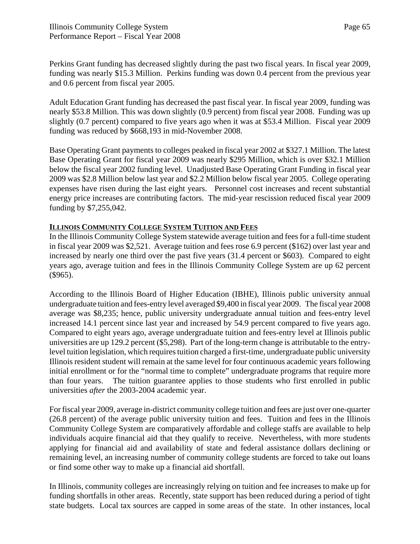Perkins Grant funding has decreased slightly during the past two fiscal years. In fiscal year 2009, funding was nearly \$15.3 Million. Perkins funding was down 0.4 percent from the previous year and 0.6 percent from fiscal year 2005.

Adult Education Grant funding has decreased the past fiscal year. In fiscal year 2009, funding was nearly \$53.8 Million. This was down slightly (0.9 percent) from fiscal year 2008. Funding was up slightly (0.7 percent) compared to five years ago when it was at \$53.4 Million. Fiscal year 2009 funding was reduced by \$668,193 in mid-November 2008.

Base Operating Grant payments to colleges peaked in fiscal year 2002 at \$327.1 Million. The latest Base Operating Grant for fiscal year 2009 was nearly \$295 Million, which is over \$32.1 Million below the fiscal year 2002 funding level. Unadjusted Base Operating Grant Funding in fiscal year 2009 was \$2.8 Million below last year and \$2.2 Million below fiscal year 2005. College operating expenses have risen during the last eight years. Personnel cost increases and recent substantial energy price increases are contributing factors. The mid-year rescission reduced fiscal year 2009 funding by \$7,255,042.

## **ILLINOIS COMMUNITY COLLEGE SYSTEM TUITION AND FEES**

In the Illinois Community College System statewide average tuition and fees for a full-time student in fiscal year 2009 was \$2,521. Average tuition and fees rose 6.9 percent (\$162) over last year and increased by nearly one third over the past five years (31.4 percent or \$603). Compared to eight years ago, average tuition and fees in the Illinois Community College System are up 62 percent (\$965).

According to the Illinois Board of Higher Education (IBHE), Illinois public university annual undergraduate tuition and fees-entry level averaged \$9,400 in fiscal year 2009. The fiscal year 2008 average was \$8,235; hence, public university undergraduate annual tuition and fees-entry level increased 14.1 percent since last year and increased by 54.9 percent compared to five years ago. Compared to eight years ago, average undergraduate tuition and fees-entry level at Illinois public universities are up 129.2 percent (\$5,298). Part of the long-term change is attributable to the entrylevel tuition legislation, which requires tuition charged a first-time, undergraduate public university Illinois resident student will remain at the same level for four continuous academic years following initial enrollment or for the "normal time to complete" undergraduate programs that require more than four years. The tuition guarantee applies to those students who first enrolled in public universities *after* the 2003-2004 academic year.

For fiscal year 2009, average in-district community college tuition and fees are just over one-quarter (26.8 percent) of the average public university tuition and fees. Tuition and fees in the Illinois Community College System are comparatively affordable and college staffs are available to help individuals acquire financial aid that they qualify to receive. Nevertheless, with more students applying for financial aid and availability of state and federal assistance dollars declining or remaining level, an increasing number of community college students are forced to take out loans or find some other way to make up a financial aid shortfall.

In Illinois, community colleges are increasingly relying on tuition and fee increases to make up for funding shortfalls in other areas. Recently, state support has been reduced during a period of tight state budgets. Local tax sources are capped in some areas of the state. In other instances, local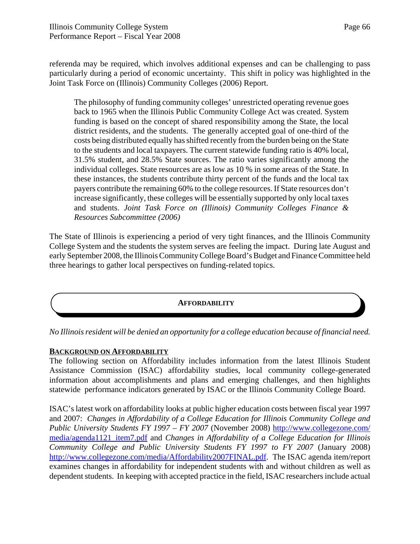referenda may be required, which involves additional expenses and can be challenging to pass particularly during a period of economic uncertainty. This shift in policy was highlighted in the Joint Task Force on (Illinois) Community Colleges (2006) Report.

The philosophy of funding community colleges' unrestricted operating revenue goes back to 1965 when the Illinois Public Community College Act was created. System funding is based on the concept of shared responsibility among the State, the local district residents, and the students. The generally accepted goal of one-third of the costs being distributed equally has shifted recently from the burden being on the State to the students and local taxpayers. The current statewide funding ratio is 40% local, 31.5% student, and 28.5% State sources. The ratio varies significantly among the individual colleges. State resources are as low as 10 % in some areas of the State. In these instances, the students contribute thirty percent of the funds and the local tax payers contribute the remaining 60% to the college resources. If State resources don't increase significantly, these colleges will be essentially supported by only local taxes and students. *Joint Task Force on (Illinois) Community Colleges Finance & Resources Subcommittee (2006)*

The State of Illinois is experiencing a period of very tight finances, and the Illinois Community College System and the students the system serves are feeling the impact. During late August and early September 2008, the Illinois Community College Board's Budget and Finance Committee held three hearings to gather local perspectives on funding-related topics.

### **AFFORDABILITY**

*No Illinois resident will be denied an opportunity for a college education because of financial need.*

#### **BACKGROUND ON AFFORDABILITY**

The following section on Affordability includes information from the latest Illinois Student Assistance Commission (ISAC) affordability studies, local community college-generated information about accomplishments and plans and emerging challenges, and then highlights statewide performance indicators generated by ISAC or the Illinois Community College Board.

ISAC's latest work on affordability looks at public higher education costs between fiscal year 1997 and 2007: *Changes in Affordability of a College Education for Illinois Community College and Public University Students FY 1997 – FY 2007* (November 2008) http://www.collegezone.com/ media/agenda1121\_item7.pdf and *Changes in Affordability of a College Education for Illinois Community College and Public University Students FY 1997 to FY 2007* (January 2008) http://www.collegezone.com/media/Affordability2007FINAL.pdf. The ISAC agenda item/report examines changes in affordability for independent students with and without children as well as dependent students. In keeping with accepted practice in the field, ISAC researchers include actual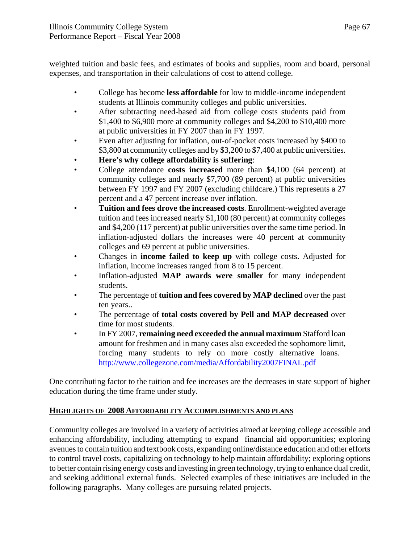weighted tuition and basic fees, and estimates of books and supplies, room and board, personal expenses, and transportation in their calculations of cost to attend college.

- College has become **less affordable** for low to middle-income independent students at Illinois community colleges and public universities.
- After subtracting need-based aid from college costs students paid from \$1,400 to \$6,900 more at community colleges and \$4,200 to \$10,400 more at public universities in FY 2007 than in FY 1997.
- Even after adjusting for inflation, out-of-pocket costs increased by \$400 to \$3,800 at community colleges and by \$3,200 to \$7,400 at public universities.
- **Here's why college affordability is suffering**:
- College attendance **costs increased** more than \$4,100 (64 percent) at community colleges and nearly \$7,700 (89 percent) at public universities between FY 1997 and FY 2007 (excluding childcare.) This represents a 27 percent and a 47 percent increase over inflation.
- **Tuition and fees drove the increased costs**. Enrollment-weighted average tuition and fees increased nearly \$1,100 (80 percent) at community colleges and \$4,200 (117 percent) at public universities over the same time period. In inflation-adjusted dollars the increases were 40 percent at community colleges and 69 percent at public universities.
- Changes in **income failed to keep up** with college costs. Adjusted for inflation, income increases ranged from 8 to 15 percent.
- Inflation-adjusted **MAP awards were smaller** for many independent students.
- The percentage of **tuition and fees covered by MAP declined** over the past ten years..
- The percentage of **total costs covered by Pell and MAP decreased** over time for most students.
- In FY 2007, **remaining need exceeded the annual maximum** Stafford loan amount for freshmen and in many cases also exceeded the sophomore limit, forcing many students to rely on more costly alternative loans. http://www.collegezone.com/media/Affordability2007FINAL.pdf

One contributing factor to the tuition and fee increases are the decreases in state support of higher education during the time frame under study.

# **HIGHLIGHTS OF 2008 AFFORDABILITY ACCOMPLISHMENTS AND PLANS**

Community colleges are involved in a variety of activities aimed at keeping college accessible and enhancing affordability, including attempting to expand financial aid opportunities; exploring avenues to contain tuition and textbook costs, expanding online/distance education and other efforts to control travel costs, capitalizing on technology to help maintain affordability; exploring options to better contain rising energy costs and investing in green technology, trying to enhance dual credit, and seeking additional external funds. Selected examples of these initiatives are included in the following paragraphs. Many colleges are pursuing related projects.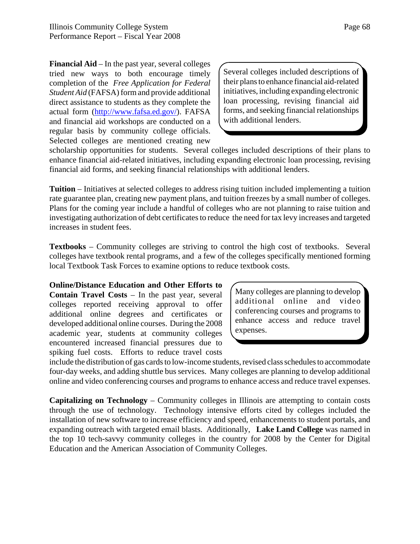**Financial Aid** – In the past year, several colleges tried new ways to both encourage timely completion of the *Free Application for Federal Student Aid* (FAFSA) form and provide additional direct assistance to students as they complete the actual form (http://www.fafsa.ed.gov/). FAFSA and financial aid workshops are conducted on a regular basis by community college officials. Selected colleges are mentioned creating new

Several colleges included descriptions of their plans to enhance financial aid-related initiatives, including expanding electronic loan processing, revising financial aid forms, and seeking financial relationships with additional lenders.

scholarship opportunities for students. Several colleges included descriptions of their plans to enhance financial aid-related initiatives, including expanding electronic loan processing, revising financial aid forms, and seeking financial relationships with additional lenders.

**Tuition** – Initiatives at selected colleges to address rising tuition included implementing a tuition rate guarantee plan, creating new payment plans, and tuition freezes by a small number of colleges. Plans for the coming year include a handful of colleges who are not planning to raise tuition and investigating authorization of debt certificates to reduce the need for tax levy increases and targeted increases in student fees.

**Textbooks** – Community colleges are striving to control the high cost of textbooks. Several colleges have textbook rental programs, and a few of the colleges specifically mentioned forming local Textbook Task Forces to examine options to reduce textbook costs.

**Online/Distance Education and Other Efforts to Contain Travel Costs** – In the past year, several colleges reported receiving approval to offer additional online degrees and certificates or developed additional online courses. During the 2008 academic year, students at community colleges encountered increased financial pressures due to spiking fuel costs. Efforts to reduce travel costs

Many colleges are planning to develop additional online and video conferencing courses and programs to enhance access and reduce travel expenses.

include the distribution of gas cards to low-income students, revised class schedules to accommodate four-day weeks, and adding shuttle bus services. Many colleges are planning to develop additional online and video conferencing courses and programs to enhance access and reduce travel expenses.

**Capitalizing on Technology** – Community colleges in Illinois are attempting to contain costs through the use of technology. Technology intensive efforts cited by colleges included the installation of new software to increase efficiency and speed, enhancements to student portals, and expanding outreach with targeted email blasts. Additionally, **Lake Land College** was named in the top 10 tech-savvy community colleges in the country for 2008 by the Center for Digital Education and the American Association of Community Colleges.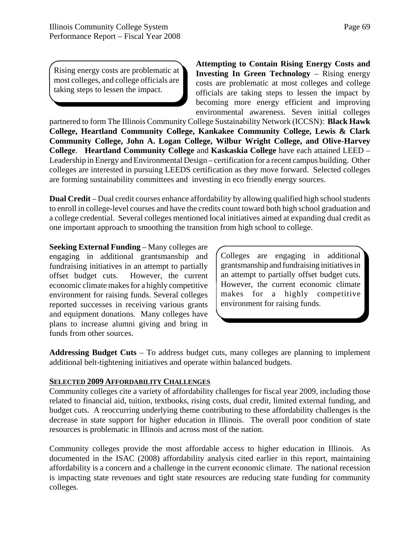Page 69

Rising energy costs are problematic at most colleges, and college officials are taking steps to lessen the impact.

**Attempting to Contain Rising Energy Costs and Investing In Green Technology** – Rising energy costs are problematic at most colleges and college officials are taking steps to lessen the impact by becoming more energy efficient and improving environmental awareness. Seven initial colleges

partnered to form The Illinois Community College Sustainability Network (ICCSN): **Black Hawk College, Heartland Community College, Kankakee Community College, Lewis & Clark Community College, John A. Logan College, Wilbur Wright College, and Olive-Harvey College**. **Heartland Community College** and **Kaskaskia College** have each attained LEED – Leadership in Energy and Environmental Design – certification for a recent campus building. Other colleges are interested in pursuing LEEDS certification as they move forward. Selected colleges are forming sustainability committees and investing in eco friendly energy sources.

**Dual Credit** – Dual credit courses enhance affordability by allowing qualified high school students to enroll in college-level courses and have the credits count toward both high school graduation and a college credential. Several colleges mentioned local initiatives aimed at expanding dual credit as one important approach to smoothing the transition from high school to college.

**Seeking External Funding** – Many colleges are engaging in additional grantsmanship and fundraising initiatives in an attempt to partially offset budget cuts. However, the current economic climate makes for a highly competitive environment for raising funds. Several colleges reported successes in receiving various grants and equipment donations. Many colleges have plans to increase alumni giving and bring in funds from other sources.

Colleges are engaging in additional grantsmanship and fundraising initiatives in an attempt to partially offset budget cuts. However, the current economic climate makes for a highly competitive environment for raising funds.

**Addressing Budget Cuts** – To address budget cuts, many colleges are planning to implement additional belt-tightening initiatives and operate within balanced budgets.

### **SELECTED 2009 AFFORDABILITY CHALLENGES**

Community colleges cite a variety of affordability challenges for fiscal year 2009, including those related to financial aid, tuition, textbooks, rising costs, dual credit, limited external funding, and budget cuts. A reoccurring underlying theme contributing to these affordability challenges is the decrease in state support for higher education in Illinois. The overall poor condition of state resources is problematic in Illinois and across most of the nation.

Community colleges provide the most affordable access to higher education in Illinois. As documented in the ISAC (2008) affordability analysis cited earlier in this report, maintaining affordability is a concern and a challenge in the current economic climate. The national recession is impacting state revenues and tight state resources are reducing state funding for community colleges.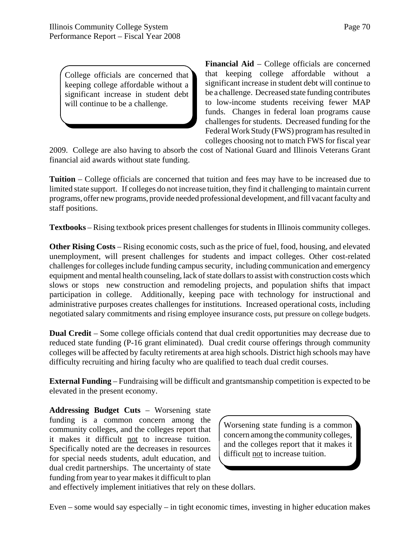College officials are concerned that keeping college affordable without a significant increase in student debt will continue to be a challenge.

**Financial Aid** – College officials are concerned that keeping college affordable without a significant increase in student debt will continue to be a challenge. Decreased state funding contributes to low-income students receiving fewer MAP funds. Changes in federal loan programs cause challenges for students. Decreased funding for the Federal Work Study (FWS) program has resulted in colleges choosing not to match FWS for fiscal year

2009. College are also having to absorb the cost of National Guard and Illinois Veterans Grant financial aid awards without state funding.

**Tuition** – College officials are concerned that tuition and fees may have to be increased due to limited state support. If colleges do not increase tuition, they find it challenging to maintain current programs, offer new programs, provide needed professional development, and fill vacant faculty and staff positions.

**Textbooks** – Rising textbook prices present challenges for students in Illinois community colleges.

**Other Rising Costs** – Rising economic costs, such as the price of fuel, food, housing, and elevated unemployment, will present challenges for students and impact colleges. Other cost-related challenges for colleges include funding campus security, including communication and emergency equipment and mental health counseling, lack of state dollars to assist with construction costs which slows or stops new construction and remodeling projects, and population shifts that impact participation in college. Additionally, keeping pace with technology for instructional and administrative purposes creates challenges for institutions. Increased operational costs, including negotiated salary commitments and rising employee insurance costs, put pressure on college budgets.

**Dual Credit** – Some college officials contend that dual credit opportunities may decrease due to reduced state funding (P-16 grant eliminated). Dual credit course offerings through community colleges will be affected by faculty retirements at area high schools. District high schools may have difficulty recruiting and hiring faculty who are qualified to teach dual credit courses.

**External Funding** – Fundraising will be difficult and grantsmanship competition is expected to be elevated in the present economy.

**Addressing Budget Cuts** – Worsening state funding is a common concern among the community colleges, and the colleges report that it makes it difficult not to increase tuition. Specifically noted are the decreases in resources for special needs students, adult education, and dual credit partnerships. The uncertainty of state funding from year to year makes it difficult to plan

Worsening state funding is a common concern among the community colleges, and the colleges report that it makes it difficult not to increase tuition.

and effectively implement initiatives that rely on these dollars.

Even – some would say especially – in tight economic times, investing in higher education makes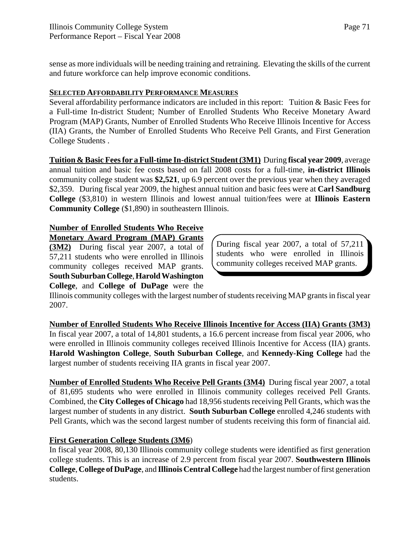sense as more individuals will be needing training and retraining. Elevating the skills of the current and future workforce can help improve economic conditions.

## **SELECTED AFFORDABILITY PERFORMANCE MEASURES**

Several affordability performance indicators are included in this report: Tuition & Basic Fees for a Full-time In-district Student; Number of Enrolled Students Who Receive Monetary Award Program (MAP) Grants, Number of Enrolled Students Who Receive Illinois Incentive for Access (IIA) Grants, the Number of Enrolled Students Who Receive Pell Grants, and First Generation College Students .

**Tuition & Basic Fees for a Full-time In-district Student (3M1)** During **fiscal year 2009**, average annual tuition and basic fee costs based on fall 2008 costs for a full-time, **in-district Illinois** community college student was **\$2,521**, up 6.9 percent over the previous year when they averaged \$2,359. During fiscal year 2009, the highest annual tuition and basic fees were at **Carl Sandburg College** (\$3,810) in western Illinois and lowest annual tuition/fees were at **Illinois Eastern Community College** (\$1,890) in southeastern Illinois.

# **Number of Enrolled Students Who Receive**

**Monetary Award Program (MAP) Grants (3M2)** During fiscal year 2007, a total of 57,211 students who were enrolled in Illinois community colleges received MAP grants. **South Suburban College**, **Harold Washington College**, and **College of DuPage** were the

During fiscal year 2007, a total of 57,211 students who were enrolled in Illinois community colleges received MAP grants.

Illinois community colleges with the largest number of students receiving MAP grants in fiscal year 2007.

**Number of Enrolled Students Who Receive Illinois Incentive for Access (IIA) Grants (3M3)** In fiscal year 2007, a total of 14,801 students, a 16.6 percent increase from fiscal year 2006, who were enrolled in Illinois community colleges received Illinois Incentive for Access (IIA) grants. **Harold Washington College**, **South Suburban College**, and **Kennedy-King College** had the largest number of students receiving IIA grants in fiscal year 2007.

**Number of Enrolled Students Who Receive Pell Grants (3M4)** During fiscal year 2007, a total of 81,695 students who were enrolled in Illinois community colleges received Pell Grants. Combined, the **City Colleges of Chicago** had 18,956 students receiving Pell Grants, which was the largest number of students in any district. **South Suburban College** enrolled 4,246 students with Pell Grants, which was the second largest number of students receiving this form of financial aid.

## **First Generation College Students (3M6**)

In fiscal year 2008, 80,130 Illinois community college students were identified as first generation college students. This is an increase of 2.9 percent from fiscal year 2007. **Southwestern Illinois College**, **College of DuPage**, and **Illinois Central College** had the largest number of first generation students.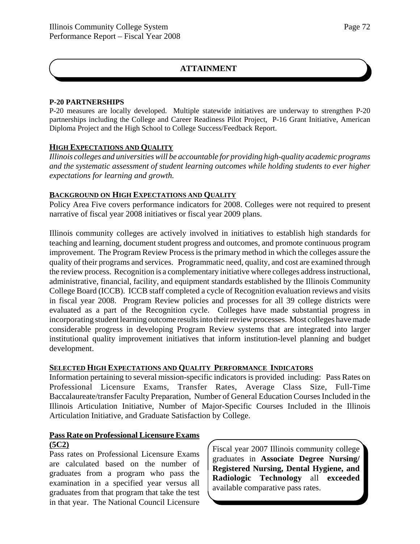## **ATTAINMENT**

## **P-20 PARTNERSHIPS**

P-20 measures are locally developed. Multiple statewide initiatives are underway to strengthen P-20 partnerships including the College and Career Readiness Pilot Project, P-16 Grant Initiative, American Diploma Project and the High School to College Success/Feedback Report.

## **HIGH EXPECTATIONS AND QUALITY**

*Illinois colleges and universities will be accountable for providing high-quality academic programs and the systematic assessment of student learning outcomes while holding students to ever higher expectations for learning and growth.*

## **BACKGROUND ON HIGH EXPECTATIONS AND QUALITY**

Policy Area Five covers performance indicators for 2008. Colleges were not required to present narrative of fiscal year 2008 initiatives or fiscal year 2009 plans.

Illinois community colleges are actively involved in initiatives to establish high standards for teaching and learning, document student progress and outcomes, and promote continuous program improvement. The Program Review Process is the primary method in which the colleges assure the quality of their programs and services. Programmatic need, quality, and cost are examined through the review process. Recognition is a complementary initiative where colleges address instructional, administrative, financial, facility, and equipment standards established by the Illinois Community College Board (ICCB). ICCB staff completed a cycle of Recognition evaluation reviews and visits in fiscal year 2008. Program Review policies and processes for all 39 college districts were evaluated as a part of the Recognition cycle. Colleges have made substantial progress in incorporating student learning outcome results into their review processes. Most colleges have made considerable progress in developing Program Review systems that are integrated into larger institutional quality improvement initiatives that inform institution-level planning and budget development.

## **SELECTED HIGH EXPECTATIONS AND QUALITY PERFORMANCE INDICATORS**

Information pertaining to several mission-specific indicators is provided including: Pass Rates on Professional Licensure Exams, Transfer Rates, Average Class Size, Full-Time Baccalaureate/transfer Faculty Preparation, Number of General Education Courses Included in the Illinois Articulation Initiative, Number of Major-Specific Courses Included in the Illinois Articulation Initiative, and Graduate Satisfaction by College.

## **Pass Rate on Professional Licensure Exams (5C2)**

Pass rates on Professional Licensure Exams are calculated based on the number of graduates from a program who pass the examination in a specified year versus all graduates from that program that take the test in that year. The National Council Licensure

Fiscal year 2007 Illinois community college graduates in **Associate Degree Nursing/ Registered Nursing, Dental Hygiene, and Radiologic Technology** all **exceeded** available comparative pass rates.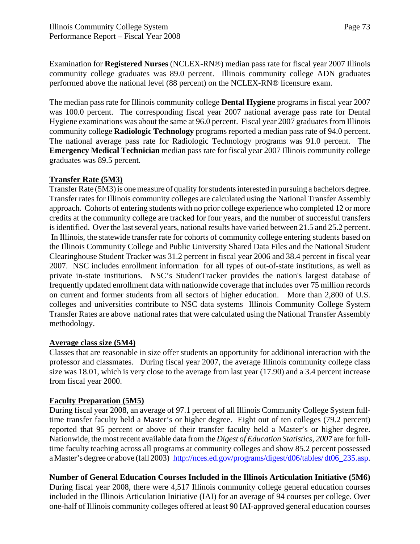Examination for **Registered Nurses** (NCLEX-RN®) median pass rate for fiscal year 2007 Illinois community college graduates was 89.0 percent. Illinois community college ADN graduates performed above the national level (88 percent) on the NCLEX-RN® licensure exam.

The median pass rate for Illinois community college **Dental Hygiene** programs in fiscal year 2007 was 100.0 percent. The corresponding fiscal year 2007 national average pass rate for Dental Hygiene examinations was about the same at 96.0 percent. Fiscal year 2007 graduates from Illinois community college **Radiologic Technology** programs reported a median pass rate of 94.0 percent. The national average pass rate for Radiologic Technology programs was 91.0 percent. The **Emergency Medical Technician** median pass rate for fiscal year 2007 Illinois community college graduates was 89.5 percent.

## **Transfer Rate (5M3)**

Transfer Rate (5M3) is one measure of quality for students interested in pursuing a bachelors degree. Transfer rates for Illinois community colleges are calculated using the National Transfer Assembly approach. Cohorts of entering students with no prior college experience who completed 12 or more credits at the community college are tracked for four years, and the number of successful transfers is identified. Over the last several years, national results have varied between 21.5 and 25.2 percent. In Illinois, the statewide transfer rate for cohorts of community college entering students based on the Illinois Community College and Public University Shared Data Files and the National Student Clearinghouse Student Tracker was 31.2 percent in fiscal year 2006 and 38.4 percent in fiscal year 2007. NSC includes enrollment information for all types of out-of-state institutions, as well as private in-state institutions. NSC's StudentTracker provides the nation's largest database of frequently updated enrollment data with nationwide coverage that includes over 75 million records on current and former students from all sectors of higher education. More than 2,800 of U.S. colleges and universities contribute to NSC data systems Illinois Community College System Transfer Rates are above national rates that were calculated using the National Transfer Assembly methodology.

## **Average class size (5M4)**

Classes that are reasonable in size offer students an opportunity for additional interaction with the professor and classmates. During fiscal year 2007, the average Illinois community college class size was 18.01, which is very close to the average from last year (17.90) and a 3.4 percent increase from fiscal year 2000.

## **Faculty Preparation (5M5)**

During fiscal year 2008, an average of 97.1 percent of all Illinois Community College System fulltime transfer faculty held a Master's or higher degree. Eight out of ten colleges (79.2 percent) reported that 95 percent or above of their transfer faculty held a Master's or higher degree. Nationwide, the most recent available data from the *Digest of Education Statistics, 2007* are for fulltime faculty teaching across all programs at community colleges and show 85.2 percent possessed a Master's degree or above (fall 2003) http://nces.ed.gov/programs/digest/d06/tables/ dt06\_235.asp.

**Number of General Education Courses Included in the Illinois Articulation Initiative (5M6)** During fiscal year 2008, there were 4,517 Illinois community college general education courses included in the Illinois Articulation Initiative (IAI) for an average of 94 courses per college. Over one-half of Illinois community colleges offered at least 90 IAI-approved general education courses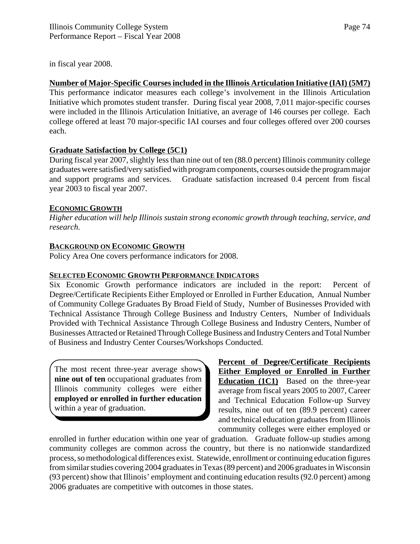in fiscal year 2008.

## **Number of Major-Specific Courses included in the Illinois Articulation Initiative (IAI) (5M7)**

This performance indicator measures each college's involvement in the Illinois Articulation Initiative which promotes student transfer. During fiscal year 2008, 7,011 major-specific courses were included in the Illinois Articulation Initiative, an average of 146 courses per college. Each college offered at least 70 major-specific IAI courses and four colleges offered over 200 courses each.

## **Graduate Satisfaction by College (5C1)**

During fiscal year 2007, slightly less than nine out of ten (88.0 percent) Illinois community college graduates were satisfied/very satisfied with program components, courses outside the program major and support programs and services. Graduate satisfaction increased 0.4 percent from fiscal year 2003 to fiscal year 2007.

## **ECONOMIC GROWTH**

*Higher education will help Illinois sustain strong economic growth through teaching, service, and research.*

## **BACKGROUND ON ECONOMIC GROWTH**

Policy Area One covers performance indicators for 2008.

## **SELECTED ECONOMIC GROWTH PERFORMANCE INDICATORS**

Six Economic Growth performance indicators are included in the report: Percent of Degree/Certificate Recipients Either Employed or Enrolled in Further Education, Annual Number of Community College Graduates By Broad Field of Study, Number of Businesses Provided with Technical Assistance Through College Business and Industry Centers, Number of Individuals Provided with Technical Assistance Through College Business and Industry Centers, Number of Businesses Attracted or Retained Through College Business and Industry Centers and Total Number of Business and Industry Center Courses/Workshops Conducted.

The most recent three-year average shows **nine out of ten** occupational graduates from Illinois community colleges were either **employed or enrolled in further education** within a year of graduation.

**Percent of Degree/Certificate Recipients Either Employed or Enrolled in Further Education** (1C1) Based on the three-year average from fiscal years 2005 to 2007, Career and Technical Education Follow-up Survey results, nine out of ten (89.9 percent) career and technical education graduates from Illinois community colleges were either employed or

enrolled in further education within one year of graduation. Graduate follow-up studies among community colleges are common across the country, but there is no nationwide standardized process, so methodological differences exist. Statewide, enrollment or continuing education figures from similar studies covering 2004 graduates in Texas (89 percent) and 2006 graduates in Wisconsin (93 percent) show that Illinois' employment and continuing education results (92.0 percent) among 2006 graduates are competitive with outcomes in those states.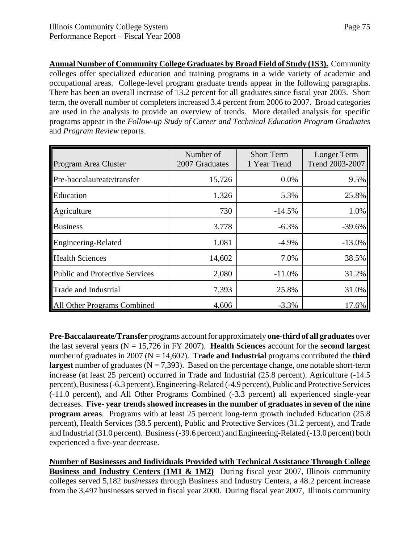**Annual Number of Community College Graduates by Broad Field of Study (1S3).** Community colleges offer specialized education and training programs in a wide variety of academic and occupational areas. College-level program graduate trends appear in the following paragraphs. There has been an overall increase of 13.2 percent for all graduates since fiscal year 2003. Short term, the overall number of completers increased 3.4 percent from 2006 to 2007. Broad categories are used in the analysis to provide an overview of trends. More detailed analysis for specific programs appear in the *Follow-up Study of Career and Technical Education Program Graduates* and *Program Review* reports.

| Program Area Cluster                  | Number of<br>2007 Graduates | <b>Short Term</b><br>1 Year Trend | Longer Term<br>Trend 2003-2007 |
|---------------------------------------|-----------------------------|-----------------------------------|--------------------------------|
| Pre-baccalaureate/transfer            | 15,726                      | 0.0%                              | 9.5%                           |
| Education                             | 1,326                       | 5.3%                              | 25.8%                          |
| Agriculture                           | 730                         | $-14.5%$                          | 1.0%                           |
| <b>Business</b>                       | 3,778                       | $-6.3%$                           | $-39.6%$                       |
| Engineering-Related                   | 1,081                       | $-4.9%$                           | $-13.0%$                       |
| <b>Health Sciences</b>                | 14,602                      | 7.0%                              | 38.5%                          |
| <b>Public and Protective Services</b> | 2,080                       | $-11.0%$                          | 31.2%                          |
| Trade and Industrial                  | 7,393                       | 25.8%                             | 31.0%                          |
| <b>Il Other Programs Combined</b>     | 4,606                       | $-3.3%$                           | 17.6%                          |

**Pre-Baccalaureate/Transfer** programs account for approximately **one-third of all graduates** over the last several years (N = 15,726 in FY 2007). **Health Sciences** account for the **second largest** number of graduates in 2007 ( $N = 14,602$ ). **Trade and Industrial** programs contributed the **third largest** number of graduates ( $N = 7,393$ ). Based on the percentage change, one notable short-term increase (at least 25 percent) occurred in Trade and Industrial (25.8 percent). Agriculture (-14.5 percent), Business (-6.3 percent), Engineering-Related (-4.9 percent), Public and Protective Services (-11.0 percent), and All Other Programs Combined (-3.3 percent) all experienced single-year decreases. **Five- year trends showed increases in the number of graduates in seven of the nine program areas**. Programs with at least 25 percent long-term growth included Education (25.8 percent), Health Services (38.5 percent), Public and Protective Services (31.2 percent), and Trade and Industrial (31.0 percent). Business (-39.6 percent) and Engineering-Related (-13.0 percent) both experienced a five-year decrease.

**Number of Businesses and Individuals Provided with Technical Assistance Through College Business and Industry Centers (1M1 & 1M2)** During fiscal year 2007, Illinois community colleges served 5,182 *businesses* through Business and Industry Centers, a 48.2 percent increase from the 3,497 businesses served in fiscal year 2000. During fiscal year 2007, Illinois community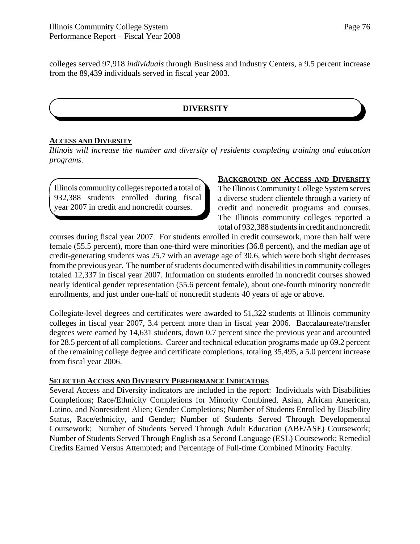colleges served 97,918 *individuals* through Business and Industry Centers, a 9.5 percent increase from the 89,439 individuals served in fiscal year 2003.

## **DIVERSITY**

### **ACCESS AND DIVERSITY**

*Illinois will increase the number and diversity of residents completing training and education programs.*

Illinois community colleges reported a total of 932,388 students enrolled during fiscal year 2007 in credit and noncredit courses.

### **BACKGROUND ON ACCESS AND DIVERSITY**

The Illinois Community College System serves a diverse student clientele through a variety of credit and noncredit programs and courses. The Illinois community colleges reported a total of 932,388 students in credit and noncredit

courses during fiscal year 2007. For students enrolled in credit coursework, more than half were female (55.5 percent), more than one-third were minorities (36.8 percent), and the median age of credit-generating students was 25.7 with an average age of 30.6, which were both slight decreases from the previous year. The number of students documented with disabilities in community colleges totaled 12,337 in fiscal year 2007. Information on students enrolled in noncredit courses showed nearly identical gender representation (55.6 percent female), about one-fourth minority noncredit enrollments, and just under one-half of noncredit students 40 years of age or above.

Collegiate-level degrees and certificates were awarded to 51,322 students at Illinois community colleges in fiscal year 2007, 3.4 percent more than in fiscal year 2006. Baccalaureate/transfer degrees were earned by 14,631 students, down 0.7 percent since the previous year and accounted for 28.5 percent of all completions. Career and technical education programs made up 69.2 percent of the remaining college degree and certificate completions, totaling 35,495, a 5.0 percent increase from fiscal year 2006.

### **SELECTED ACCESS AND DIVERSITY PERFORMANCE INDICATORS**

Several Access and Diversity indicators are included in the report: Individuals with Disabilities Completions; Race/Ethnicity Completions for Minority Combined, Asian, African American, Latino, and Nonresident Alien; Gender Completions; Number of Students Enrolled by Disability Status, Race/ethnicity, and Gender; Number of Students Served Through Developmental Coursework; Number of Students Served Through Adult Education (ABE/ASE) Coursework; Number of Students Served Through English as a Second Language (ESL) Coursework; Remedial Credits Earned Versus Attempted; and Percentage of Full-time Combined Minority Faculty.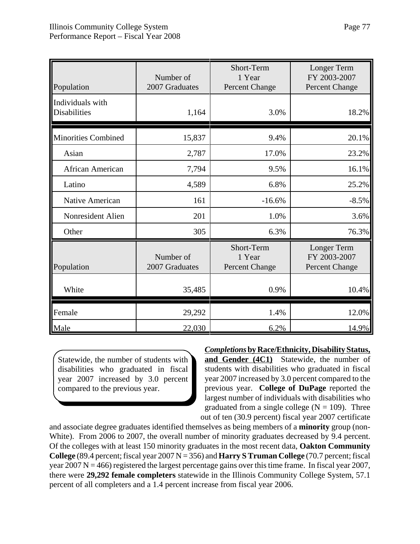| Population                              | Number of<br>2007 Graduates | Short-Term<br>1 Year<br><b>Percent Change</b> | Longer Term<br>FY 2003-2007<br><b>Percent Change</b> |
|-----------------------------------------|-----------------------------|-----------------------------------------------|------------------------------------------------------|
| Individuals with<br><b>Disabilities</b> | 1,164                       | 3.0%                                          | 18.2%                                                |
| <b>Minorities Combined</b>              | 15,837                      | 9.4%                                          | 20.1%                                                |
| Asian                                   | 2,787                       | 17.0%                                         | 23.2%                                                |
| African American                        | 7,794                       | 9.5%                                          | 16.1%                                                |
| Latino                                  | 4,589                       | 6.8%                                          | 25.2%                                                |
| Native American                         | 161                         | $-16.6%$                                      | $-8.5%$                                              |
| Nonresident Alien                       | 201                         | 1.0%                                          | 3.6%                                                 |
| Other                                   | 305                         | 6.3%                                          | 76.3%                                                |
| Population                              | Number of<br>2007 Graduates | Short-Term<br>1 Year<br><b>Percent Change</b> | Longer Term<br>FY 2003-2007<br><b>Percent Change</b> |
| White                                   | 35,485                      | 0.9%                                          | 10.4%                                                |
| Female                                  | 29,292                      | 1.4%                                          | 12.0%                                                |
| Male                                    | 22,030                      | 6.2%                                          | 14.9%                                                |

Statewide, the number of students with disabilities who graduated in fiscal year 2007 increased by 3.0 percent compared to the previous year.

*Completions* **by Race/Ethnicity, Disability Status,**

**and Gender (4C1)** Statewide, the number of students with disabilities who graduated in fiscal year 2007 increased by 3.0 percent compared to the previous year. **College of DuPage** reported the largest number of individuals with disabilities who graduated from a single college ( $N = 109$ ). Three out of ten (30.9 percent) fiscal year 2007 certificate

and associate degree graduates identified themselves as being members of a **minority** group (non-White). From 2006 to 2007, the overall number of minority graduates decreased by 9.4 percent. Of the colleges with at least 150 minority graduates in the most recent data, **Oakton Community College** (89.4 percent; fiscal year 2007 N = 356) and **Harry S Truman College** (70.7 percent; fiscal year  $2007 \text{ N} = 466$ ) registered the largest percentage gains over this time frame. In fiscal year  $2007$ , there were **29,292 female completers** statewide in the Illinois Community College System, 57.1 percent of all completers and a 1.4 percent increase from fiscal year 2006.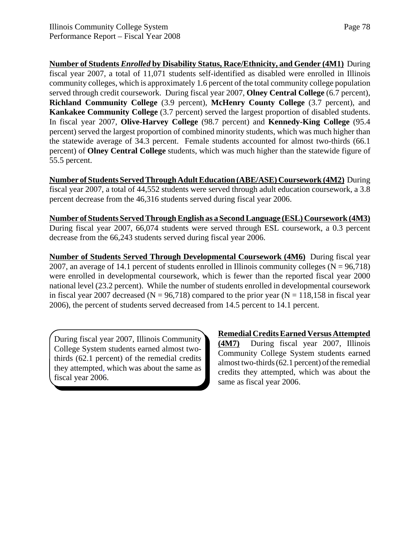**Number of Students** *Enrolled* **by Disability Status, Race/Ethnicity, and Gender (4M1)** During fiscal year 2007, a total of 11,071 students self-identified as disabled were enrolled in Illinois community colleges, which is approximately 1.6 percent of the total community college population served through credit coursework. During fiscal year 2007, **Olney Central College** (6.7 percent), **Richland Community College** (3.9 percent), **McHenry County College** (3.7 percent), and **Kankakee Community College** (3.7 percent) served the largest proportion of disabled students. In fiscal year 2007, **Olive-Harvey College** (98.7 percent) and **Kennedy-King College** (95.4 percent) served the largest proportion of combined minority students, which was much higher than the statewide average of 34.3 percent. Female students accounted for almost two-thirds (66.1 percent) of **Olney Central College** students, which was much higher than the statewide figure of 55.5 percent.

**Number of Students Served Through Adult Education (ABE/ASE) Coursework (4M2)** During fiscal year 2007, a total of 44,552 students were served through adult education coursework, a 3.8 percent decrease from the 46,316 students served during fiscal year 2006.

**Number of Students Served Through English as a Second Language (ESL) Coursework (4M3)** During fiscal year 2007, 66,074 students were served through ESL coursework, a 0.3 percent decrease from the 66,243 students served during fiscal year 2006.

**Number of Students Served Through Developmental Coursework (4M6)** During fiscal year 2007, an average of 14.1 percent of students enrolled in Illinois community colleges ( $N = 96,718$ ) were enrolled in developmental coursework, which is fewer than the reported fiscal year 2000 national level (23.2 percent). While the number of students enrolled in developmental coursework in fiscal year 2007 decreased ( $N = 96,718$ ) compared to the prior year ( $N = 118,158$  in fiscal year 2006), the percent of students served decreased from 14.5 percent to 14.1 percent.

During fiscal year 2007, Illinois Community College System students earned almost twothirds (62.1 percent) of the remedial credits they attempted, which was about the same as fiscal year 2006.

**Remedial Credits Earned Versus Attempted (4M7)** During fiscal year 2007, Illinois Community College System students earned almost two-thirds (62.1 percent) of the remedial credits they attempted, which was about the same as fiscal year 2006.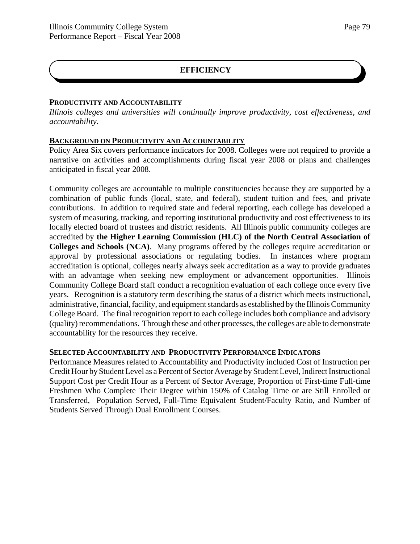### **PRODUCTIVITY AND ACCOUNTABILITY**

*Illinois colleges and universities will continually improve productivity, cost effectiveness, and accountability.*

### **BACKGROUND ON PRODUCTIVITY AND ACCOUNTABILITY**

Policy Area Six covers performance indicators for 2008. Colleges were not required to provide a narrative on activities and accomplishments during fiscal year 2008 or plans and challenges anticipated in fiscal year 2008.

Community colleges are accountable to multiple constituencies because they are supported by a combination of public funds (local, state, and federal), student tuition and fees, and private contributions. In addition to required state and federal reporting, each college has developed a system of measuring, tracking, and reporting institutional productivity and cost effectiveness to its locally elected board of trustees and district residents. All Illinois public community colleges are accredited by **the Higher Learning Commission (HLC) of the North Central Association of Colleges and Schools (NCA)**. Many programs offered by the colleges require accreditation or approval by professional associations or regulating bodies. In instances where program accreditation is optional, colleges nearly always seek accreditation as a way to provide graduates with an advantage when seeking new employment or advancement opportunities. Illinois Community College Board staff conduct a recognition evaluation of each college once every five years. Recognition is a statutory term describing the status of a district which meets instructional, administrative, financial, facility, and equipment standards as established by the Illinois Community College Board. The final recognition report to each college includes both compliance and advisory (quality) recommendations. Through these and other processes, the colleges are able to demonstrate accountability for the resources they receive.

## **SELECTED ACCOUNTABILITY AND PRODUCTIVITY PERFORMANCE INDICATORS**

Performance Measures related to Accountability and Productivity included Cost of Instruction per Credit Hour by Student Level as a Percent of Sector Average by Student Level, Indirect Instructional Support Cost per Credit Hour as a Percent of Sector Average, Proportion of First-time Full-time Freshmen Who Complete Their Degree within 150% of Catalog Time or are Still Enrolled or Transferred, Population Served, Full-Time Equivalent Student/Faculty Ratio, and Number of Students Served Through Dual Enrollment Courses.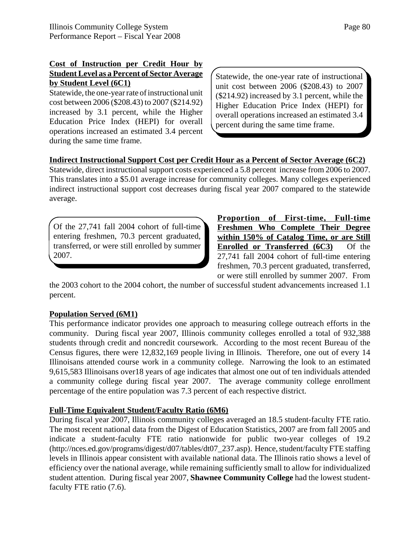## **Cost of Instruction per Credit Hour by Student Level as a Percent of Sector Average by Student Level (6C1)**

Statewide, the one-year rate of instructional unit cost between 2006 (\$208.43) to 2007 (\$214.92) increased by 3.1 percent, while the Higher Education Price Index (HEPI) for overall operations increased an estimated 3.4 percent during the same time frame.

Statewide, the one-year rate of instructional unit cost between 2006 (\$208.43) to 2007 (\$214.92) increased by 3.1 percent, while the Higher Education Price Index (HEPI) for overall operations increased an estimated 3.4 percent during the same time frame.

# **Indirect Instructional Support Cost per Credit Hour as a Percent of Sector Average (6C2)**

Statewide, direct instructional support costs experienced a 5.8 percent increase from 2006 to 2007. This translates into a \$5.01 average increase for community colleges. Many colleges experienced indirect instructional support cost decreases during fiscal year 2007 compared to the statewide average.

Of the 27,741 fall 2004 cohort of full-time entering freshmen, 70.3 percent graduated, transferred, or were still enrolled by summer 2007.

**Proportion of First-time, Full-time Freshmen Who Complete Their Degree within 150% of Catalog Time, or are Still Enrolled or Transferred (6C3)** Of the 27,741 fall 2004 cohort of full-time entering freshmen, 70.3 percent graduated, transferred, or were still enrolled by summer 2007. From

the 2003 cohort to the 2004 cohort, the number of successful student advancements increased 1.1 percent.

## **Population Served (6M1)**

This performance indicator provides one approach to measuring college outreach efforts in the community. During fiscal year 2007, Illinois community colleges enrolled a total of 932,388 students through credit and noncredit coursework. According to the most recent Bureau of the Census figures, there were 12,832,169 people living in Illinois. Therefore, one out of every 14 Illinoisans attended course work in a community college. Narrowing the look to an estimated 9,615,583 Illinoisans over18 years of age indicates that almost one out of ten individuals attended a community college during fiscal year 2007. The average community college enrollment percentage of the entire population was 7.3 percent of each respective district.

## **Full-Time Equivalent Student/Faculty Ratio (6M6)**

During fiscal year 2007, Illinois community colleges averaged an 18.5 student-faculty FTE ratio. The most recent national data from the Digest of Education Statistics, 2007 are from fall 2005 and indicate a student-faculty FTE ratio nationwide for public two-year colleges of 19.2 (http://nces.ed.gov/programs/digest/d07/tables/dt07\_237.asp). Hence, student/faculty FTE staffing levels in Illinois appear consistent with available national data. The Illinois ratio shows a level of efficiency over the national average, while remaining sufficiently small to allow for individualized student attention. During fiscal year 2007, **Shawnee Community College** had the lowest studentfaculty FTE ratio (7.6).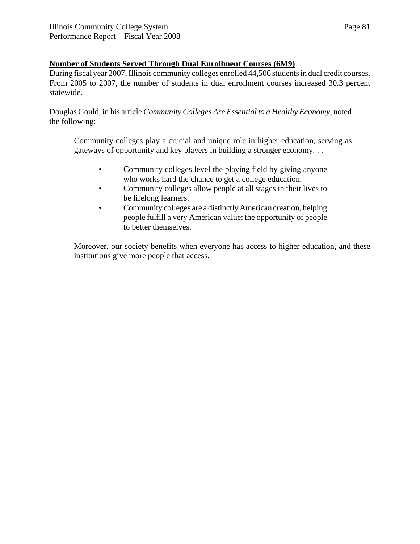## **Number of Students Served Through Dual Enrollment Courses (6M9)**

During fiscal year 2007, Illinois community colleges enrolled 44,506 students in dual credit courses. From 2005 to 2007, the number of students in dual enrollment courses increased 30.3 percent statewide.

Douglas Gould, in his article *Community Colleges Are Essential to a Healthy Economy,* noted the following:

Community colleges play a crucial and unique role in higher education, serving as gateways of opportunity and key players in building a stronger economy. . .

- Community colleges level the playing field by giving anyone who works hard the chance to get a college education.
- Community colleges allow people at all stages in their lives to be lifelong learners.
- Community colleges are a distinctly American creation, helping people fulfill a very American value: the opportunity of people to better themselves.

Moreover, our society benefits when everyone has access to higher education, and these institutions give more people that access.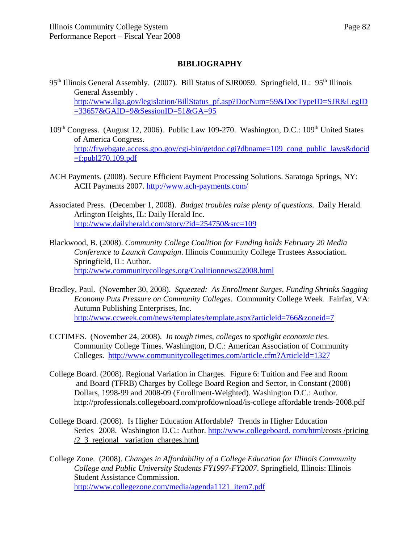## **BIBLIOGRAPHY**

- 95<sup>th</sup> Illinois General Assembly. (2007). Bill Status of SJR0059. Springfield, IL: 95<sup>th</sup> Illinois General Assembly . http://www.ilga.gov/legislation/BillStatus\_pf.asp?DocNum=59&DocTypeID=SJR&LegID =33657&GAID=9&SessionID=51&GA=95
- 109<sup>th</sup> Congress. (August 12, 2006). Public Law 109-270. Washington, D.C.: 109<sup>th</sup> United States of America Congress. http://frwebgate.access.gpo.gov/cgi-bin/getdoc.cgi?dbname=109\_cong\_public\_laws&docid  $=$ f:publ270.109.pdf
- ACH Payments. (2008). Secure Efficient Payment Processing Solutions. Saratoga Springs, NY: ACH Payments 2007. http://www.ach-payments.com/
- Associated Press. (December 1, 2008). *Budget troubles raise plenty of questions*. Daily Herald. Arlington Heights, IL: Daily Herald Inc. http://www.dailyherald.com/story/?id=254750&src=109
- Blackwood, B. (2008). *Community College Coalition for Funding holds February 20 Media Conference to Launch Campaign*. Illinois Community College Trustees Association. Springfield, IL: Author. http://www.communitycolleges.org/Coalitionnews22008.html
- Bradley, Paul. (November 30, 2008). *Squeezed: As Enrollment Surges, Funding Shrinks Sagging Economy Puts Pressure on Community Colleges*. Community College Week. Fairfax, VA: Autumn Publishing Enterprises, Inc. http://www.ccweek.com/news/templates/template.aspx?articleid=766&zoneid=7
- CCTIMES. (November 24, 2008). *In tough times, colleges to spotlight economic ties*. Community College Times. Washington, D.C.: American Association of Community Colleges. http://www.communitycollegetimes.com/article.cfm?ArticleId=1327
- College Board. (2008). Regional Variation in Charges. Figure 6: Tuition and Fee and Room and Board (TFRB) Charges by College Board Region and Sector, in Constant (2008) Dollars, 1998-99 and 2008-09 (Enrollment-Weighted). Washington D.C.: Author. http://professionals.collegeboard.com/profdownload/is-college affordable trends-2008.pdf
- College Board. (2008). Is Higher Education Affordable? Trends in Higher Education Series 2008. Washington D.C.: Author. http://www.collegeboard. com/html/costs /pricing /2\_3\_regional\_ variation\_charges.html
- College Zone. (2008). *Changes in Affordability of a College Education for Illinois Community College and Public University Students FY1997-FY2007*. Springfield, Illinois: Illinois Student Assistance Commission. http://www.collegezone.com/media/agenda1121\_item7.pdf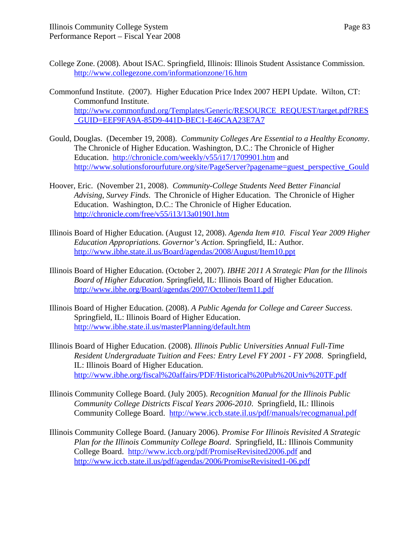- College Zone. (2008). About ISAC. Springfield, Illinois: Illinois Student Assistance Commission. http://www.collegezone.com/informationzone/16.htm
- Commonfund Institute. (2007). Higher Education Price Index 2007 HEPI Update. Wilton, CT: Commonfund Institute. http://www.commonfund.org/Templates/Generic/RESOURCE\_REQUEST/target.pdf?RES \_GUID=EEF9FA9A-85D9-441D-BEC1-E46CAA23E7A7
- Gould, Douglas. (December 19, 2008). *Community Colleges Are Essential to a Healthy Economy*. The Chronicle of Higher Education. Washington, D.C.: The Chronicle of Higher Education. http://chronicle.com/weekly/v55/i17/1709901.htm and http://www.solutionsforourfuture.org/site/PageServer?pagename=guest\_perspective\_Gould
- Hoover, Eric. (November 21, 2008). *Community-College Students Need Better Financial Advising, Survey Finds*. The Chronicle of Higher Education. The Chronicle of Higher Education. Washington, D.C.: The Chronicle of Higher Education. http://chronicle.com/free/v55/i13/13a01901.htm
- Illinois Board of Higher Education. (August 12, 2008). *Agenda Item #10. Fiscal Year 2009 Higher Education Appropriations. Governor's Action*. Springfield, IL: Author. http://www.ibhe.state.il.us/Board/agendas/2008/August/Item10.ppt
- Illinois Board of Higher Education. (October 2, 2007). *IBHE 2011 A Strategic Plan for the Illinois Board of Higher Education*. Springfield, IL: Illinois Board of Higher Education. http://www.ibhe.org/Board/agendas/2007/October/Item11.pdf
- Illinois Board of Higher Education. (2008). *A Public Agenda for College and Career Success*. Springfield, IL: Illinois Board of Higher Education. http://www.ibhe.state.il.us/masterPlanning/default.htm
- Illinois Board of Higher Education. (2008). *Illinois Public Universities Annual Full-Time Resident Undergraduate Tuition and Fees: Entry Level FY 2001 - FY 2008*. Springfield, IL: Illinois Board of Higher Education. http://www.ibhe.org/fiscal%20affairs/PDF/Historical%20Pub%20Univ%20TF.pdf
- Illinois Community College Board. (July 2005). *Recognition Manual for the Illinois Public Community College Districts Fiscal Years 2006-2010*. Springfield, IL: Illinois Community College Board. http://www.iccb.state.il.us/pdf/manuals/recogmanual.pdf
- Illinois Community College Board. (January 2006). *Promise For Illinois Revisited A Strategic Plan for the Illinois Community College Board*. Springfield, IL: Illinois Community College Board. http://www.iccb.org/pdf/PromiseRevisited2006.pdf and http://www.iccb.state.il.us/pdf/agendas/2006/PromiseRevisited1-06.pdf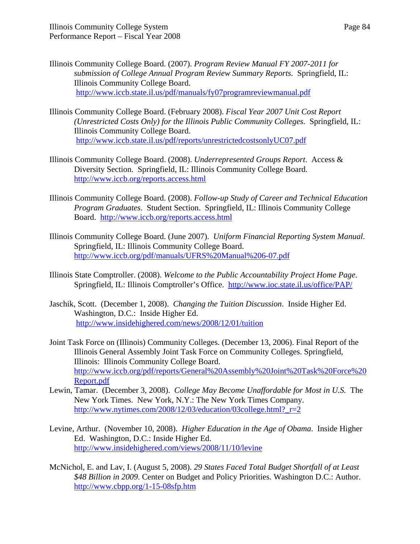- Illinois Community College Board. (2007). *Program Review Manual FY 2007-2011 for submission of College Annual Program Review Summary Reports*. Springfield, IL: Illinois Community College Board. http://www.iccb.state.il.us/pdf/manuals/fy07programreviewmanual.pdf
- Illinois Community College Board. (February 2008). *Fiscal Year 2007 Unit Cost Report (Unrestricted Costs Only) for the Illinois Public Community Colleges*. Springfield, IL: Illinois Community College Board. http://www.iccb.state.il.us/pdf/reports/unrestrictedcostsonlyUC07.pdf
- Illinois Community College Board. (2008). *Underrepresented Groups Report*. Access & Diversity Section. Springfield, IL: Illinois Community College Board. http://www.iccb.org/reports.access.html
- Illinois Community College Board. (2008). *Follow-up Study of Career and Technical Education Program Graduates*. Student Section. Springfield, IL: Illinois Community College Board. http://www.iccb.org/reports.access.html
- Illinois Community College Board. (June 2007). *Uniform Financial Reporting System Manual*. Springfield, IL: Illinois Community College Board. http://www.iccb.org/pdf/manuals/UFRS%20Manual%206-07.pdf
- Illinois State Comptroller. (2008). *Welcome to the Public Accountability Project Home Page*. Springfield, IL: Illinois Comptroller's Office. http://www.ioc.state.il.us/office/PAP/
- Jaschik, Scott. (December 1, 2008). *Changing the Tuition Discussion*. Inside Higher Ed. Washington, D.C.: Inside Higher Ed. http://www.insidehighered.com/news/2008/12/01/tuition
- Joint Task Force on (Illinois) Community Colleges. (December 13, 2006). Final Report of the Illinois General Assembly Joint Task Force on Community Colleges. Springfield, Illinois: Illinois Community College Board. http://www.iccb.org/pdf/reports/General%20Assembly%20Joint%20Task%20Force%20 Report.pdf
- Lewin, Tamar. (December 3, 2008). *College May Become Unaffordable for Most in U.S.* The New York Times. New York, N.Y.: The New York Times Company. http://www.nytimes.com/2008/12/03/education/03college.html?\_r=2
- Levine, Arthur. (November 10, 2008). *Higher Education in the Age of Obama*. Inside Higher Ed. Washington, D.C.: Inside Higher Ed. http://www.insidehighered.com/views/2008/11/10/levine
- McNichol, E. and Lav, I. (August 5, 2008). *29 States Faced Total Budget Shortfall of at Least \$48 Billion in 2009*. Center on Budget and Policy Priorities. Washington D.C.: Author. http://www.cbpp.org/1-15-08sfp.htm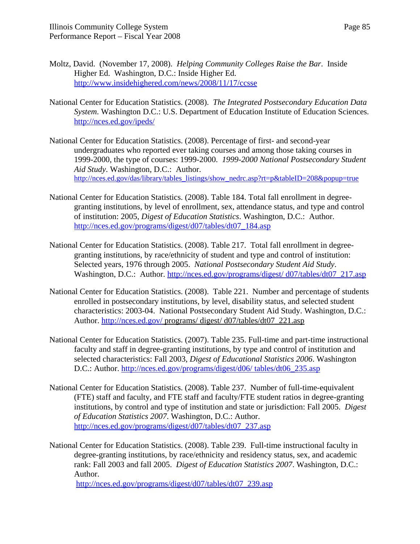- Moltz, David. (November 17, 2008). *Helping Community Colleges Raise the Bar*. Inside Higher Ed. Washington, D.C.: Inside Higher Ed. http://www.insidehighered.com/news/2008/11/17/ccsse
- National Center for Education Statistics. (2008). *The Integrated Postsecondary Education Data System*. Washington D.C.: U.S. Department of Education Institute of Education Sciences. http://nces.ed.gov/ipeds/
- National Center for Education Statistics. (2008). Percentage of first- and second-year undergraduates who reported ever taking courses and among those taking courses in 1999-2000, the type of courses: 1999-2000. *1999-2000 National Postsecondary Student Aid Study*. Washington, D.C.: Author. http://nces.ed.gov/das/library/tables\_listings/show\_nedrc.asp?rt=p&tableID=208&popup=true
- National Center for Education Statistics. (2008). Table 184. Total fall enrollment in degreegranting institutions, by level of enrollment, sex, attendance status, and type and control of institution: 2005, *Digest of Education Statistics*. Washington, D.C.: Author. http://nces.ed.gov/programs/digest/d07/tables/dt07\_184.asp
- National Center for Education Statistics. (2008). Table 217. Total fall enrollment in degreegranting institutions, by race/ethnicity of student and type and control of institution: Selected years, 1976 through 2005. *National Postsecondary Student Aid Study*. Washington, D.C.: Author. http://nces.ed.gov/programs/digest/ d07/tables/dt07\_217.asp
- National Center for Education Statistics. (2008). Table 221. Number and percentage of students enrolled in postsecondary institutions, by level, disability status, and selected student characteristics: 2003-04. National Postsecondary Student Aid Study. Washington, D.C.: Author. http://nces.ed.gov/ programs/ digest/ d07/tables/dt07\_221.asp
- National Center for Education Statistics. (2007). Table 235. Full-time and part-time instructional faculty and staff in degree-granting institutions, by type and control of institution and selected characteristics: Fall 2003, *Digest of Educational Statistics 2006*. Washington D.C.: Author. http://nces.ed.gov/programs/digest/d06/ tables/dt06\_235.asp
- National Center for Education Statistics. (2008). Table 237. Number of full-time-equivalent (FTE) staff and faculty, and FTE staff and faculty/FTE student ratios in degree-granting institutions, by control and type of institution and state or jurisdiction: Fall 2005. *Digest of Education Statistics 2007*. Washington, D.C.: Author. http://nces.ed.gov/programs/digest/d07/tables/dt07\_237.asp
- National Center for Education Statistics. (2008). Table 239. Full-time instructional faculty in degree-granting institutions, by race/ethnicity and residency status, sex, and academic rank: Fall 2003 and fall 2005. *Digest of Education Statistics 2007*. Washington, D.C.: Author.

http://nces.ed.gov/programs/digest/d07/tables/dt07\_239.asp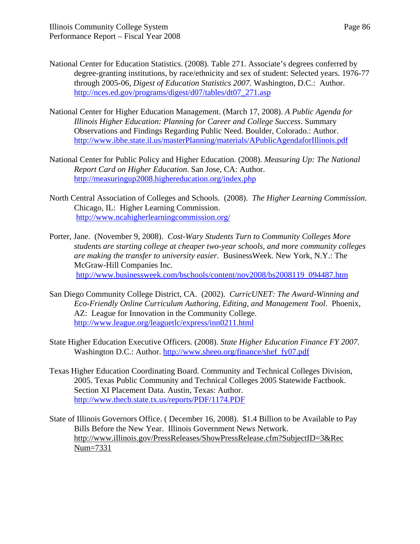- National Center for Education Statistics. (2008). Table 271. Associate's degrees conferred by degree-granting institutions, by race/ethnicity and sex of student: Selected years. 1976-77 through 2005-06, *Digest of Education Statistics 2007*. Washington, D.C.: Author. http://nces.ed.gov/programs/digest/d07/tables/dt07\_271.asp
- National Center for Higher Education Management. (March 17, 2008). *A Public Agenda for Illinois Higher Education: Planning for Career and College Success*. Summary Observations and Findings Regarding Public Need. Boulder, Colorado.: Author. http://www.ibhe.state.il.us/masterPlanning/materials/APublicAgendaforIllinois.pdf
- National Center for Public Policy and Higher Education. (2008). *Measuring Up: The National Report Card on Higher Education*. San Jose, CA: Author. http://measuringup2008.highereducation.org/index.php
- North Central Association of Colleges and Schools. (2008). *The Higher Learning Commission*. Chicago, IL: Higher Learning Commission. http://www.ncahigherlearningcommission.org/
- Porter, Jane. (November 9, 2008). *Cost-Wary Students Turn to Community Colleges More students are starting college at cheaper two-year schools, and more community colleges are making the transfer to university easier*. BusinessWeek. New York, N.Y.: The McGraw-Hill Companies Inc. http://www.businessweek.com/bschools/content/nov2008/bs2008119\_094487.htm
- San Diego Community College District, CA. (2002). *CurricUNET: The Award-Winning and Eco-Friendly Online Curriculum Authoring, Editing, and Management Tool*. Phoenix, AZ: League for Innovation in the Community College. http://www.league.org/leaguetlc/express/inn0211.html
- State Higher Education Executive Officers. (2008). *State Higher Education Finance FY 2007*. Washington D.C.: Author. http://www.sheeo.org/finance/shef\_fy07.pdf
- Texas Higher Education Coordinating Board. Community and Technical Colleges Division, 2005. Texas Public Community and Technical Colleges 2005 Statewide Factbook. Section XI Placement Data. Austin, Texas: Author. http://www.thecb.state.tx.us/reports/PDF/1174.PDF
- State of Illinois Governors Office. ( December 16, 2008). \$1.4 Billion to be Available to Pay Bills Before the New Year. Illinois Government News Network. http://www.illinois.gov/PressReleases/ShowPressRelease.cfm?SubjectID=3&Rec Num=7331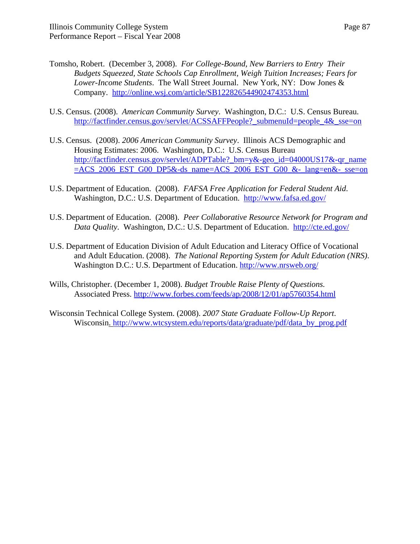- Tomsho, Robert. (December 3, 2008). *For College-Bound, New Barriers to Entry Their Budgets Squeezed, State Schools Cap Enrollment, Weigh Tuition Increases; Fears for Lower-Income Students*. The Wall Street Journal. New York, NY: Dow Jones & Company. http://online.wsj.com/article/SB122826544902474353.html
- U.S. Census. (2008). *American Community Survey*. Washington, D.C.: U.S. Census Bureau. http://factfinder.census.gov/servlet/ACSSAFFPeople?\_submenuId=people\_4&\_sse=on
- U.S. Census. (2008). *2006 American Community Survey*. Illinois ACS Demographic and Housing Estimates: 2006. Washington, D.C.: U.S. Census Bureau http://factfinder.census.gov/servlet/ADPTable?\_bm=y&-geo\_id=04000US17&-qr\_name  $=$ ACS 2006 EST G00 DP5&-ds name=ACS 2006 EST G00 &- lang=en&- sse=on
- U.S. Department of Education. (2008). *FAFSA Free Application for Federal Student Aid*. Washington, D.C.: U.S. Department of Education. http://www.fafsa.ed.gov/
- U.S. Department of Education. (2008). *Peer Collaborative Resource Network for Program and Data Quality*. Washington, D.C.: U.S. Department of Education. http://cte.ed.gov/
- U.S. Department of Education Division of Adult Education and Literacy Office of Vocational and Adult Education. (2008). *The National Reporting System for Adult Education (NRS)*. Washington D.C.: U.S. Department of Education. http://www.nrsweb.org/
- Wills, Christopher. (December 1, 2008). *Budget Trouble Raise Plenty of Questions.* Associated Press. http://www.forbes.com/feeds/ap/2008/12/01/ap5760354.html
- Wisconsin Technical College System. (2008). *2007 State Graduate Follow-Up Report*. Wisconsin. http://www.wtcsystem.edu/reports/data/graduate/pdf/data\_by\_prog.pdf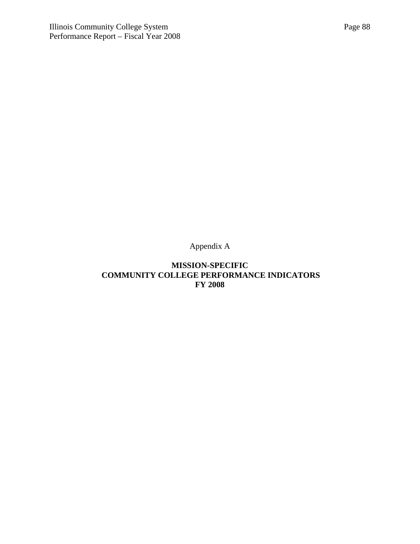Appendix A

## **MISSION-SPECIFIC COMMUNITY COLLEGE PERFORMANCE INDICATORS FY 2008**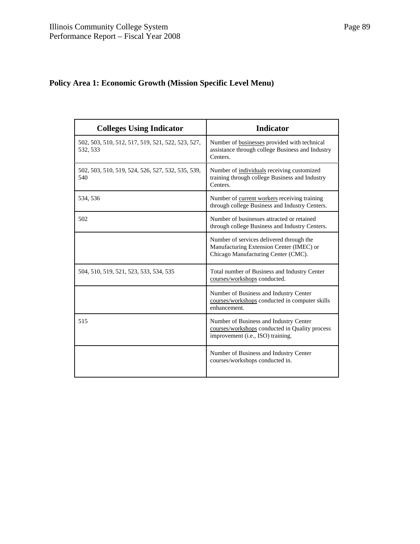# **Policy Area 1: Economic Growth (Mission Specific Level Menu)**

| <b>Colleges Using Indicator</b>                               | <b>Indicator</b>                                                                                                              |
|---------------------------------------------------------------|-------------------------------------------------------------------------------------------------------------------------------|
| 502, 503, 510, 512, 517, 519, 521, 522, 523, 527,<br>532, 533 | Number of businesses provided with technical<br>assistance through college Business and Industry<br>Centers.                  |
| 502, 503, 510, 519, 524, 526, 527, 532, 535, 539,<br>540      | Number of individuals receiving customized<br>training through college Business and Industry<br>Centers.                      |
| 534, 536                                                      | Number of current workers receiving training<br>through college Business and Industry Centers.                                |
| 502                                                           | Number of businesses attracted or retained<br>through college Business and Industry Centers.                                  |
|                                                               | Number of services delivered through the<br>Manufacturing Extension Center (IMEC) or<br>Chicago Manufacturing Center (CMC).   |
| 504, 510, 519, 521, 523, 533, 534, 535                        | Total number of Business and Industry Center<br>courses/workshops conducted.                                                  |
|                                                               | Number of Business and Industry Center<br>courses/workshops conducted in computer skills<br>enhancement.                      |
| 515                                                           | Number of Business and Industry Center<br>courses/workshops conducted in Quality process<br>improvement (i.e., ISO) training. |
|                                                               | Number of Business and Industry Center<br>courses/workshops conducted in.                                                     |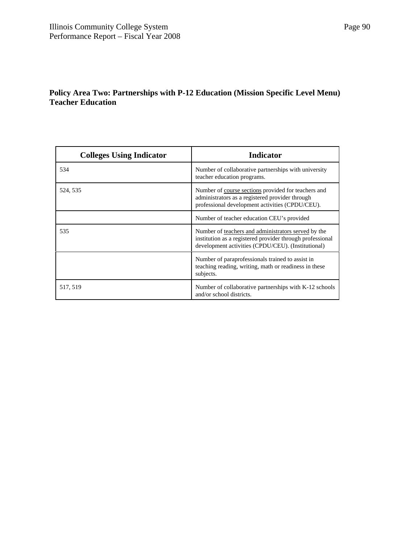# **Policy Area Two: Partnerships with P-12 Education (Mission Specific Level Menu) Teacher Education**

| <b>Colleges Using Indicator</b> | <b>Indicator</b>                                                                                                                                                       |
|---------------------------------|------------------------------------------------------------------------------------------------------------------------------------------------------------------------|
| 534                             | Number of collaborative partnerships with university<br>teacher education programs.                                                                                    |
| 524, 535                        | Number of course sections provided for teachers and<br>administrators as a registered provider through<br>professional development activities (CPDU/CEU).              |
|                                 | Number of teacher education CEU's provided                                                                                                                             |
| 535                             | Number of teachers and administrators served by the<br>institution as a registered provider through professional<br>development activities (CPDU/CEU). (Institutional) |
|                                 | Number of paraprofessionals trained to assist in<br>teaching reading, writing, math or readiness in these<br>subjects.                                                 |
| 517, 519                        | Number of collaborative partnerships with K-12 schools<br>and/or school districts.                                                                                     |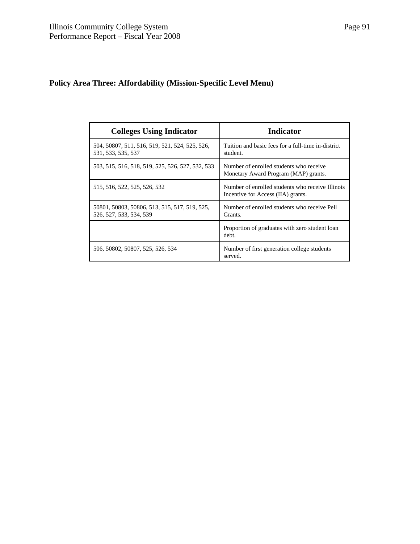# **Policy Area Three: Affordability (Mission-Specific Level Menu)**

| <b>Colleges Using Indicator</b>                                          | <b>Indicator</b>                                                                       |
|--------------------------------------------------------------------------|----------------------------------------------------------------------------------------|
| 504, 50807, 511, 516, 519, 521, 524, 525, 526,<br>531, 533, 535, 537     | Tuition and basic fees for a full-time in-district<br>student.                         |
| 503, 515, 516, 518, 519, 525, 526, 527, 532, 533                         | Number of enrolled students who receive<br>Monetary Award Program (MAP) grants.        |
| 515, 516, 522, 525, 526, 532                                             | Number of enrolled students who receive Illinois<br>Incentive for Access (IIA) grants. |
| 50801, 50803, 50806, 513, 515, 517, 519, 525,<br>526, 527, 533, 534, 539 | Number of enrolled students who receive Pell<br>Grants.                                |
|                                                                          | Proportion of graduates with zero student loan<br>debt.                                |
| 506, 50802, 50807, 525, 526, 534                                         | Number of first generation college students<br>served.                                 |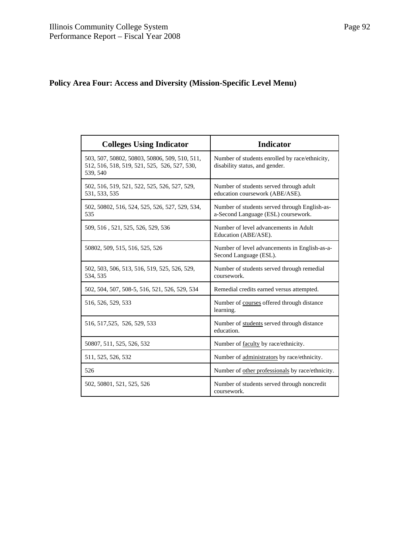# **Policy Area Four: Access and Diversity (Mission-Specific Level Menu)**

| <b>Colleges Using Indicator</b>                                                                           | <b>Indicator</b>                                                                     |
|-----------------------------------------------------------------------------------------------------------|--------------------------------------------------------------------------------------|
| 503, 507, 50802, 50803, 50806, 509, 510, 511,<br>512, 516, 518, 519, 521, 525, 526, 527, 530,<br>539, 540 | Number of students enrolled by race/ethnicity,<br>disability status, and gender.     |
| 502, 516, 519, 521, 522, 525, 526, 527, 529,<br>531, 533, 535                                             | Number of students served through adult<br>education coursework (ABE/ASE).           |
| 502, 50802, 516, 524, 525, 526, 527, 529, 534,<br>535                                                     | Number of students served through English-as-<br>a-Second Language (ESL) coursework. |
| 509, 516, 521, 525, 526, 529, 536                                                                         | Number of level advancements in Adult<br>Education (ABE/ASE).                        |
| 50802, 509, 515, 516, 525, 526                                                                            | Number of level advancements in English-as-a-<br>Second Language (ESL).              |
| 502, 503, 506, 513, 516, 519, 525, 526, 529,<br>534, 535                                                  | Number of students served through remedial<br>coursework.                            |
| 502, 504, 507, 508-5, 516, 521, 526, 529, 534                                                             | Remedial credits earned versus attempted.                                            |
| 516, 526, 529, 533                                                                                        | Number of courses offered through distance<br>learning.                              |
| 516, 517, 525, 526, 529, 533                                                                              | Number of students served through distance<br>education.                             |
| 50807, 511, 525, 526, 532                                                                                 | Number of faculty by race/ethnicity.                                                 |
| 511, 525, 526, 532                                                                                        | Number of administrators by race/ethnicity.                                          |
| 526                                                                                                       | Number of other professionals by race/ethnicity.                                     |
| 502, 50801, 521, 525, 526                                                                                 | Number of students served through noncredit<br>coursework.                           |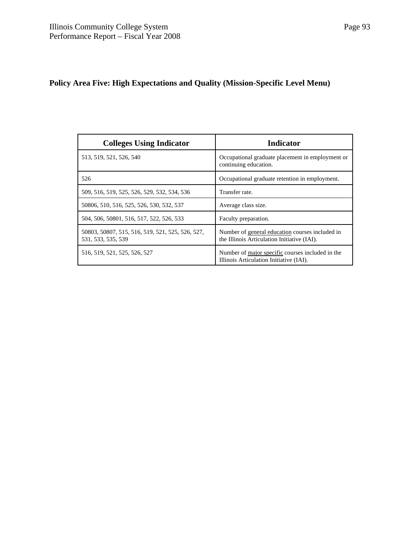# **Policy Area Five: High Expectations and Quality (Mission-Specific Level Menu)**

| <b>Colleges Using Indicator</b>                                        | <b>Indicator</b>                                                                               |
|------------------------------------------------------------------------|------------------------------------------------------------------------------------------------|
| 513, 519, 521, 526, 540                                                | Occupational graduate placement in employment or<br>continuing education.                      |
| 526                                                                    | Occupational graduate retention in employment.                                                 |
| 509, 516, 519, 525, 526, 529, 532, 534, 536                            | Transfer rate.                                                                                 |
| 50806, 510, 516, 525, 526, 530, 532, 537                               | Average class size.                                                                            |
| 504, 506, 50801, 516, 517, 522, 526, 533                               | Faculty preparation.                                                                           |
| 50803, 50807, 515, 516, 519, 521, 525, 526, 527,<br>531, 533, 535, 539 | Number of general education courses included in<br>the Illinois Articulation Initiative (IAI). |
| 516, 519, 521, 525, 526, 527                                           | Number of major specific courses included in the<br>Illinois Articulation Initiative (IAI).    |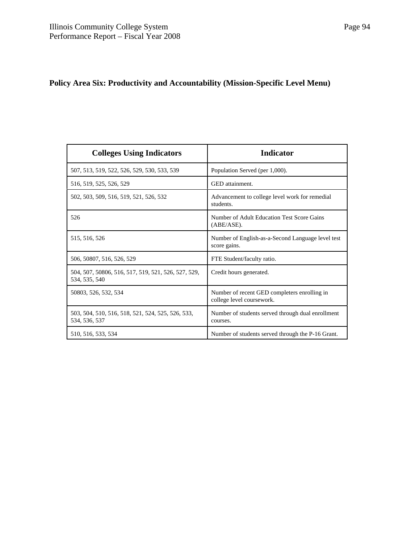# **Policy Area Six: Productivity and Accountability (Mission-Specific Level Menu)**

| <b>Colleges Using Indicators</b>                                     | <b>Indicator</b>                                                          |
|----------------------------------------------------------------------|---------------------------------------------------------------------------|
| 507, 513, 519, 522, 526, 529, 530, 533, 539                          | Population Served (per 1,000).                                            |
| 516, 519, 525, 526, 529                                              | GED attainment.                                                           |
| 502, 503, 509, 516, 519, 521, 526, 532                               | Advancement to college level work for remedial<br>students.               |
| 526                                                                  | Number of Adult Education Test Score Gains<br>$(ABE/ASE)$ .               |
| 515, 516, 526                                                        | Number of English-as-a-Second Language level test<br>score gains.         |
| 506, 50807, 516, 526, 529                                            | FTE Student/faculty ratio.                                                |
| 504, 507, 50806, 516, 517, 519, 521, 526, 527, 529,<br>534, 535, 540 | Credit hours generated.                                                   |
| 50803, 526, 532, 534                                                 | Number of recent GED completers enrolling in<br>college level coursework. |
| 503, 504, 510, 516, 518, 521, 524, 525, 526, 533,<br>534, 536, 537   | Number of students served through dual enrollment<br>courses.             |
| 510, 516, 533, 534                                                   | Number of students served through the P-16 Grant.                         |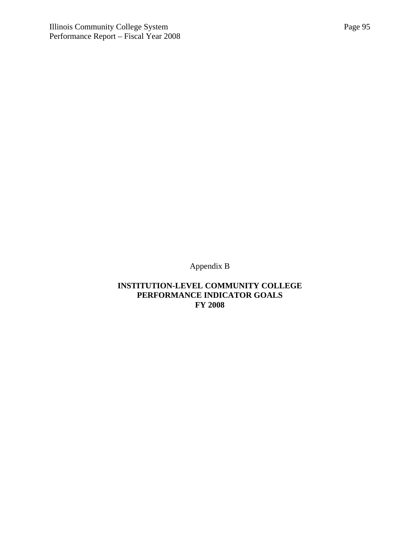Appendix B

## **INSTITUTION-LEVEL COMMUNITY COLLEGE PERFORMANCE INDICATOR GOALS FY 2008**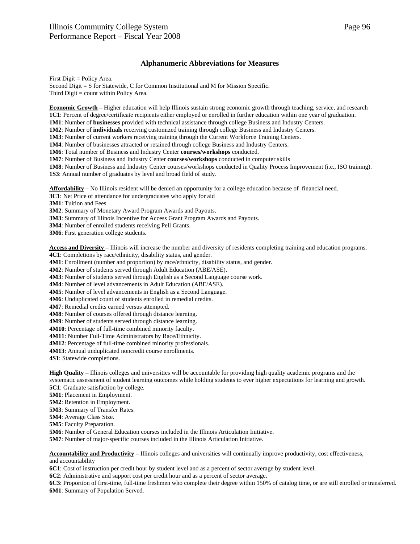#### **Alphanumeric Abbreviations for Measures**

First Digit = Policy Area.

Second Digit = S for Statewide, C for Common Institutional and M for Mission Specific. Third Digit = count within Policy Area.

**Economic Growth** – Higher education will help Illinois sustain strong economic growth through teaching, service, and research **1C1**: Percent of degree/certificate recipients either employed or enrolled in further education within one year of graduation.

**1M1**: Number of **businesses** provided with technical assistance through college Business and Industry Centers.

**1M2**: Number of **individuals** receiving customized training through college Business and Industry Centers.

**1M3**: Number of current workers receiving training through the Current Workforce Training Centers.

**1M4**: Number of businesses attracted or retained through college Business and Industry Centers.

**1M6**: Total number of Business and Industry Center **courses/workshops** conducted.

**1M7**: Number of Business and Industry Center **courses/workshops** conducted in computer skills

**1M8**: Number of Business and Industry Center courses/workshops conducted in Quality Process Improvement (i.e., ISO training).

**1S3**: Annual number of graduates by level and broad field of study.

**Affordability** – No Illinois resident will be denied an opportunity for a college education because of financial need.

**3C1**: Net Price of attendance for undergraduates who apply for aid

**3M1**: Tuition and Fees

**3M2**: Summary of Monetary Award Program Awards and Payouts.

**3M3**: Summary of Illinois Incentive for Access Grant Program Awards and Payouts.

**3M4**: Number of enrolled students receiving Pell Grants.

**3M6**: First generation college students.

**Access and Diversity** – Illinois will increase the number and diversity of residents completing training and education programs. **4C1**: Completions by race/ethnicity, disability status, and gender.

**4M1**: Enrollment (number and proportion) by race/ethnicity, disability status, and gender.

**4M2**: Number of students served through Adult Education (ABE/ASE).

**4M3**: Number of students served through English as a Second Language course work.

**4M4**: Number of level advancements in Adult Education (ABE/ASE).

**4M5**: Number of level advancements in English as a Second Language.

**4M6**: Unduplicated count of students enrolled in remedial credits.

**4M7**: Remedial credits earned versus attempted.

**4M8**: Number of courses offered through distance learning.

**4M9**: Number of students served through distance learning.

**4M10**: Percentage of full-time combined minority faculty.

**4M11**: Number Full-Time Administrators by Race/Ethnicity.

**4M12**: Percentage of full-time combined minority professionals.

**4M13**: Annual unduplicated noncredit course enrollments.

**4S1**: Statewide completions.

**High Quality** – Illinois colleges and universities will be accountable for providing high quality academic programs and the systematic assessment of student learning outcomes while holding students to ever higher expectations for learning and growth.

**5C1**: Graduate satisfaction by college.

**5M1**: Placement in Employment.

**5M2**: Retention in Employment.

**5M3**: Summary of Transfer Rates.

**5M4**: Average Class Size.

**5M5**: Faculty Preparation.

**5M6**: Number of General Education courses included in the Illinois Articulation Initiative.

**5M7**: Number of major-specific courses included in the Illinois Articulation Initiative.

**Accountability and Productivity** – Illinois colleges and universities will continually improve productivity, cost effectiveness, and accountability

**6C1**: Cost of instruction per credit hour by student level and as a percent of sector average by student level.

**6C2**: Administrative and support cost per credit hour and as a percent of sector average.

**6C3**: Proportion of first-time, full-time freshmen who complete their degree within 150% of catalog time, or are still enrolled or transferred. **6M1**: Summary of Population Served.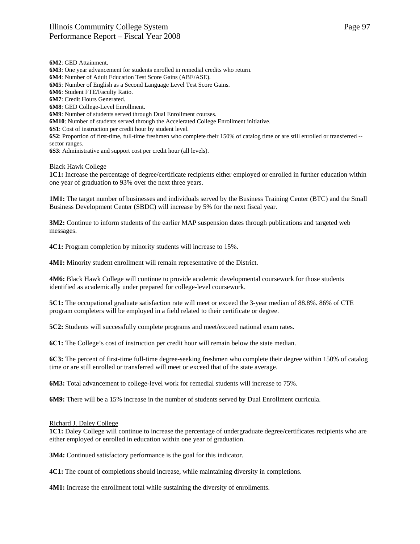**6M2**: GED Attainment. **6M3**: One year advancement for students enrolled in remedial credits who return. **6M4**: Number of Adult Education Test Score Gains (ABE/ASE). **6M5**: Number of English as a Second Language Level Test Score Gains. **6M6**: Student FTE/Faculty Ratio. **6M7**: Credit Hours Generated. **6M8**: GED College-Level Enrollment. **6M9**: Number of students served through Dual Enrollment courses. **6M10**: Number of students served through the Accelerated College Enrollment initiative. **6S1**: Cost of instruction per credit hour by student level. **6S2**: Proportion of first-time, full-time freshmen who complete their 150% of catalog time or are still enrolled or transferred - sector ranges. **6S3**: Administrative and support cost per credit hour (all levels).

#### Black Hawk College

**1C1:** Increase the percentage of degree/certificate recipients either employed or enrolled in further education within one year of graduation to 93% over the next three years.

**1M1:** The target number of businesses and individuals served by the Business Training Center (BTC) and the Small Business Development Center (SBDC) will increase by 5% for the next fiscal year.

**3M2:** Continue to inform students of the earlier MAP suspension dates through publications and targeted web messages.

**4C1:** Program completion by minority students will increase to 15%.

**4M1:** Minority student enrollment will remain representative of the District.

**4M6:** Black Hawk College will continue to provide academic developmental coursework for those students identified as academically under prepared for college-level coursework.

**5C1:** The occupational graduate satisfaction rate will meet or exceed the 3-year median of 88.8%. 86% of CTE program completers will be employed in a field related to their certificate or degree.

**5C2:** Students will successfully complete programs and meet/exceed national exam rates.

**6C1:** The College's cost of instruction per credit hour will remain below the state median.

**6C3:** The percent of first-time full-time degree-seeking freshmen who complete their degree within 150% of catalog time or are still enrolled or transferred will meet or exceed that of the state average.

**6M3:** Total advancement to college-level work for remedial students will increase to 75%.

**6M9:** There will be a 15% increase in the number of students served by Dual Enrollment curricula.

#### Richard J. Daley College

**1C1:** Daley College will continue to increase the percentage of undergraduate degree/certificates recipients who are either employed or enrolled in education within one year of graduation.

**3M4:** Continued satisfactory performance is the goal for this indicator.

**4C1:** The count of completions should increase, while maintaining diversity in completions.

**4M1:** Increase the enrollment total while sustaining the diversity of enrollments.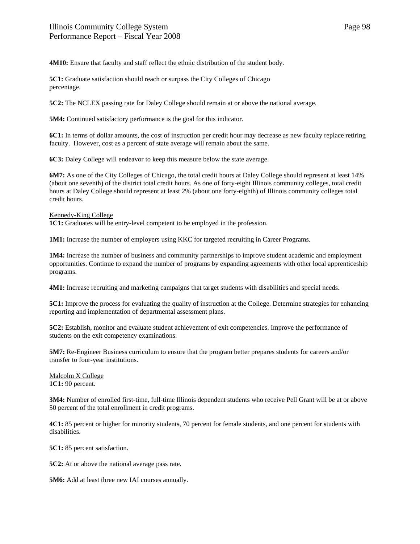**4M10:** Ensure that faculty and staff reflect the ethnic distribution of the student body.

**5C1:** Graduate satisfaction should reach or surpass the City Colleges of Chicago percentage.

**5C2:** The NCLEX passing rate for Daley College should remain at or above the national average.

**5M4:** Continued satisfactory performance is the goal for this indicator.

**6C1:** In terms of dollar amounts, the cost of instruction per credit hour may decrease as new faculty replace retiring faculty. However, cost as a percent of state average will remain about the same.

**6C3:** Daley College will endeavor to keep this measure below the state average.

**6M7:** As one of the City Colleges of Chicago, the total credit hours at Daley College should represent at least 14% (about one seventh) of the district total credit hours. As one of forty-eight Illinois community colleges, total credit hours at Daley College should represent at least 2% (about one forty-eighth) of Illinois community colleges total credit hours.

#### Kennedy-King College

1C1: Graduates will be entry-level competent to be employed in the profession.

**1M1:** Increase the number of employers using KKC for targeted recruiting in Career Programs.

**1M4:** Increase the number of business and community partnerships to improve student academic and employment opportunities. Continue to expand the number of programs by expanding agreements with other local apprenticeship programs.

**4M1:** Increase recruiting and marketing campaigns that target students with disabilities and special needs.

**5C1:** Improve the process for evaluating the quality of instruction at the College. Determine strategies for enhancing reporting and implementation of departmental assessment plans.

**5C2:** Establish, monitor and evaluate student achievement of exit competencies. Improve the performance of students on the exit competency examinations.

**5M7:** Re-Engineer Business curriculum to ensure that the program better prepares students for careers and/or transfer to four-year institutions.

Malcolm X College **1C1:** 90 percent.

**3M4:** Number of enrolled first-time, full-time Illinois dependent students who receive Pell Grant will be at or above 50 percent of the total enrollment in credit programs.

**4C1:** 85 percent or higher for minority students, 70 percent for female students, and one percent for students with disabilities.

**5C1:** 85 percent satisfaction.

**5C2:** At or above the national average pass rate.

**5M6:** Add at least three new IAI courses annually.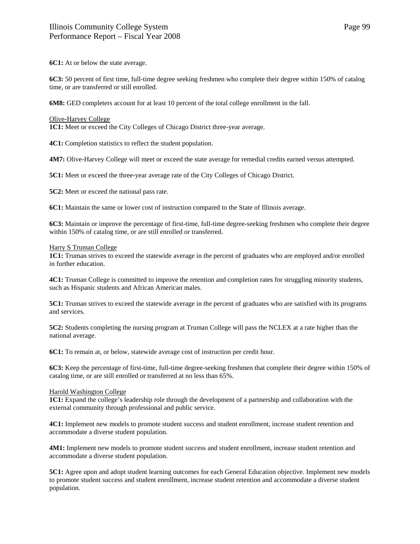**6C1:** At or below the state average.

**6C3:** 50 percent of first time, full-time degree seeking freshmen who complete their degree within 150% of catalog time, or are transferred or still enrolled.

**6M8:** GED completers account for at least 10 percent of the total college enrollment in the fall.

#### Olive-Harvey College

**1C1:** Meet or exceed the City Colleges of Chicago District three-year average.

**4C1:** Completion statistics to reflect the student population.

**4M7:** Olive-Harvey College will meet or exceed the state average for remedial credits earned versus attempted.

**5C1:** Meet or exceed the three-year average rate of the City Colleges of Chicago District.

**5C2:** Meet or exceed the national pass rate.

**6C1:** Maintain the same or lower cost of instruction compared to the State of Illinois average.

**6C3:** Maintain or improve the percentage of first-time, full-time degree-seeking freshmen who complete their degree within 150% of catalog time, or are still enrolled or transferred.

#### Harry S Truman College

**1C1:** Truman strives to exceed the statewide average in the percent of graduates who are employed and/or enrolled in further education.

**4C1:** Truman College is committed to improve the retention and completion rates for struggling minority students, such as Hispanic students and African American males.

**5C1:** Truman strives to exceed the statewide average in the percent of graduates who are satisfied with its programs and services.

**5C2:** Students completing the nursing program at Truman College will pass the NCLEX at a rate higher than the national average.

**6C1:** To remain at, or below, statewide average cost of instruction per credit hour.

**6C3:** Keep the percentage of first-time, full-time degree-seeking freshmen that complete their degree within 150% of catalog time, or are still enrolled or transferred at no less than 65%.

#### Harold Washington College

**1C1:** Expand the college's leadership role through the development of a partnership and collaboration with the external community through professional and public service.

**4C1:** Implement new models to promote student success and student enrollment, increase student retention and accommodate a diverse student population.

**4M1:** Implement new models to promote student success and student enrollment, increase student retention and accommodate a diverse student population.

**5C1:** Agree upon and adopt student learning outcomes for each General Education objective. Implement new models to promote student success and student enrollment, increase student retention and accommodate a diverse student population.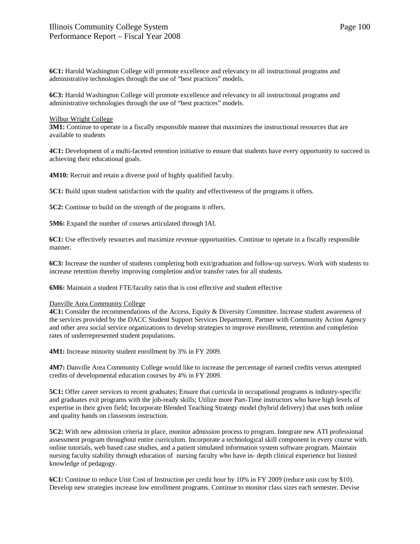**6C1:** Harold Washington College will promote excellence and relevancy in all instructional programs and administrative technologies through the use of "best practices" models.

**6C3:** Harold Washington College will promote excellence and relevancy in all instructional programs and administrative technologies through the use of "best practices" models.

#### Wilbur Wright College

**3M1:** Continue to operate in a fiscally responsible manner that maximizes the instructional resources that are available to students

**4C1:** Development of a multi-faceted retention initiative to ensure that students have every opportunity to succeed in achieving their educational goals.

**4M10:** Recruit and retain a diverse pool of highly qualified faculty.

**5C1:** Build upon student satisfaction with the quality and effectiveness of the programs it offers.

**5C2:** Continue to build on the strength of the programs it offers.

**5M6:** Expand the number of courses articulated through IAI.

**6C1:** Use effectively resources and maximize revenue opportunities. Continue to operate in a fiscally responsible manner.

**6C3:** Increase the number of students completing both exit/graduation and follow-up surveys. Work with students to increase retention thereby improving completion and/or transfer rates for all students.

**6M6:** Maintain a student FTE/faculty ratio that is cost effective and student effective

#### Danville Area Community College

**4C1:** Consider the recommendations of the Access, Equity & Diversity Committee. Increase student awareness of the services provided by the DACC Student Support Services Department. Partner with Community Action Agency and other area social service organizations to develop strategies to improve enrollment, retention and completion rates of underrepresented student populations.

**4M1:** Increase minority student enrollment by 3% in FY 2009.

**4M7:** Danville Area Community College would like to increase the percentage of earned credits versus attempted credits of developmental education courses by 4% in FY 2009.

**5C1:** Offer career services to recent graduates; Ensure that curricula in occupational programs is industry-specific and graduates exit programs with the job-ready skills; Utilize more Part-Time instructors who have high levels of expertise in their given field; Incorporate Blended Teaching Strategy model (hybrid delivery) that uses both online and quality hands on classroom instruction.

**5C2:** With new admission criteria in place, monitor admission process to program. Integrate new ATI professional assessment program throughout entire curriculum. Incorporate a technological skill component in every course with. online tutorials, web based case studies, and a patient simulated information system software program. Maintain nursing faculty stability through education of nursing faculty who have in- depth clinical experience but limited knowledge of pedagogy.

**6C1:** Continue to reduce Unit Cost of Instruction per credit hour by 10% in FY 2009 (reduce unit cost by \$10). Develop new strategies increase low enrollment programs. Continue to monitor class sizes each semester. Devise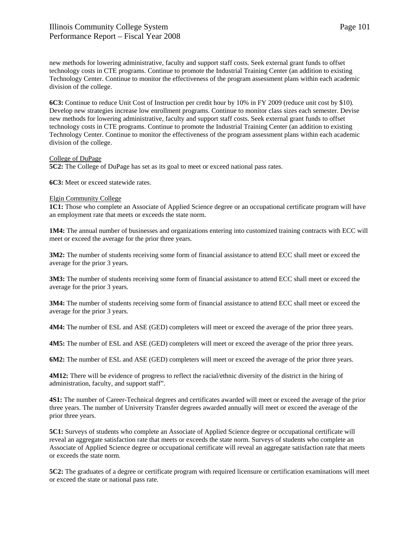new methods for lowering administrative, faculty and support staff costs. Seek external grant funds to offset technology costs in CTE programs. Continue to promote the Industrial Training Center (an addition to existing Technology Center. Continue to monitor the effectiveness of the program assessment plans within each academic division of the college.

**6C3:** Continue to reduce Unit Cost of Instruction per credit hour by 10% in FY 2009 (reduce unit cost by \$10). Develop new strategies increase low enrollment programs. Continue to monitor class sizes each semester. Devise new methods for lowering administrative, faculty and support staff costs. Seek external grant funds to offset technology costs in CTE programs. Continue to promote the Industrial Training Center (an addition to existing Technology Center. Continue to monitor the effectiveness of the program assessment plans within each academic division of the college.

#### College of DuPage

**5C2:** The College of DuPage has set as its goal to meet or exceed national pass rates.

**6C3:** Meet or exceed statewide rates.

#### Elgin Community College

**1C1:** Those who complete an Associate of Applied Science degree or an occupational certificate program will have an employment rate that meets or exceeds the state norm.

**1M4:** The annual number of businesses and organizations entering into customized training contracts with ECC will meet or exceed the average for the prior three years.

**3M2:** The number of students receiving some form of financial assistance to attend ECC shall meet or exceed the average for the prior 3 years.

**3M3:** The number of students receiving some form of financial assistance to attend ECC shall meet or exceed the average for the prior 3 years.

**3M4:** The number of students receiving some form of financial assistance to attend ECC shall meet or exceed the average for the prior 3 years.

**4M4:** The number of ESL and ASE (GED) completers will meet or exceed the average of the prior three years.

**4M5:** The number of ESL and ASE (GED) completers will meet or exceed the average of the prior three years.

**6M2:** The number of ESL and ASE (GED) completers will meet or exceed the average of the prior three years.

**4M12:** There will be evidence of progress to reflect the racial/ethnic diversity of the district in the hiring of administration, faculty, and support staff".

**4S1:** The number of Career-Technical degrees and certificates awarded will meet or exceed the average of the prior three years. The number of University Transfer degrees awarded annually will meet or exceed the average of the prior three years.

**5C1:** Surveys of students who complete an Associate of Applied Science degree or occupational certificate will reveal an aggregate satisfaction rate that meets or exceeds the state norm. Surveys of students who complete an Associate of Applied Science degree or occupational certificate will reveal an aggregate satisfaction rate that meets or exceeds the state norm.

**5C2:** The graduates of a degree or certificate program with required licensure or certification examinations will meet or exceed the state or national pass rate.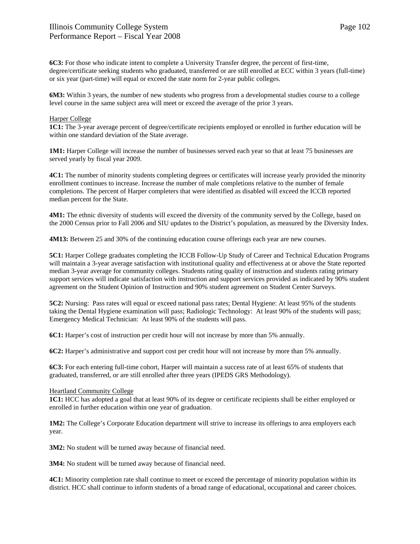**6C3:** For those who indicate intent to complete a University Transfer degree, the percent of first-time, degree/certificate seeking students who graduated, transferred or are still enrolled at ECC within 3 years (full-time) or six year (part-time) will equal or exceed the state norm for 2-year public colleges.

**6M3:** Within 3 years, the number of new students who progress from a developmental studies course to a college level course in the same subject area will meet or exceed the average of the prior 3 years.

#### Harper College

**1C1:** The 3-year average percent of degree/certificate recipients employed or enrolled in further education will be within one standard deviation of the State average.

**1M1:** Harper College will increase the number of businesses served each year so that at least 75 businesses are served yearly by fiscal year 2009.

**4C1:** The number of minority students completing degrees or certificates will increase yearly provided the minority enrollment continues to increase. Increase the number of male completions relative to the number of female completions. The percent of Harper completers that were identified as disabled will exceed the ICCB reported median percent for the State.

**4M1:** The ethnic diversity of students will exceed the diversity of the community served by the College, based on the 2000 Census prior to Fall 2006 and SIU updates to the District's population, as measured by the Diversity Index.

**4M13:** Between 25 and 30% of the continuing education course offerings each year are new courses.

**5C1:** Harper College graduates completing the ICCB Follow-Up Study of Career and Technical Education Programs will maintain a 3-year average satisfaction with institutional quality and effectiveness at or above the State reported median 3-year average for community colleges. Students rating quality of instruction and students rating primary support services will indicate satisfaction with instruction and support services provided as indicated by 90% student agreement on the Student Opinion of Instruction and 90% student agreement on Student Center Surveys.

**5C2:** Nursing: Pass rates will equal or exceed national pass rates; Dental Hygiene: At least 95% of the students taking the Dental Hygiene examination will pass; Radiologic Technology: At least 90% of the students will pass; Emergency Medical Technician: At least 90% of the students will pass.

**6C1:** Harper's cost of instruction per credit hour will not increase by more than 5% annually.

**6C2:** Harper's administrative and support cost per credit hour will not increase by more than 5% annually.

**6C3:** For each entering full-time cohort, Harper will maintain a success rate of at least 65% of students that graduated, transferred, or are still enrolled after three years (IPEDS GRS Methodology).

#### Heartland Community College

**1C1:** HCC has adopted a goal that at least 90% of its degree or certificate recipients shall be either employed or enrolled in further education within one year of graduation.

**1M2:** The College's Corporate Education department will strive to increase its offerings to area employers each year.

**3M2:** No student will be turned away because of financial need.

**3M4:** No student will be turned away because of financial need.

**4C1:** Minority completion rate shall continue to meet or exceed the percentage of minority population within its district. HCC shall continue to inform students of a broad range of educational, occupational and career choices.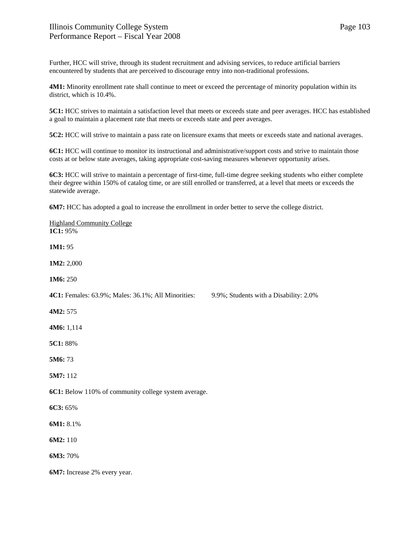Further, HCC will strive, through its student recruitment and advising services, to reduce artificial barriers encountered by students that are perceived to discourage entry into non-traditional professions.

**4M1:** Minority enrollment rate shall continue to meet or exceed the percentage of minority population within its district, which is 10.4%.

**5C1:** HCC strives to maintain a satisfaction level that meets or exceeds state and peer averages. HCC has established a goal to maintain a placement rate that meets or exceeds state and peer averages.

**5C2:** HCC will strive to maintain a pass rate on licensure exams that meets or exceeds state and national averages.

**6C1:** HCC will continue to monitor its instructional and administrative/support costs and strive to maintain those costs at or below state averages, taking appropriate cost-saving measures whenever opportunity arises.

**6C3:** HCC will strive to maintain a percentage of first-time, full-time degree seeking students who either complete their degree within 150% of catalog time, or are still enrolled or transferred, at a level that meets or exceeds the statewide average.

**6M7:** HCC has adopted a goal to increase the enrollment in order better to serve the college district.

| <b>Highland Community College</b><br>1C1: 95%        |                                        |
|------------------------------------------------------|----------------------------------------|
| 1M1:95                                               |                                        |
| 1M2: 2,000                                           |                                        |
| 1M6: 250                                             |                                        |
| 4C1: Females: 63.9%; Males: 36.1%; All Minorities:   | 9.9%; Students with a Disability: 2.0% |
| 4M2: 575                                             |                                        |
| 4M6: 1,114                                           |                                        |
| 5C1: 88%                                             |                                        |
| 5M6:73                                               |                                        |
| 5M7: 112                                             |                                        |
| 6C1: Below 110% of community college system average. |                                        |
| 6C3: 65%                                             |                                        |
| 6M1: 8.1%                                            |                                        |
| 6M2: 110                                             |                                        |
| 6M3: 70%                                             |                                        |
| 6M7: Increase 2% every year.                         |                                        |
|                                                      |                                        |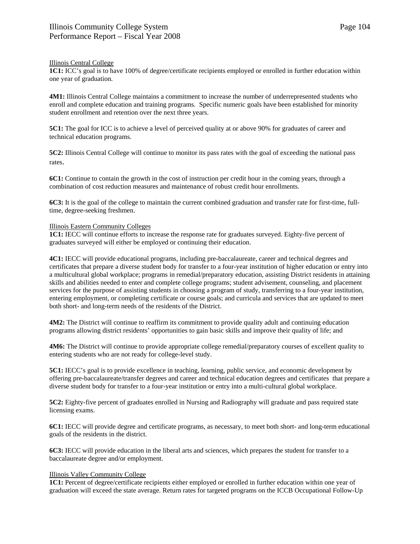#### Illinois Central College

**1C1:** ICC's goal is to have 100% of degree/certificate recipients employed or enrolled in further education within one year of graduation.

**4M1:** Illinois Central College maintains a commitment to increase the number of underrepresented students who enroll and complete education and training programs. Specific numeric goals have been established for minority student enrollment and retention over the next three years.

**5C1:** The goal for ICC is to achieve a level of perceived quality at or above 90% for graduates of career and technical education programs.

**5C2:** Illinois Central College will continue to monitor its pass rates with the goal of exceeding the national pass rates.

**6C1:** Continue to contain the growth in the cost of instruction per credit hour in the coming years, through a combination of cost reduction measures and maintenance of robust credit hour enrollments.

**6C3:** It is the goal of the college to maintain the current combined graduation and transfer rate for first-time, fulltime, degree-seeking freshmen.

#### Illinois Eastern Community Colleges

**1C1:** IECC will continue efforts to increase the response rate for graduates surveyed. Eighty-five percent of graduates surveyed will either be employed or continuing their education.

**4C1:** IECC will provide educational programs, including pre-baccalaureate, career and technical degrees and certificates that prepare a diverse student body for transfer to a four-year institution of higher education or entry into a multicultural global workplace; programs in remedial/preparatory education, assisting District residents in attaining skills and abilities needed to enter and complete college programs; student advisement, counseling, and placement services for the purpose of assisting students in choosing a program of study, transferring to a four-year institution, entering employment, or completing certificate or course goals; and curricula and services that are updated to meet both short- and long-term needs of the residents of the District.

**4M2:** The District will continue to reaffirm its commitment to provide quality adult and continuing education programs allowing district residents' opportunities to gain basic skills and improve their quality of life; and

**4M6:** The District will continue to provide appropriate college remedial/preparatory courses of excellent quality to entering students who are not ready for college-level study.

**5C1:** IECC's goal is to provide excellence in teaching, learning, public service, and economic development by offering pre-baccalaureate/transfer degrees and career and technical education degrees and certificates that prepare a diverse student body for transfer to a four-year institution or entry into a multi-cultural global workplace.

**5C2:** Eighty-five percent of graduates enrolled in Nursing and Radiography will graduate and pass required state licensing exams.

**6C1:** IECC will provide degree and certificate programs, as necessary, to meet both short- and long-term educational goals of the residents in the district.

**6C3:** IECC will provide education in the liberal arts and sciences, which prepares the student for transfer to a baccalaureate degree and/or employment.

#### Illinois Valley Community College

**1C1:** Percent of degree/certificate recipients either employed or enrolled in further education within one year of graduation will exceed the state average. Return rates for targeted programs on the ICCB Occupational Follow-Up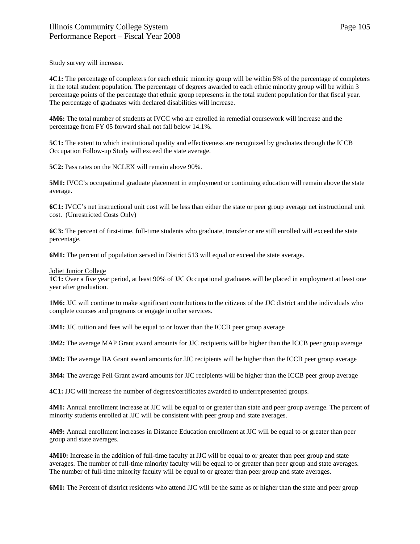Study survey will increase.

**4C1:** The percentage of completers for each ethnic minority group will be within 5% of the percentage of completers in the total student population. The percentage of degrees awarded to each ethnic minority group will be within 3 percentage points of the percentage that ethnic group represents in the total student population for that fiscal year. The percentage of graduates with declared disabilities will increase.

**4M6:** The total number of students at IVCC who are enrolled in remedial coursework will increase and the percentage from FY 05 forward shall not fall below 14.1%.

**5C1:** The extent to which institutional quality and effectiveness are recognized by graduates through the ICCB Occupation Follow-up Study will exceed the state average.

**5C2:** Pass rates on the NCLEX will remain above 90%.

**5M1:** IVCC's occupational graduate placement in employment or continuing education will remain above the state average.

**6C1:** IVCC's net instructional unit cost will be less than either the state or peer group average net instructional unit cost. (Unrestricted Costs Only)

**6C3:** The percent of first-time, full-time students who graduate, transfer or are still enrolled will exceed the state percentage.

**6M1:** The percent of population served in District 513 will equal or exceed the state average.

#### Joliet Junior College

**1C1:** Over a five year period, at least 90% of JJC Occupational graduates will be placed in employment at least one year after graduation.

**1M6:** JJC will continue to make significant contributions to the citizens of the JJC district and the individuals who complete courses and programs or engage in other services.

**3M1:** JJC tuition and fees will be equal to or lower than the ICCB peer group average

**3M2:** The average MAP Grant award amounts for JJC recipients will be higher than the ICCB peer group average

**3M3:** The average IIA Grant award amounts for JJC recipients will be higher than the ICCB peer group average

**3M4:** The average Pell Grant award amounts for JJC recipients will be higher than the ICCB peer group average

**4C1:** JJC will increase the number of degrees/certificates awarded to underrepresented groups.

**4M1:** Annual enrollment increase at JJC will be equal to or greater than state and peer group average. The percent of minority students enrolled at JJC will be consistent with peer group and state averages.

**4M9:** Annual enrollment increases in Distance Education enrollment at JJC will be equal to or greater than peer group and state averages.

**4M10:** Increase in the addition of full-time faculty at JJC will be equal to or greater than peer group and state averages. The number of full-time minority faculty will be equal to or greater than peer group and state averages. The number of full-time minority faculty will be equal to or greater than peer group and state averages.

**6M1:** The Percent of district residents who attend JJC will be the same as or higher than the state and peer group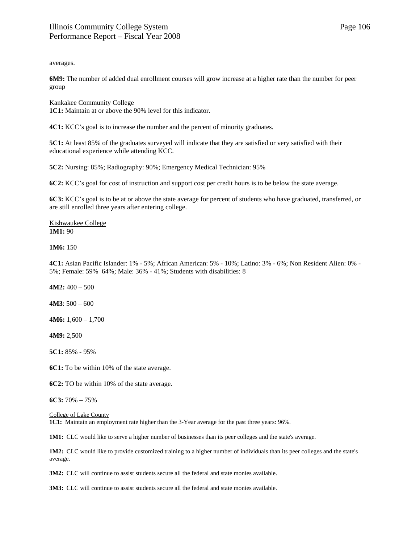Page 106

averages.

**6M9:** The number of added dual enrollment courses will grow increase at a higher rate than the number for peer group

Kankakee Community College **1C1:** Maintain at or above the 90% level for this indicator.

**4C1:** KCC's goal is to increase the number and the percent of minority graduates.

**5C1:** At least 85% of the graduates surveyed will indicate that they are satisfied or very satisfied with their educational experience while attending KCC.

**5C2:** Nursing: 85%; Radiography: 90%; Emergency Medical Technician: 95%

**6C2:** KCC's goal for cost of instruction and support cost per credit hours is to be below the state average.

**6C3:** KCC's goal is to be at or above the state average for percent of students who have graduated, transferred, or are still enrolled three years after entering college.

Kishwaukee College **1M1:** 90

**1M6:** 150

**4C1:** Asian Pacific Islander: 1% - 5%; African American: 5% - 10%; Latino: 3% - 6%; Non Resident Alien: 0% - 5%; Female: 59% 64%; Male: 36% - 41%; Students with disabilities: 8

**4M2:** 400 – 500

**4M3**: 500 – 600

**4M6:** 1,600 – 1,700

**4M9:** 2,500

**5C1:** 85% - 95%

**6C1:** To be within 10% of the state average.

**6C2:** TO be within 10% of the state average.

**6C3:** 70% – 75%

College of Lake County

**1C1:** Maintain an employment rate higher than the 3-Year average for the past three years: 96%.

**1M1:** CLC would like to serve a higher number of businesses than its peer colleges and the state's average.

**1M2:** CLC would like to provide customized training to a higher number of individuals than its peer colleges and the state's average.

**3M2:** CLC will continue to assist students secure all the federal and state monies available.

**3M3:** CLC will continue to assist students secure all the federal and state monies available.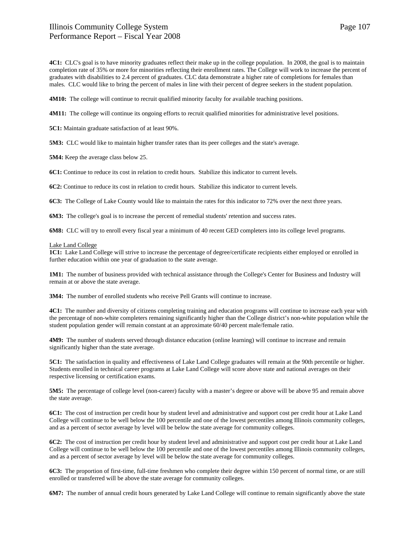**4C1:** CLC's goal is to have minority graduates reflect their make up in the college population. In 2008, the goal is to maintain completion rate of 35% or more for minorities reflecting their enrollment rates. The College will work to increase the percent of graduates with disabilities to 2.4 percent of graduates. CLC data demonstrate a higher rate of completions for females than males. CLC would like to bring the percent of males in line with their percent of degree seekers in the student population.

**4M10:** The college will continue to recruit qualified minority faculty for available teaching positions.

**4M11:** The college will continue its ongoing efforts to recruit qualified minorities for administrative level positions.

**5C1:** Maintain graduate satisfaction of at least 90%.

**5M3:** CLC would like to maintain higher transfer rates than its peer colleges and the state's average.

**5M4:** Keep the average class below 25.

**6C1:** Continue to reduce its cost in relation to credit hours. Stabilize this indicator to current levels.

**6C2:** Continue to reduce its cost in relation to credit hours. Stabilize this indicator to current levels.

**6C3:** The College of Lake County would like to maintain the rates for this indicator to 72% over the next three years.

**6M3:** The college's goal is to increase the percent of remedial students' retention and success rates.

**6M8:** CLC will try to enroll every fiscal year a minimum of 40 recent GED completers into its college level programs.

#### Lake Land College

1C1: Lake Land College will strive to increase the percentage of degree/certificate recipients either employed or enrolled in further education within one year of graduation to the state average.

**1M1:** The number of business provided with technical assistance through the College's Center for Business and Industry will remain at or above the state average.

**3M4:** The number of enrolled students who receive Pell Grants will continue to increase.

**4C1:** The number and diversity of citizens completing training and education programs will continue to increase each year with the percentage of non-white completers remaining significantly higher than the College district's non-white population while the student population gender will remain constant at an approximate 60/40 percent male/female ratio.

**4M9:** The number of students served through distance education (online learning) will continue to increase and remain significantly higher than the state average.

**5C1:** The satisfaction in quality and effectiveness of Lake Land College graduates will remain at the 90th percentile or higher. Students enrolled in technical career programs at Lake Land College will score above state and national averages on their respective licensing or certification exams.

**5M5:** The percentage of college level (non-career) faculty with a master's degree or above will be above 95 and remain above the state average.

**6C1:** The cost of instruction per credit hour by student level and administrative and support cost per credit hour at Lake Land College will continue to be well below the 100 percentile and one of the lowest percentiles among Illinois community colleges, and as a percent of sector average by level will be below the state average for community colleges.

**6C2:** The cost of instruction per credit hour by student level and administrative and support cost per credit hour at Lake Land College will continue to be well below the 100 percentile and one of the lowest percentiles among Illinois community colleges, and as a percent of sector average by level will be below the state average for community colleges.

**6C3:** The proportion of first-time, full-time freshmen who complete their degree within 150 percent of normal time, or are still enrolled or transferred will be above the state average for community colleges.

**6M7:** The number of annual credit hours generated by Lake Land College will continue to remain significantly above the state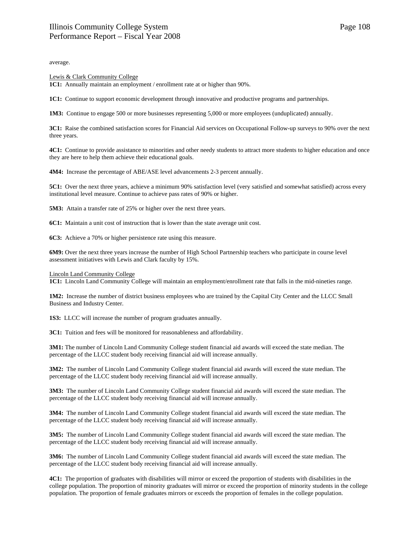average.

#### Lewis & Clark Community College

**1C1:** Annually maintain an employment / enrollment rate at or higher than 90%.

**1C1:** Continue to support economic development through innovative and productive programs and partnerships.

**1M3:** Continue to engage 500 or more businesses representing 5,000 or more employees (unduplicated) annually.

**3C1:** Raise the combined satisfaction scores for Financial Aid services on Occupational Follow-up surveys to 90% over the next three years.

**4C1:** Continue to provide assistance to minorities and other needy students to attract more students to higher education and once they are here to help them achieve their educational goals.

**4M4:** Increase the percentage of ABE/ASE level advancements 2-3 percent annually.

**5C1:** Over the next three years, achieve a minimum 90% satisfaction level (very satisfied and somewhat satisfied) across every institutional level measure. Continue to achieve pass rates of 90% or higher.

**5M3:** Attain a transfer rate of 25% or higher over the next three years.

**6C1:** Maintain a unit cost of instruction that is lower than the state average unit cost.

**6C3:** Achieve a 70% or higher persistence rate using this measure.

**6M9:** Over the next three years increase the number of High School Partnership teachers who participate in course level assessment initiatives with Lewis and Clark faculty by 15%.

#### Lincoln Land Community College

**1C1:** Lincoln Land Community College will maintain an employment/enrollment rate that falls in the mid-nineties range.

**1M2:** Increase the number of district business employees who are trained by the Capital City Center and the LLCC Small Business and Industry Center.

**1S3:** LLCC will increase the number of program graduates annually.

**3C1:** Tuition and fees will be monitored for reasonableness and affordability.

**3M1:** The number of Lincoln Land Community College student financial aid awards will exceed the state median. The percentage of the LLCC student body receiving financial aid will increase annually.

**3M2:** The number of Lincoln Land Community College student financial aid awards will exceed the state median. The percentage of the LLCC student body receiving financial aid will increase annually.

**3M3:** The number of Lincoln Land Community College student financial aid awards will exceed the state median. The percentage of the LLCC student body receiving financial aid will increase annually.

**3M4:** The number of Lincoln Land Community College student financial aid awards will exceed the state median. The percentage of the LLCC student body receiving financial aid will increase annually.

**3M5:** The number of Lincoln Land Community College student financial aid awards will exceed the state median. The percentage of the LLCC student body receiving financial aid will increase annually.

**3M6:** The number of Lincoln Land Community College student financial aid awards will exceed the state median. The percentage of the LLCC student body receiving financial aid will increase annually.

**4C1:** The proportion of graduates with disabilities will mirror or exceed the proportion of students with disabilities in the college population. The proportion of minority graduates will mirror or exceed the proportion of minority students in the college population. The proportion of female graduates mirrors or exceeds the proportion of females in the college population.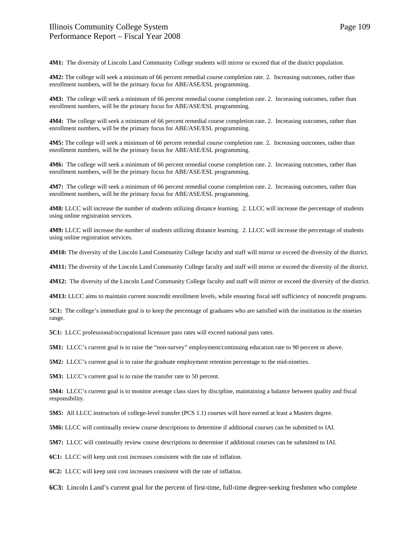**4M1:** The diversity of Lincoln Land Community College students will mirror or exceed that of the district population.

**4M2:** The college will seek a minimum of 66 percent remedial course completion rate. 2. Increasing outcomes, rather than enrollment numbers, will be the primary focus for ABE/ASE/ESL programming.

**4M3:** The college will seek a minimum of 66 percent remedial course completion rate. 2. Increasing outcomes, rather than enrollment numbers, will be the primary focus for ABE/ASE/ESL programming.

**4M4:** The college will seek a minimum of 66 percent remedial course completion rate. 2. Increasing outcomes, rather than enrollment numbers, will be the primary focus for ABE/ASE/ESL programming.

**4M5:** The college will seek a minimum of 66 percent remedial course completion rate. 2. Increasing outcomes, rather than enrollment numbers, will be the primary focus for ABE/ASE/ESL programming.

**4M6:** The college will seek a minimum of 66 percent remedial course completion rate. 2. Increasing outcomes, rather than enrollment numbers, will be the primary focus for ABE/ASE/ESL programming.

**4M7:** The college will seek a minimum of 66 percent remedial course completion rate. 2. Increasing outcomes, rather than enrollment numbers, will be the primary focus for ABE/ASE/ESL programming.

**4M8:** LLCC will increase the number of students utilizing distance learning. 2. LLCC will increase the percentage of students using online registration services.

**4M9:** LLCC will increase the number of students utilizing distance learning. 2. LLCC will increase the percentage of students using online registration services.

**4M10:** The diversity of the Lincoln Land Community College faculty and staff will mirror or exceed the diversity of the district.

**4M11:** The diversity of the Lincoln Land Community College faculty and staff will mirror or exceed the diversity of the district.

**4M12:** The diversity of the Lincoln Land Community College faculty and staff will mirror or exceed the diversity of the district.

**4M13:** LLCC aims to maintain current noncredit enrollment levels, while ensuring fiscal self sufficiency of noncredit programs.

**5C1:** The college's immediate goal is to keep the percentage of graduates who are satisfied with the institution in the nineties range.

**5C1:** LLCC professional/occupational licensure pass rates will exceed national pass rates.

**5M1:** LLCC's current goal is to raise the "non-survey" employment/continuing education rate to 90 percent or above.

**5M2:** LLCC's current goal is to raise the graduate employment retention percentage to the mid-nineties.

**5M3:** LLCC's current goal is to raise the transfer rate to 50 percent.

**5M4:** LLCC's current goal is to monitor average class sizes by discipline, maintaining a balance between quality and fiscal responsibility.

**5M5:** All LLCC instructors of college-level transfer (PCS 1.1) courses will have earned at least a Masters degree.

**5M6:** LLCC will continually review course descriptions to determine if additional courses can be submitted to IAI.

**5M7:** LLCC will continually review course descriptions to determine if additional courses can be submitted to IAI.

**6C1:** LLCC will keep unit cost increases consistent with the rate of inflation.

**6C2:** LLCC will keep unit cost increases consistent with the rate of inflation.

**6C3:** Lincoln Land's current goal for the percent of first-time, full-time degree-seeking freshmen who complete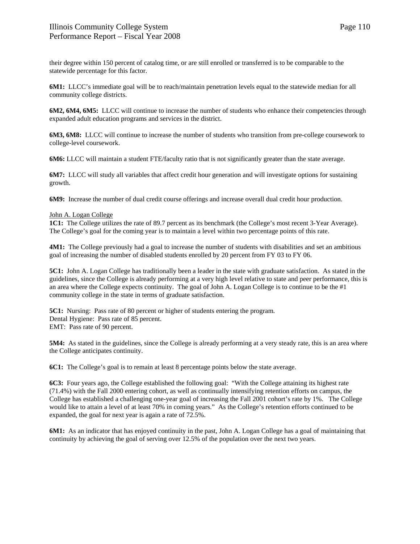their degree within 150 percent of catalog time, or are still enrolled or transferred is to be comparable to the statewide percentage for this factor.

**6M1:** LLCC's immediate goal will be to reach/maintain penetration levels equal to the statewide median for all community college districts.

**6M2, 6M4, 6M5:** LLCC will continue to increase the number of students who enhance their competencies through expanded adult education programs and services in the district.

**6M3, 6M8:** LLCC will continue to increase the number of students who transition from pre-college coursework to college-level coursework.

**6M6:** LLCC will maintain a student FTE/faculty ratio that is not significantly greater than the state average.

**6M7:** LLCC will study all variables that affect credit hour generation and will investigate options for sustaining growth.

**6M9:** Increase the number of dual credit course offerings and increase overall dual credit hour production.

## John A. Logan College

**1C1:** The College utilizes the rate of 89.7 percent as its benchmark (the College's most recent 3-Year Average). The College's goal for the coming year is to maintain a level within two percentage points of this rate.

**4M1:** The College previously had a goal to increase the number of students with disabilities and set an ambitious goal of increasing the number of disabled students enrolled by 20 percent from FY 03 to FY 06.

**5C1:** John A. Logan College has traditionally been a leader in the state with graduate satisfaction. As stated in the guidelines, since the College is already performing at a very high level relative to state and peer performance, this is an area where the College expects continuity. The goal of John A. Logan College is to continue to be the #1 community college in the state in terms of graduate satisfaction.

**5C1:** Nursing: Pass rate of 80 percent or higher of students entering the program. Dental Hygiene: Pass rate of 85 percent. EMT: Pass rate of 90 percent.

**5M4:** As stated in the guidelines, since the College is already performing at a very steady rate, this is an area where the College anticipates continuity.

**6C1:** The College's goal is to remain at least 8 percentage points below the state average.

**6C3:** Four years ago, the College established the following goal: "With the College attaining its highest rate (71.4%) with the Fall 2000 entering cohort, as well as continually intensifying retention efforts on campus, the College has established a challenging one-year goal of increasing the Fall 2001 cohort's rate by 1%. The College would like to attain a level of at least 70% in coming years." As the College's retention efforts continued to be expanded, the goal for next year is again a rate of 72.5%.

**6M1:** As an indicator that has enjoyed continuity in the past, John A. Logan College has a goal of maintaining that continuity by achieving the goal of serving over 12.5% of the population over the next two years.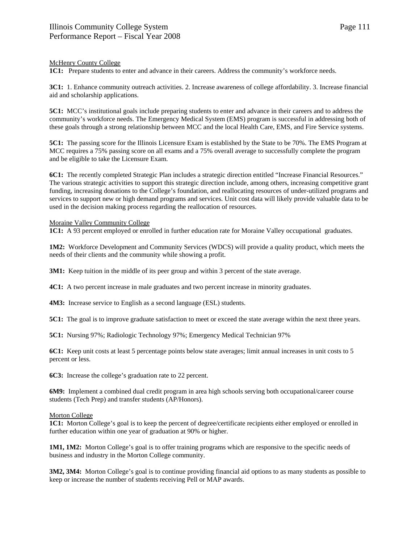## McHenry County College

**1C1:** Prepare students to enter and advance in their careers. Address the community's workforce needs.

**3C1:** 1. Enhance community outreach activities. 2. Increase awareness of college affordability. 3. Increase financial aid and scholarship applications.

**5C1:** MCC's institutional goals include preparing students to enter and advance in their careers and to address the community's workforce needs. The Emergency Medical System (EMS) program is successful in addressing both of these goals through a strong relationship between MCC and the local Health Care, EMS, and Fire Service systems.

**5C1:** The passing score for the Illinois Licensure Exam is established by the State to be 70%. The EMS Program at MCC requires a 75% passing score on all exams and a 75% overall average to successfully complete the program and be eligible to take the Licensure Exam.

**6C1:** The recently completed Strategic Plan includes a strategic direction entitled "Increase Financial Resources." The various strategic activities to support this strategic direction include, among others, increasing competitive grant funding, increasing donations to the College's foundation, and reallocating resources of under-utilized programs and services to support new or high demand programs and services. Unit cost data will likely provide valuable data to be used in the decision making process regarding the reallocation of resources.

## Moraine Valley Community College

**1C1:** A 93 percent employed or enrolled in further education rate for Moraine Valley occupational graduates.

**1M2:** Workforce Development and Community Services (WDCS) will provide a quality product, which meets the needs of their clients and the community while showing a profit.

**3M1:** Keep tuition in the middle of its peer group and within 3 percent of the state average.

**4C1:** A two percent increase in male graduates and two percent increase in minority graduates.

**4M3:** Increase service to English as a second language (ESL) students.

**5C1:** The goal is to improve graduate satisfaction to meet or exceed the state average within the next three years.

**5C1:** Nursing 97%; Radiologic Technology 97%; Emergency Medical Technician 97%

**6C1:** Keep unit costs at least 5 percentage points below state averages; limit annual increases in unit costs to 5 percent or less.

**6C3:** Increase the college's graduation rate to 22 percent.

**6M9:** Implement a combined dual credit program in area high schools serving both occupational/career course students (Tech Prep) and transfer students (AP/Honors).

## Morton College

**1C1:** Morton College's goal is to keep the percent of degree/certificate recipients either employed or enrolled in further education within one year of graduation at 90% or higher.

**1M1, 1M2:** Morton College's goal is to offer training programs which are responsive to the specific needs of business and industry in the Morton College community.

**3M2, 3M4:** Morton College's goal is to continue providing financial aid options to as many students as possible to keep or increase the number of students receiving Pell or MAP awards.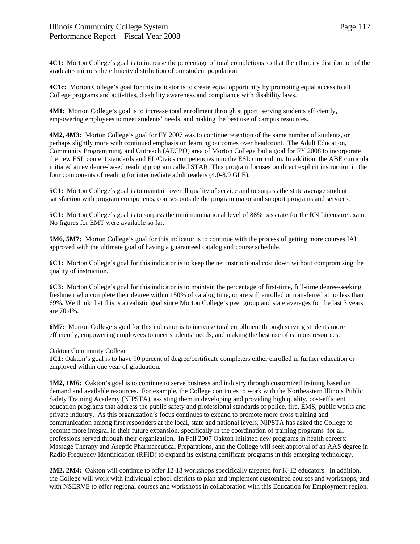**4C1:** Morton College's goal is to increase the percentage of total completions so that the ethnicity distribution of the graduates mirrors the ethnicity distribution of our student population.

**4C1c:** Morton College's goal for this indicator is to create equal opportunity by promoting equal access to all College programs and activities, disability awareness and compliance with disability laws.

**4M1:** Morton College's goal is to increase total enrollment through support, serving students efficiently, empowering employees to meet students' needs, and making the best use of campus resources.

**4M2, 4M3:** Morton College's goal for FY 2007 was to continue retention of the same number of students, or perhaps slightly more with continued emphasis on learning outcomes over headcount. The Adult Education, Community Programming, and Outreach (AECPO) area of Morton College had a goal for FY 2008 to incorporate the new ESL content standards and EL/Civics competencies into the ESL curriculum. In addition, the ABE curricula initiated an evidence-based reading program called STAR. This program focuses on direct explicit instruction in the four components of reading for intermediate adult readers (4.0-8.9 GLE).

**5C1:** Morton College's goal is to maintain overall quality of service and to surpass the state average student satisfaction with program components, courses outside the program major and support programs and services.

**5C1:** Morton College's goal is to surpass the minimum national level of 88% pass rate for the RN Licensure exam. No figures for EMT were available so far.

**5M6, 5M7:** Morton College's goal for this indicator is to continue with the process of getting more courses IAI approved with the ultimate goal of having a guaranteed catalog and course schedule.

**6C1:** Morton College's goal for this indicator is to keep the net instructional cost down without compromising the quality of instruction.

**6C3:** Morton College's goal for this indicator is to maintain the percentage of first-time, full-time degree-seeking freshmen who complete their degree within 150% of catalog time, or are still enrolled or transferred at no less than 69%. We think that this is a realistic goal since Morton College's peer group and state averages for the last 3 years are 70.4%.

**6M7:** Morton College's goal for this indicator is to increase total enrollment through serving students more efficiently, empowering employees to meet students' needs, and making the best use of campus resources.

## Oakton Community College

**1C1:** Oakton's goal is to have 90 percent of degree/certificate completers either enrolled in further education or employed within one year of graduation.

**1M2, 1M6:** Oakton's goal is to continue to serve business and industry through customized training based on demand and available resources. For example, the College continues to work with the Northeastern Illinois Public Safety Training Academy (NIPSTA), assisting them in developing and providing high quality, cost-efficient education programs that address the public safety and professional standards of police, fire, EMS, public works and private industry. As this organization's focus continues to expand to promote more cross training and communication among first responders at the local, state and national levels, NIPSTA has asked the College to become more integral in their future expansion, specifically in the coordination of training programs for all professions served through their organization. In Fall 2007 Oakton initiated new programs in health careers: Massage Therapy and Aseptic Pharmaceutical Preparations, and the College will seek approval of an AAS degree in Radio Frequency Identification (RFID) to expand its existing certificate programs in this emerging technology.

**2M2, 2M4:** Oakton will continue to offer 12-18 workshops specifically targeted for K-12 educators. In addition, the College will work with individual school districts to plan and implement customized courses and workshops, and with NSERVE to offer regional courses and workshops in collaboration with this Education for Employment region.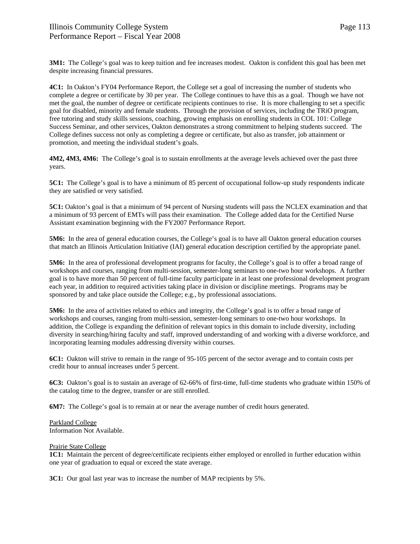**3M1:** The College's goal was to keep tuition and fee increases modest. Oakton is confident this goal has been met despite increasing financial pressures.

**4C1:** In Oakton's FY04 Performance Report, the College set a goal of increasing the number of students who complete a degree or certificate by 30 per year. The College continues to have this as a goal. Though we have not met the goal, the number of degree or certificate recipients continues to rise. It is more challenging to set a specific goal for disabled, minority and female students. Through the provision of services, including the TRiO program, free tutoring and study skills sessions, coaching, growing emphasis on enrolling students in COL 101: College Success Seminar, and other services, Oakton demonstrates a strong commitment to helping students succeed. The College defines success not only as completing a degree or certificate, but also as transfer, job attainment or promotion, and meeting the individual student's goals.

**4M2, 4M3, 4M6:** The College's goal is to sustain enrollments at the average levels achieved over the past three years.

**5C1:** The College's goal is to have a minimum of 85 percent of occupational follow-up study respondents indicate they are satisfied or very satisfied.

**5C1:** Oakton's goal is that a minimum of 94 percent of Nursing students will pass the NCLEX examination and that a minimum of 93 percent of EMTs will pass their examination. The College added data for the Certified Nurse Assistant examination beginning with the FY2007 Performance Report.

**5M6:** In the area of general education courses, the College's goal is to have all Oakton general education courses that match an Illinois Articulation Initiative (IAI) general education description certified by the appropriate panel.

**5M6:** In the area of professional development programs for faculty, the College's goal is to offer a broad range of workshops and courses, ranging from multi-session, semester-long seminars to one-two hour workshops. A further goal is to have more than 50 percent of full-time faculty participate in at least one professional development program each year, in addition to required activities taking place in division or discipline meetings. Programs may be sponsored by and take place outside the College; e.g., by professional associations.

**5M6:** In the area of activities related to ethics and integrity, the College's goal is to offer a broad range of workshops and courses, ranging from multi-session, semester-long seminars to one-two hour workshops. In addition, the College is expanding the definition of relevant topics in this domain to include diversity, including diversity in searching/hiring faculty and staff, improved understanding of and working with a diverse workforce, and incorporating learning modules addressing diversity within courses.

**6C1:** Oakton will strive to remain in the range of 95-105 percent of the sector average and to contain costs per credit hour to annual increases under 5 percent.

**6C3:** Oakton's goal is to sustain an average of 62-66% of first-time, full-time students who graduate within 150% of the catalog time to the degree, transfer or are still enrolled.

**6M7:** The College's goal is to remain at or near the average number of credit hours generated.

# Parkland College

Information Not Available.

## Prairie State College

**1C1:** Maintain the percent of degree/certificate recipients either employed or enrolled in further education within one year of graduation to equal or exceed the state average.

**3C1:** Our goal last year was to increase the number of MAP recipients by 5%.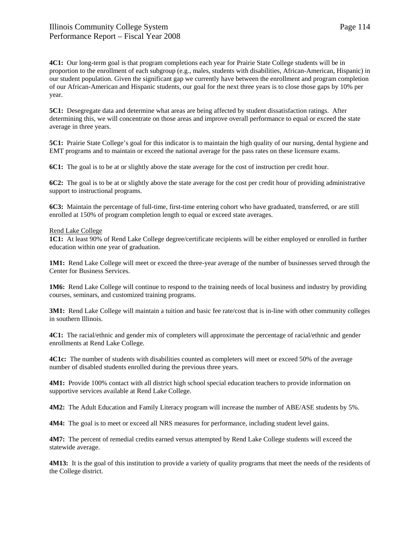**4C1:** Our long-term goal is that program completions each year for Prairie State College students will be in proportion to the enrollment of each subgroup (e.g., males, students with disabilities, African-American, Hispanic) in our student population. Given the significant gap we currently have between the enrollment and program completion of our African-American and Hispanic students, our goal for the next three years is to close those gaps by 10% per year.

**5C1:** Desegregate data and determine what areas are being affected by student dissatisfaction ratings. After determining this, we will concentrate on those areas and improve overall performance to equal or exceed the state average in three years.

**5C1:** Prairie State College's goal for this indicator is to maintain the high quality of our nursing, dental hygiene and EMT programs and to maintain or exceed the national average for the pass rates on these licensure exams.

**6C1:** The goal is to be at or slightly above the state average for the cost of instruction per credit hour.

**6C2:** The goal is to be at or slightly above the state average for the cost per credit hour of providing administrative support to instructional programs.

**6C3:** Maintain the percentage of full-time, first-time entering cohort who have graduated, transferred, or are still enrolled at 150% of program completion length to equal or exceed state averages.

### Rend Lake College

**1C1:** At least 90% of Rend Lake College degree/certificate recipients will be either employed or enrolled in further education within one year of graduation.

**1M1:** Rend Lake College will meet or exceed the three-year average of the number of businesses served through the Center for Business Services.

**1M6:** Rend Lake College will continue to respond to the training needs of local business and industry by providing courses, seminars, and customized training programs.

**3M1:** Rend Lake College will maintain a tuition and basic fee rate/cost that is in-line with other community colleges in southern Illinois.

**4C1:** The racial/ethnic and gender mix of completers will approximate the percentage of racial/ethnic and gender enrollments at Rend Lake College.

**4C1c:** The number of students with disabilities counted as completers will meet or exceed 50% of the average number of disabled students enrolled during the previous three years.

**4M1:** Provide 100% contact with all district high school special education teachers to provide information on supportive services available at Rend Lake College.

**4M2:** The Adult Education and Family Literacy program will increase the number of ABE/ASE students by 5%.

**4M4:** The goal is to meet or exceed all NRS measures for performance, including student level gains.

**4M7:** The percent of remedial credits earned versus attempted by Rend Lake College students will exceed the statewide average.

**4M13:** It is the goal of this institution to provide a variety of quality programs that meet the needs of the residents of the College district.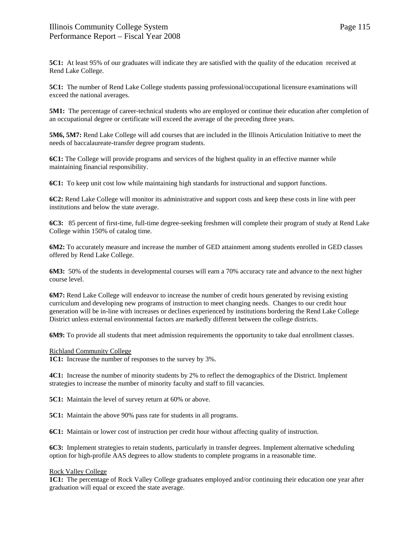**5C1:** At least 95% of our graduates will indicate they are satisfied with the quality of the education received at Rend Lake College.

**5C1:** The number of Rend Lake College students passing professional/occupational licensure examinations will exceed the national averages.

**5M1:** The percentage of career-technical students who are employed or continue their education after completion of an occupational degree or certificate will exceed the average of the preceding three years.

**5M6, 5M7:** Rend Lake College will add courses that are included in the Illinois Articulation Initiative to meet the needs of baccalaureate-transfer degree program students.

**6C1:** The College will provide programs and services of the highest quality in an effective manner while maintaining financial responsibility.

**6C1:** To keep unit cost low while maintaining high standards for instructional and support functions.

**6C2:** Rend Lake College will monitor its administrative and support costs and keep these costs in line with peer institutions and below the state average.

**6C3:** 85 percent of first-time, full-time degree-seeking freshmen will complete their program of study at Rend Lake College within 150% of catalog time.

**6M2:** To accurately measure and increase the number of GED attainment among students enrolled in GED classes offered by Rend Lake College.

**6M3:** 50% of the students in developmental courses will earn a 70% accuracy rate and advance to the next higher course level.

**6M7:** Rend Lake College will endeavor to increase the number of credit hours generated by revising existing curriculum and developing new programs of instruction to meet changing needs. Changes to our credit hour generation will be in-line with increases or declines experienced by institutions bordering the Rend Lake College District unless external environmental factors are markedly different between the college districts.

**6M9:** To provide all students that meet admission requirements the opportunity to take dual enrollment classes.

### Richland Community College

**1C1:** Increase the number of responses to the survey by 3%.

**4C1:** Increase the number of minority students by 2% to reflect the demographics of the District. Implement strategies to increase the number of minority faculty and staff to fill vacancies.

**5C1:** Maintain the level of survey return at 60% or above.

**5C1:** Maintain the above 90% pass rate for students in all programs.

**6C1:** Maintain or lower cost of instruction per credit hour without affecting quality of instruction.

**6C3:** Implement strategies to retain students, particularly in transfer degrees. Implement alternative scheduling option for high-profile AAS degrees to allow students to complete programs in a reasonable time.

## Rock Valley College

**1C1:** The percentage of Rock Valley College graduates employed and/or continuing their education one year after graduation will equal or exceed the state average.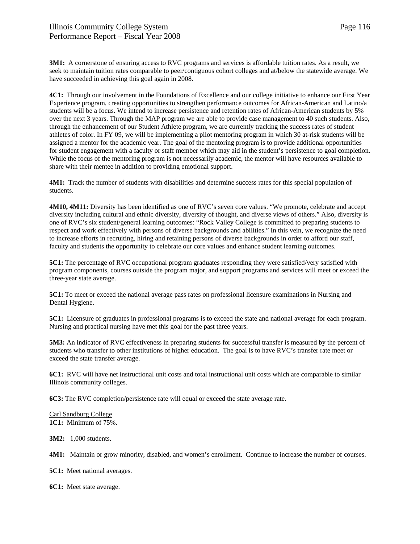**3M1:** A cornerstone of ensuring access to RVC programs and services is affordable tuition rates. As a result, we seek to maintain tuition rates comparable to peer/contiguous cohort colleges and at/below the statewide average. We have succeeded in achieving this goal again in 2008.

**4C1:** Through our involvement in the Foundations of Excellence and our college initiative to enhance our First Year Experience program, creating opportunities to strengthen performance outcomes for African-American and Latino/a students will be a focus. We intend to increase persistence and retention rates of African-American students by 5% over the next 3 years. Through the MAP program we are able to provide case management to 40 such students. Also, through the enhancement of our Student Athlete program, we are currently tracking the success rates of student athletes of color. In FY 09, we will be implementing a pilot mentoring program in which 30 at-risk students will be assigned a mentor for the academic year. The goal of the mentoring program is to provide additional opportunities for student engagement with a faculty or staff member which may aid in the student's persistence to goal completion. While the focus of the mentoring program is not necessarily academic, the mentor will have resources available to share with their mentee in addition to providing emotional support.

**4M1:** Track the number of students with disabilities and determine success rates for this special population of students.

**4M10, 4M11:** Diversity has been identified as one of RVC's seven core values. "We promote, celebrate and accept diversity including cultural and ethnic diversity, diversity of thought, and diverse views of others." Also, diversity is one of RVC's six student/general learning outcomes: "Rock Valley College is committed to preparing students to respect and work effectively with persons of diverse backgrounds and abilities." In this vein, we recognize the need to increase efforts in recruiting, hiring and retaining persons of diverse backgrounds in order to afford our staff, faculty and students the opportunity to celebrate our core values and enhance student learning outcomes.

**5C1:** The percentage of RVC occupational program graduates responding they were satisfied/very satisfied with program components, courses outside the program major, and support programs and services will meet or exceed the three-year state average.

**5C1:** To meet or exceed the national average pass rates on professional licensure examinations in Nursing and Dental Hygiene.

**5C1:** Licensure of graduates in professional programs is to exceed the state and national average for each program. Nursing and practical nursing have met this goal for the past three years.

**5M3:** An indicator of RVC effectiveness in preparing students for successful transfer is measured by the percent of students who transfer to other institutions of higher education. The goal is to have RVC's transfer rate meet or exceed the state transfer average.

**6C1:** RVC will have net instructional unit costs and total instructional unit costs which are comparable to similar Illinois community colleges.

**6C3:** The RVC completion/persistence rate will equal or exceed the state average rate.

Carl Sandburg College **1C1:** Minimum of 75%.

**3M2:** 1,000 students.

**4M1:** Maintain or grow minority, disabled, and women's enrollment. Continue to increase the number of courses.

**5C1:** Meet national averages.

**6C1:** Meet state average.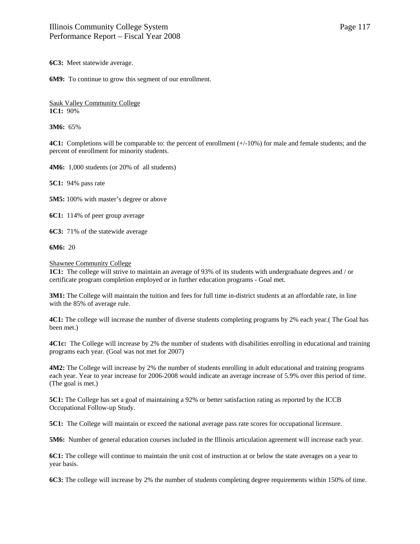**6C3:** Meet statewide average.

**6M9:** To continue to grow this segment of our enrollment.

Sauk Valley Community College **1C1:** 90%

**3M6:** 65%

**4C1:** Completions will be comparable to: the percent of enrollment ( $+/-10\%$ ) for male and female students; and the percent of enrollment for minority students.

**4M6:** 1,000 students (or 20% of all students)

**5C1:** 94% pass rate

**5M5:** 100% with master's degree or above

**6C1:** 114% of peer group average

**6C3:** 71% of the statewide average

**6M6:** 20

Shawnee Community College

**1C1:** The college will strive to maintain an average of 93% of its students with undergraduate degrees and / or certificate program completion employed or in further education programs - Goal met.

**3M1:** The College will maintain the tuition and fees for full time in-district students at an affordable rate, in line with the 85% of average rule.

**4C1:** The college will increase the number of diverse students completing programs by 2% each year.( The Goal has been met.)

**4C1c:** The College will increase by 2% the number of students with disabilities enrolling in educational and training programs each year. (Goal was not met for 2007)

**4M2:** The College will increase by 2% the number of students enrolling in adult educational and training programs each year. Year to year increase for 2006-2008 would indicate an average increase of 5.9% over this period of time. (The goal is met.)

**5C1:** The College has set a goal of maintaining a 92% or better satisfaction rating as reported by the ICCB Occupational Follow-up Study.

**5C1:** The College will maintain or exceed the national average pass rate scores for occupational licensure.

**5M6:** Number of general education courses included in the Illinois articulation agreement will increase each year.

**6C1:** The college will continue to maintain the unit cost of instruction at or below the state averages on a year to year basis.

**6C3:** The college will increase by 2% the number of students completing degree requirements within 150% of time.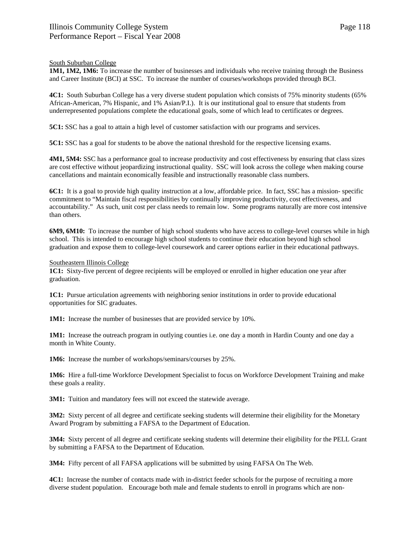## South Suburban College

**1M1, 1M2, 1M6:** To increase the number of businesses and individuals who receive training through the Business and Career Institute (BCI) at SSC. To increase the number of courses/workshops provided through BCI.

**4C1:** South Suburban College has a very diverse student population which consists of 75% minority students (65% African-American, 7% Hispanic, and 1% Asian/P.I.). It is our institutional goal to ensure that students from underrepresented populations complete the educational goals, some of which lead to certificates or degrees.

**5C1:** SSC has a goal to attain a high level of customer satisfaction with our programs and services.

**5C1:** SSC has a goal for students to be above the national threshold for the respective licensing exams.

**4M1, 5M4:** SSC has a performance goal to increase productivity and cost effectiveness by ensuring that class sizes are cost effective without jeopardizing instructional quality. SSC will look across the college when making course cancellations and maintain economically feasible and instructionally reasonable class numbers.

**6C1:** It is a goal to provide high quality instruction at a low, affordable price. In fact, SSC has a mission- specific commitment to "Maintain fiscal responsibilities by continually improving productivity, cost effectiveness, and accountability." As such, unit cost per class needs to remain low. Some programs naturally are more cost intensive than others.

**6M9, 6M10:** To increase the number of high school students who have access to college-level courses while in high school. This is intended to encourage high school students to continue their education beyond high school graduation and expose them to college-level coursework and career options earlier in their educational pathways.

## Southeastern Illinois College

**1C1:** Sixty-five percent of degree recipients will be employed or enrolled in higher education one year after graduation.

**1C1:** Pursue articulation agreements with neighboring senior institutions in order to provide educational opportunities for SIC graduates.

**1M1:** Increase the number of businesses that are provided service by 10%.

**1M1:** Increase the outreach program in outlying counties i.e. one day a month in Hardin County and one day a month in White County.

**1M6:** Increase the number of workshops/seminars/courses by 25%.

**1M6:** Hire a full-time Workforce Development Specialist to focus on Workforce Development Training and make these goals a reality.

**3M1:** Tuition and mandatory fees will not exceed the statewide average.

**3M2:** Sixty percent of all degree and certificate seeking students will determine their eligibility for the Monetary Award Program by submitting a FAFSA to the Department of Education.

**3M4:** Sixty percent of all degree and certificate seeking students will determine their eligibility for the PELL Grant by submitting a FAFSA to the Department of Education.

**3M4:** Fifty percent of all FAFSA applications will be submitted by using FAFSA On The Web.

**4C1:** Increase the number of contacts made with in-district feeder schools for the purpose of recruiting a more diverse student population. Encourage both male and female students to enroll in programs which are non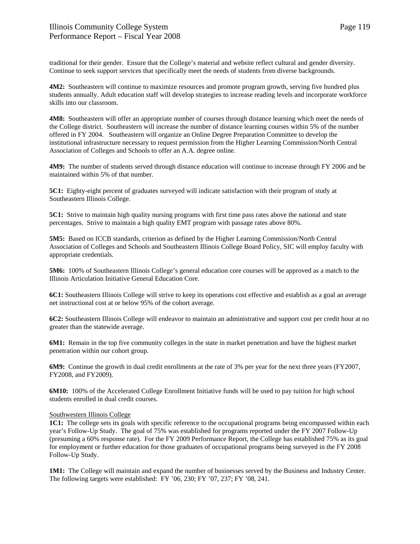traditional for their gender. Ensure that the College's material and website reflect cultural and gender diversity. Continue to seek support services that specifically meet the needs of students from diverse backgrounds.

**4M2:** Southeastern will continue to maximize resources and promote program growth, serving five hundred plus students annually. Adult education staff will develop strategies to increase reading levels and incorporate workforce skills into our classroom.

**4M8:** Southeastern will offer an appropriate number of courses through distance learning which meet the needs of the College district. Southeastern will increase the number of distance learning courses within 5% of the number offered in FY 2004. Southeastern will organize an Online Degree Preparation Committee to develop the institutional infrastructure necessary to request permission from the Higher Learning Commission/North Central Association of Colleges and Schools to offer an A.A. degree online.

**4M9:** The number of students served through distance education will continue to increase through FY 2006 and be maintained within 5% of that number.

**5C1:** Eighty-eight percent of graduates surveyed will indicate satisfaction with their program of study at Southeastern Illinois College.

**5C1:** Strive to maintain high quality nursing programs with first time pass rates above the national and state percentages. Strive to maintain a high quality EMT program with passage rates above 80%.

**5M5:** Based on ICCB standards, criterion as defined by the Higher Learning Commission/North Central Association of Colleges and Schools and Southeastern Illinois College Board Policy, SIC will employ faculty with appropriate credentials.

**5M6:** 100% of Southeastern Illinois College's general education core courses will be approved as a match to the Illinois Articulation Initiative General Education Core.

**6C1:** Southeastern Illinois College will strive to keep its operations cost effective and establish as a goal an average net instructional cost at or below 95% of the cohort average.

**6C2:** Southeastern Illinois College will endeavor to maintain an administrative and support cost per credit hour at no greater than the statewide average.

**6M1:** Remain in the top five community colleges in the state in market penetration and have the highest market penetration within our cohort group.

**6M9:** Continue the growth in dual credit enrollments at the rate of 3% per year for the next three years (FY2007, FY2008, and FY2009).

**6M10:** 100% of the Accelerated College Enrollment Initiative funds will be used to pay tuition for high school students enrolled in dual credit courses.

## Southwestern Illinois College

**1C1:** The college sets its goals with specific reference to the occupational programs being encompassed within each year's Follow-Up Study. The goal of 75% was established for programs reported under the FY 2007 Follow-Up (presuming a 60% response rate). For the FY 2009 Performance Report, the College has established 75% as its goal for employment or further education for those graduates of occupational programs being surveyed in the FY 2008 Follow-Up Study.

**1M1:** The College will maintain and expand the number of businesses served by the Business and Industry Center. The following targets were established: FY '06, 230; FY '07, 237; FY '08, 241.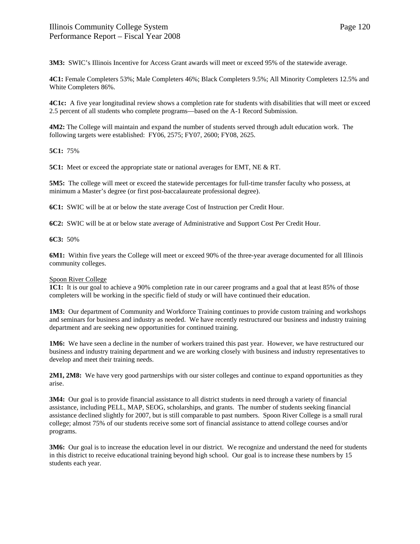**3M3:** SWIC's Illinois Incentive for Access Grant awards will meet or exceed 95% of the statewide average.

**4C1:** Female Completers 53%; Male Completers 46%; Black Completers 9.5%; All Minority Completers 12.5% and White Completers 86%.

**4C1c:** A five year longitudinal review shows a completion rate for students with disabilities that will meet or exceed 2.5 percent of all students who complete programs—based on the A-1 Record Submission.

**4M2:** The College will maintain and expand the number of students served through adult education work. The following targets were established: FY06, 2575; FY07, 2600; FY08, 2625.

**5C1:** 75%

**5C1:** Meet or exceed the appropriate state or national averages for EMT, NE & RT.

**5M5:** The college will meet or exceed the statewide percentages for full-time transfer faculty who possess, at minimum a Master's degree (or first post-baccalaureate professional degree).

**6C1:** SWIC will be at or below the state average Cost of Instruction per Credit Hour.

**6C2:** SWIC will be at or below state average of Administrative and Support Cost Per Credit Hour.

**6C3:** 50%

**6M1:** Within five years the College will meet or exceed 90% of the three-year average documented for all Illinois community colleges.

## Spoon River College

**1C1:** It is our goal to achieve a 90% completion rate in our career programs and a goal that at least 85% of those completers will be working in the specific field of study or will have continued their education.

**1M3:** Our department of Community and Workforce Training continues to provide custom training and workshops and seminars for business and industry as needed. We have recently restructured our business and industry training department and are seeking new opportunities for continued training.

**1M6:** We have seen a decline in the number of workers trained this past year. However, we have restructured our business and industry training department and we are working closely with business and industry representatives to develop and meet their training needs.

**2M1, 2M8:** We have very good partnerships with our sister colleges and continue to expand opportunities as they arise.

**3M4:** Our goal is to provide financial assistance to all district students in need through a variety of financial assistance, including PELL, MAP, SEOG, scholarships, and grants. The number of students seeking financial assistance declined slightly for 2007, but is still comparable to past numbers. Spoon River College is a small rural college; almost 75% of our students receive some sort of financial assistance to attend college courses and/or programs.

**3M6:** Our goal is to increase the education level in our district. We recognize and understand the need for students in this district to receive educational training beyond high school. Our goal is to increase these numbers by 15 students each year.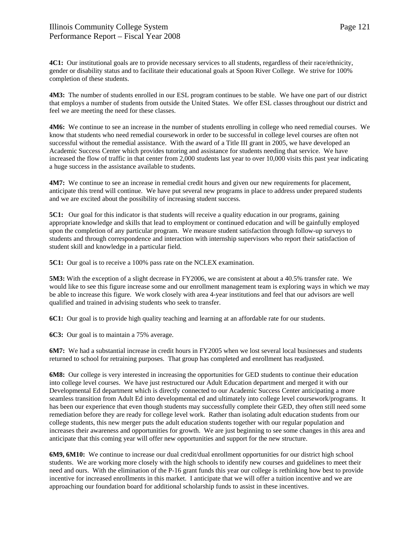**4C1:** Our institutional goals are to provide necessary services to all students, regardless of their race/ethnicity, gender or disability status and to facilitate their educational goals at Spoon River College. We strive for 100% completion of these students.

**4M3:** The number of students enrolled in our ESL program continues to be stable. We have one part of our district that employs a number of students from outside the United States. We offer ESL classes throughout our district and feel we are meeting the need for these classes.

**4M6:** We continue to see an increase in the number of students enrolling in college who need remedial courses. We know that students who need remedial coursework in order to be successful in college level courses are often not successful without the remedial assistance. With the award of a Title III grant in 2005, we have developed an Academic Success Center which provides tutoring and assistance for students needing that service. We have increased the flow of traffic in that center from 2,000 students last year to over 10,000 visits this past year indicating a huge success in the assistance available to students.

**4M7:** We continue to see an increase in remedial credit hours and given our new requirements for placement, anticipate this trend will continue. We have put several new programs in place to address under prepared students and we are excited about the possibility of increasing student success.

**5C1:** Our goal for this indicator is that students will receive a quality education in our programs, gaining appropriate knowledge and skills that lead to employment or continued education and will be gainfully employed upon the completion of any particular program. We measure student satisfaction through follow-up surveys to students and through correspondence and interaction with internship supervisors who report their satisfaction of student skill and knowledge in a particular field.

**5C1:** Our goal is to receive a 100% pass rate on the NCLEX examination.

**5M3:** With the exception of a slight decrease in FY2006, we are consistent at about a 40.5% transfer rate. We would like to see this figure increase some and our enrollment management team is exploring ways in which we may be able to increase this figure. We work closely with area 4-year institutions and feel that our advisors are well qualified and trained in advising students who seek to transfer.

**6C1:** Our goal is to provide high quality teaching and learning at an affordable rate for our students.

**6C3:** Our goal is to maintain a 75% average.

**6M7:** We had a substantial increase in credit hours in FY2005 when we lost several local businesses and students returned to school for retraining purposes. That group has completed and enrollment has readjusted.

**6M8:** Our college is very interested in increasing the opportunities for GED students to continue their education into college level courses. We have just restructured our Adult Education department and merged it with our Developmental Ed department which is directly connected to our Academic Success Center anticipating a more seamless transition from Adult Ed into developmental ed and ultimately into college level coursework/programs. It has been our experience that even though students may successfully complete their GED, they often still need some remediation before they are ready for college level work. Rather than isolating adult education students from our college students, this new merger puts the adult education students together with our regular population and increases their awareness and opportunities for growth. We are just beginning to see some changes in this area and anticipate that this coming year will offer new opportunities and support for the new structure.

**6M9, 6M10:** We continue to increase our dual credit/dual enrollment opportunities for our district high school students. We are working more closely with the high schools to identify new courses and guidelines to meet their need and ours. With the elimination of the P-16 grant funds this year our college is rethinking how best to provide incentive for increased enrollments in this market. I anticipate that we will offer a tuition incentive and we are approaching our foundation board for additional scholarship funds to assist in these incentives.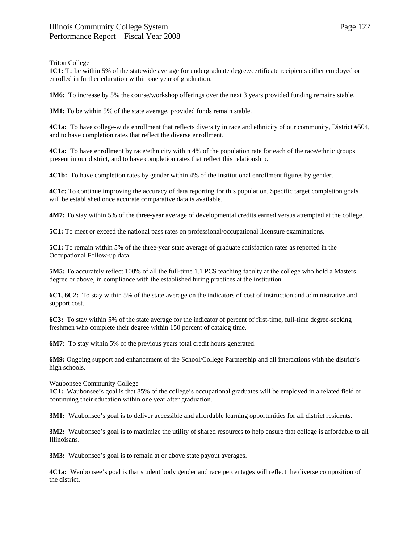## Triton College

**1C1:** To be within 5% of the statewide average for undergraduate degree/certificate recipients either employed or enrolled in further education within one year of graduation.

**1M6:** To increase by 5% the course/workshop offerings over the next 3 years provided funding remains stable.

**3M1:** To be within 5% of the state average, provided funds remain stable.

**4C1a:** To have college-wide enrollment that reflects diversity in race and ethnicity of our community, District #504, and to have completion rates that reflect the diverse enrollment.

**4C1a:** To have enrollment by race/ethnicity within 4% of the population rate for each of the race/ethnic groups present in our district, and to have completion rates that reflect this relationship.

**4C1b:** To have completion rates by gender within 4% of the institutional enrollment figures by gender.

**4C1c:** To continue improving the accuracy of data reporting for this population. Specific target completion goals will be established once accurate comparative data is available.

**4M7:** To stay within 5% of the three-year average of developmental credits earned versus attempted at the college.

**5C1:** To meet or exceed the national pass rates on professional/occupational licensure examinations.

**5C1:** To remain within 5% of the three-year state average of graduate satisfaction rates as reported in the Occupational Follow-up data.

**5M5:** To accurately reflect 100% of all the full-time 1.1 PCS teaching faculty at the college who hold a Masters degree or above, in compliance with the established hiring practices at the institution.

**6C1, 6C2:** To stay within 5% of the state average on the indicators of cost of instruction and administrative and support cost.

**6C3:** To stay within 5% of the state average for the indicator of percent of first-time, full-time degree-seeking freshmen who complete their degree within 150 percent of catalog time.

**6M7:** To stay within 5% of the previous years total credit hours generated.

**6M9:** Ongoing support and enhancement of the School/College Partnership and all interactions with the district's high schools.

## Waubonsee Community College

**1C1:** Waubonsee's goal is that 85% of the college's occupational graduates will be employed in a related field or continuing their education within one year after graduation.

**3M1:** Waubonsee's goal is to deliver accessible and affordable learning opportunities for all district residents.

**3M2:** Waubonsee's goal is to maximize the utility of shared resources to help ensure that college is affordable to all Illinoisans.

**3M3:** Waubonsee's goal is to remain at or above state payout averages.

**4C1a:** Waubonsee's goal is that student body gender and race percentages will reflect the diverse composition of the district.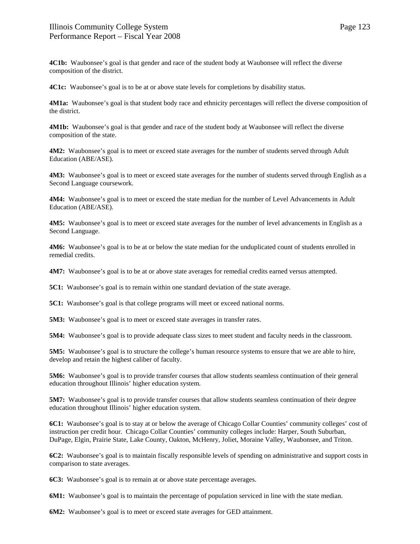**4C1b:** Waubonsee's goal is that gender and race of the student body at Waubonsee will reflect the diverse composition of the district.

**4C1c:** Waubonsee's goal is to be at or above state levels for completions by disability status.

**4M1a:** Waubonsee's goal is that student body race and ethnicity percentages will reflect the diverse composition of the district.

**4M1b:** Waubonsee's goal is that gender and race of the student body at Waubonsee will reflect the diverse composition of the state.

**4M2:** Waubonsee's goal is to meet or exceed state averages for the number of students served through Adult Education (ABE/ASE).

**4M3:** Waubonsee's goal is to meet or exceed state averages for the number of students served through English as a Second Language coursework.

**4M4:** Waubonsee's goal is to meet or exceed the state median for the number of Level Advancements in Adult Education (ABE/ASE).

**4M5:** Waubonsee's goal is to meet or exceed state averages for the number of level advancements in English as a Second Language.

**4M6:** Waubonsee's goal is to be at or below the state median for the unduplicated count of students enrolled in remedial credits.

**4M7:** Waubonsee's goal is to be at or above state averages for remedial credits earned versus attempted.

**5C1:** Waubonsee's goal is to remain within one standard deviation of the state average.

**5C1:** Waubonsee's goal is that college programs will meet or exceed national norms.

**5M3:** Waubonsee's goal is to meet or exceed state averages in transfer rates.

**5M4:** Waubonsee's goal is to provide adequate class sizes to meet student and faculty needs in the classroom.

**5M5:** Waubonsee's goal is to structure the college's human resource systems to ensure that we are able to hire, develop and retain the highest caliber of faculty.

**5M6:** Waubonsee's goal is to provide transfer courses that allow students seamless continuation of their general education throughout Illinois' higher education system.

**5M7:** Waubonsee's goal is to provide transfer courses that allow students seamless continuation of their degree education throughout Illinois' higher education system.

**6C1:** Waubonsee's goal is to stay at or below the average of Chicago Collar Counties' community colleges' cost of instruction per credit hour. Chicago Collar Counties' community colleges include: Harper, South Suburban, DuPage, Elgin, Prairie State, Lake County, Oakton, McHenry, Joliet, Moraine Valley, Waubonsee, and Triton.

**6C2:** Waubonsee's goal is to maintain fiscally responsible levels of spending on administrative and support costs in comparison to state averages.

**6C3:** Waubonsee's goal is to remain at or above state percentage averages.

**6M1:** Waubonsee's goal is to maintain the percentage of population serviced in line with the state median.

**6M2:** Waubonsee's goal is to meet or exceed state averages for GED attainment.